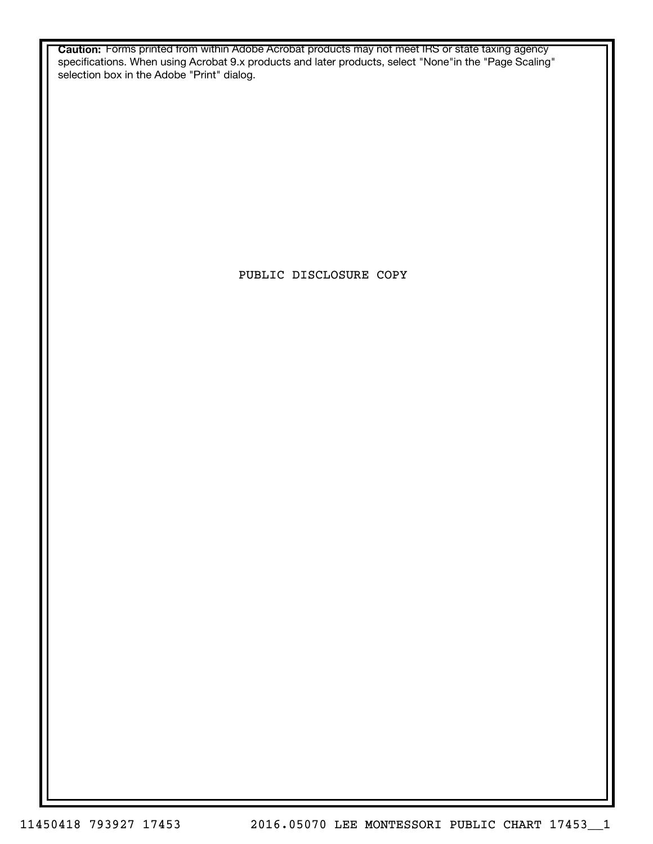**Caution:** Forms printed from within Adobe Acrobat products may not meet IRS or state taxing agency specifications. When using Acrobat 9.x products and later products, select "None"in the "Page Scaling" selection box in the Adobe "Print" dialog.

PUBLIC DISCLOSURE COPY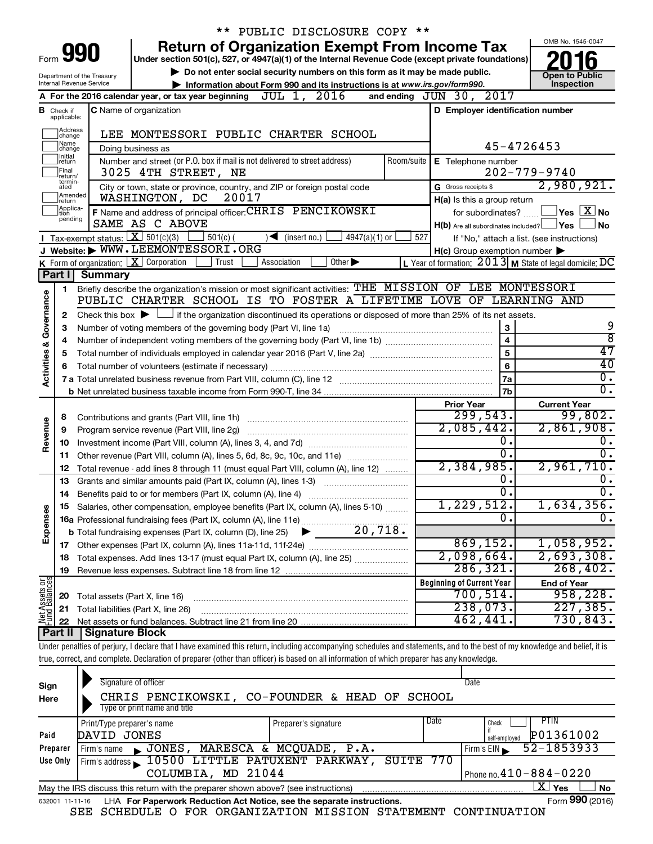|                                    |                                  |                                                                   | PUBLIC DISCLOSURE COPY **                                                                                                                                                  |                                                           |                                                                   |
|------------------------------------|----------------------------------|-------------------------------------------------------------------|----------------------------------------------------------------------------------------------------------------------------------------------------------------------------|-----------------------------------------------------------|-------------------------------------------------------------------|
|                                    |                                  |                                                                   | <b>Return of Organization Exempt From Income Tax</b>                                                                                                                       |                                                           | OMB No. 1545-0047                                                 |
| Form                               |                                  | 990                                                               | Under section 501(c), 527, or 4947(a)(1) of the Internal Revenue Code (except private foundations)                                                                         |                                                           |                                                                   |
|                                    |                                  | Department of the Treasury                                        | $\triangleright$ Do not enter social security numbers on this form as it may be made public.                                                                               |                                                           | <b>Open to Public</b>                                             |
|                                    |                                  | Internal Revenue Service                                          | Information about Form 990 and its instructions is at www.irs.gov/form990.                                                                                                 |                                                           | Inspection                                                        |
|                                    |                                  |                                                                   | A For the 2016 calendar year, or tax year beginning $JUL$ 1, $2016$                                                                                                        | and ending JUN 30, 2017                                   |                                                                   |
|                                    | <b>B</b> Check if<br>applicable: |                                                                   | <b>C</b> Name of organization                                                                                                                                              | D Employer identification number                          |                                                                   |
|                                    |                                  |                                                                   |                                                                                                                                                                            |                                                           |                                                                   |
|                                    | Address<br> change<br> Name      |                                                                   | LEE MONTESSORI PUBLIC CHARTER SCHOOL                                                                                                                                       | 45-4726453                                                |                                                                   |
|                                    | change<br>Initial                |                                                                   | Doing business as                                                                                                                                                          |                                                           |                                                                   |
|                                    | return<br> Final<br> return/     |                                                                   | Number and street (or P.O. box if mail is not delivered to street address)<br>3025 4TH STREET, NE                                                                          | Room/suite   E Telephone number                           | $202 - 779 - 9740$                                                |
|                                    | termin-<br>ated                  |                                                                   | City or town, state or province, country, and ZIP or foreign postal code                                                                                                   | G Gross receipts \$                                       | 2,980,921.                                                        |
|                                    | Amended<br>return                |                                                                   | WASHINGTON, DC<br>20017                                                                                                                                                    | H(a) Is this a group return                               |                                                                   |
|                                    | Applica-<br>tion                 |                                                                   | F Name and address of principal officer: CHRIS PENCIKOWSKI                                                                                                                 |                                                           | for subordinates? $\frac{\Box}{\Box}$ Yes $\boxed{\mathbf{X}}$ No |
|                                    | pending                          |                                                                   | SAME AS C ABOVE                                                                                                                                                            | $H(b)$ Are all subordinates included? $\Box$ Yes          | <b>No</b>                                                         |
|                                    |                                  | <b>I</b> Tax-exempt status: $X \overline{X}$ 501(c)(3)            | $501(c)$ (<br>$4947(a)(1)$ or<br>$\sqrt{\frac{1}{1}}$ (insert no.)                                                                                                         | 527<br>If "No," attach a list. (see instructions)         |                                                                   |
|                                    |                                  |                                                                   | J Website: WWW.LEEMONTESSORI.ORG                                                                                                                                           | $H(c)$ Group exemption number $\blacktriangleright$       |                                                                   |
|                                    |                                  |                                                                   | K Form of organization: $X$ Corporation<br>Trust<br>Association<br>Other $\blacktriangleright$                                                                             | L Year of formation: $2013$ M State of legal domicile: DC |                                                                   |
|                                    | Part I                           | <b>Summary</b>                                                    |                                                                                                                                                                            |                                                           |                                                                   |
|                                    | 1                                |                                                                   | Briefly describe the organization's mission or most significant activities: THE MISSION OF LEE MONTESSORI                                                                  |                                                           |                                                                   |
|                                    |                                  |                                                                   | PUBLIC CHARTER SCHOOL IS TO FOSTER A LIFETIME LOVE                                                                                                                         | OF LEARNING AND                                           |                                                                   |
|                                    | 2                                |                                                                   | Check this box $\blacktriangleright$ $\Box$ if the organization discontinued its operations or disposed of more than 25% of its net assets.                                | 3                                                         |                                                                   |
|                                    | З                                | Number of voting members of the governing body (Part VI, line 1a) | 9                                                                                                                                                                          |                                                           |                                                                   |
|                                    | 4                                |                                                                   | $\overline{\mathbf{4}}$                                                                                                                                                    | $\overline{\bf 8}$<br>47                                  |                                                                   |
|                                    | 5                                |                                                                   |                                                                                                                                                                            | $\overline{5}$                                            | $\overline{40}$                                                   |
| <b>Activities &amp; Governance</b> | 6                                |                                                                   |                                                                                                                                                                            | 6<br>7a                                                   | $\overline{\mathfrak{o}}$ .                                       |
|                                    |                                  |                                                                   |                                                                                                                                                                            | 7b                                                        | $\overline{0}$ .                                                  |
|                                    |                                  |                                                                   |                                                                                                                                                                            | <b>Prior Year</b>                                         | <b>Current Year</b>                                               |
|                                    | 8                                |                                                                   | Contributions and grants (Part VIII, line 1h)                                                                                                                              | 299,543.                                                  | 99,802.                                                           |
| Revenue                            | 9                                |                                                                   | Program service revenue (Part VIII, line 2g)                                                                                                                               | 2,085,442.                                                | 2,861,908.                                                        |
|                                    | 10                               |                                                                   |                                                                                                                                                                            | 0.                                                        |                                                                   |
|                                    | 11                               |                                                                   | Other revenue (Part VIII, column (A), lines 5, 6d, 8c, 9c, 10c, and 11e)                                                                                                   | 0.                                                        | $\overline{0}$ .                                                  |
|                                    | 12                               |                                                                   | Total revenue - add lines 8 through 11 (must equal Part VIII, column (A), line 12)                                                                                         | 2,384,985.                                                | 2,961,710.                                                        |
|                                    | 13                               |                                                                   | Grants and similar amounts paid (Part IX, column (A), lines 1-3)                                                                                                           | $\overline{0}$ .                                          |                                                                   |
|                                    | 14                               |                                                                   | Benefits paid to or for members (Part IX, column (A), line 4)                                                                                                              | 0.                                                        | σ.                                                                |
|                                    | 15                               |                                                                   | Salaries, other compensation, employee benefits (Part IX, column (A), lines 5-10)                                                                                          | 1,229,512.                                                | 1,634,356.                                                        |
|                                    |                                  |                                                                   |                                                                                                                                                                            | 0.                                                        | $\overline{0}$ .                                                  |
| Expenses                           |                                  |                                                                   |                                                                                                                                                                            |                                                           |                                                                   |
|                                    |                                  |                                                                   |                                                                                                                                                                            | 869, 152.<br>2,098,664.                                   | 1,058,952.<br>2,693,308.                                          |
|                                    | 18                               |                                                                   | Total expenses. Add lines 13-17 (must equal Part IX, column (A), line 25)                                                                                                  | 286, 321.                                                 | 268, 402.                                                         |
|                                    | 19                               |                                                                   |                                                                                                                                                                            | <b>Beginning of Current Year</b>                          |                                                                   |
| Net Assets or                      | 20                               | Total assets (Part X, line 16)                                    |                                                                                                                                                                            | 700, 514.                                                 | <b>End of Year</b><br>958, 228.                                   |
|                                    | 21                               |                                                                   | Total liabilities (Part X, line 26)                                                                                                                                        | 238,073.                                                  | 227,385.                                                          |
|                                    | 22                               |                                                                   |                                                                                                                                                                            | 462,441                                                   | 730,843.                                                          |
|                                    | Part II                          | Signature Block                                                   |                                                                                                                                                                            |                                                           |                                                                   |
|                                    |                                  |                                                                   | Under penalties of perjury, I declare that I have examined this return, including accompanying schedules and statements, and to the best of my knowledge and belief, it is |                                                           |                                                                   |
|                                    |                                  |                                                                   | true, correct, and complete. Declaration of preparer (other than officer) is based on all information of which preparer has any knowledge.                                 |                                                           |                                                                   |
|                                    |                                  |                                                                   |                                                                                                                                                                            |                                                           |                                                                   |

| Sign<br>Here | Signature of officer<br>CHRIS PENCIKOWSKI, CO-FOUNDER & HEAD OF SCHOOL<br>Type or print name and title       |                      |      | Date                         |  |  |  |  |  |  |
|--------------|--------------------------------------------------------------------------------------------------------------|----------------------|------|------------------------------|--|--|--|--|--|--|
|              | Print/Type preparer's name                                                                                   | Preparer's signature | Date | PTIN<br>Check                |  |  |  |  |  |  |
| Paid         | DAVID JONES                                                                                                  |                      |      | P01361002<br>self-emploved   |  |  |  |  |  |  |
| Preparer     | JONES, MARESCA & MCQUADE, P.A.<br>Firm's name                                                                |                      |      | 52-1853933<br>Firm's EIN     |  |  |  |  |  |  |
| Use Only     | Firm's address 10500 LITTLE PATUXENT PARKWAY, SUITE 770                                                      |                      |      |                              |  |  |  |  |  |  |
|              | COLUMBIA, MD 21044                                                                                           |                      |      | Phone no. $410 - 884 - 0220$ |  |  |  |  |  |  |
|              | ΧI<br>Yes<br>l No<br>May the IRS discuss this return with the preparer shown above? (see instructions)       |                      |      |                              |  |  |  |  |  |  |
|              | Form 990 (2016)<br>LHA For Paperwork Reduction Act Notice, see the separate instructions.<br>632001 11-11-16 |                      |      |                              |  |  |  |  |  |  |

SEE SCHEDULE O FOR ORGANIZATION MISSION STATEMENT CONTINUATION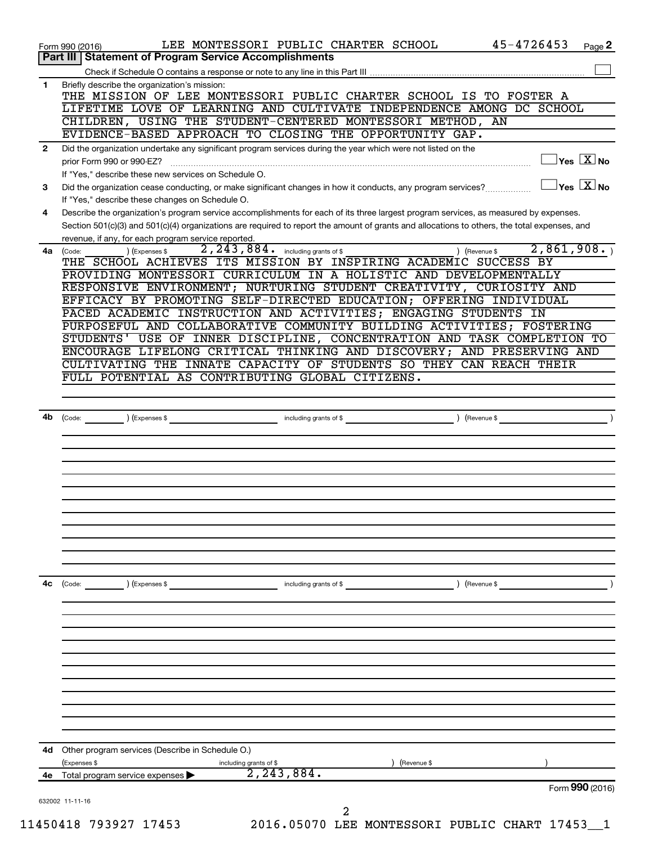|              | Part III   Statement of Program Service Accomplishments                                                                                                                                                             |
|--------------|---------------------------------------------------------------------------------------------------------------------------------------------------------------------------------------------------------------------|
|              |                                                                                                                                                                                                                     |
| $\mathbf{1}$ | Briefly describe the organization's mission:<br>THE MISSION OF LEE MONTESSORI PUBLIC CHARTER SCHOOL IS TO FOSTER A                                                                                                  |
|              | LIFETIME LOVE OF LEARNING AND CULTIVATE INDEPENDENCE AMONG DC SCHOOL                                                                                                                                                |
|              | CHILDREN, USING THE STUDENT-CENTERED MONTESSORI METHOD, AN                                                                                                                                                          |
|              | EVIDENCE-BASED APPROACH TO CLOSING THE OPPORTUNITY GAP.                                                                                                                                                             |
| $\mathbf{2}$ | Did the organization undertake any significant program services during the year which were not listed on the<br>$\sqrt{\mathsf{Yes}\ \mathbf{X}}$ No<br>prior Form 990 or 990-EZ?                                   |
|              | If "Yes," describe these new services on Schedule O.                                                                                                                                                                |
| 3            | $\overline{\ }$ Yes $\overline{\phantom{a}X}$ No<br>Did the organization cease conducting, or make significant changes in how it conducts, any program services?<br>If "Yes," describe these changes on Schedule O. |
| 4            | Describe the organization's program service accomplishments for each of its three largest program services, as measured by expenses.                                                                                |
|              | Section 501(c)(3) and 501(c)(4) organizations are required to report the amount of grants and allocations to others, the total expenses, and<br>revenue, if any, for each program service reported.                 |
| 4a           | 2,861,908.<br>2, 243, 884. including grants of \$<br>) (Expenses \$<br>(Code:<br>) (Revenue \$<br>THE SCHOOL ACHIEVES ITS MISSION BY INSPIRING ACADEMIC SUCCESS BY                                                  |
|              | PROVIDING MONTESSORI CURRICULUM IN A HOLISTIC AND DEVELOPMENTALLY                                                                                                                                                   |
|              | RESPONSIVE ENVIRONMENT; NURTURING STUDENT CREATIVITY, CURIOSITY AND                                                                                                                                                 |
|              | EFFICACY BY PROMOTING SELF-DIRECTED EDUCATION; OFFERING INDIVIDUAL                                                                                                                                                  |
|              | PACED ACADEMIC INSTRUCTION AND ACTIVITIES; ENGAGING STUDENTS IN                                                                                                                                                     |
|              | PURPOSEFUL AND COLLABORATIVE COMMUNITY BUILDING ACTIVITIES; FOSTERING                                                                                                                                               |
|              | STUDENTS' USE OF INNER DISCIPLINE, CONCENTRATION AND TASK COMPLETION TO                                                                                                                                             |
|              | ENCOURAGE LIFELONG CRITICAL THINKING AND DISCOVERY; AND PRESERVING AND                                                                                                                                              |
|              | CULTIVATING THE INNATE CAPACITY OF STUDENTS SO THEY CAN REACH THEIR                                                                                                                                                 |
|              | FULL POTENTIAL AS CONTRIBUTING GLOBAL CITIZENS.                                                                                                                                                                     |
|              |                                                                                                                                                                                                                     |
| 4b           | including grants of \$<br>) (Expenses \$<br>) (Revenue \$<br>(Code:                                                                                                                                                 |
|              |                                                                                                                                                                                                                     |
|              |                                                                                                                                                                                                                     |
|              |                                                                                                                                                                                                                     |
|              |                                                                                                                                                                                                                     |
|              |                                                                                                                                                                                                                     |
|              |                                                                                                                                                                                                                     |
|              |                                                                                                                                                                                                                     |
|              |                                                                                                                                                                                                                     |
|              |                                                                                                                                                                                                                     |
|              |                                                                                                                                                                                                                     |
|              |                                                                                                                                                                                                                     |
|              | ) (Revenue \$<br>(Code:<br>) (Expenses \$<br>including grants of \$                                                                                                                                                 |
|              |                                                                                                                                                                                                                     |
|              |                                                                                                                                                                                                                     |
|              |                                                                                                                                                                                                                     |
|              |                                                                                                                                                                                                                     |
|              |                                                                                                                                                                                                                     |
|              |                                                                                                                                                                                                                     |
| 4c<br>4d     | Other program services (Describe in Schedule O.)                                                                                                                                                                    |
|              | (Expenses \$<br>including grants of \$<br>) (Revenue \$                                                                                                                                                             |
|              | 2, 243, 884.<br>4e Total program service expenses<br>Form 990 (2016)                                                                                                                                                |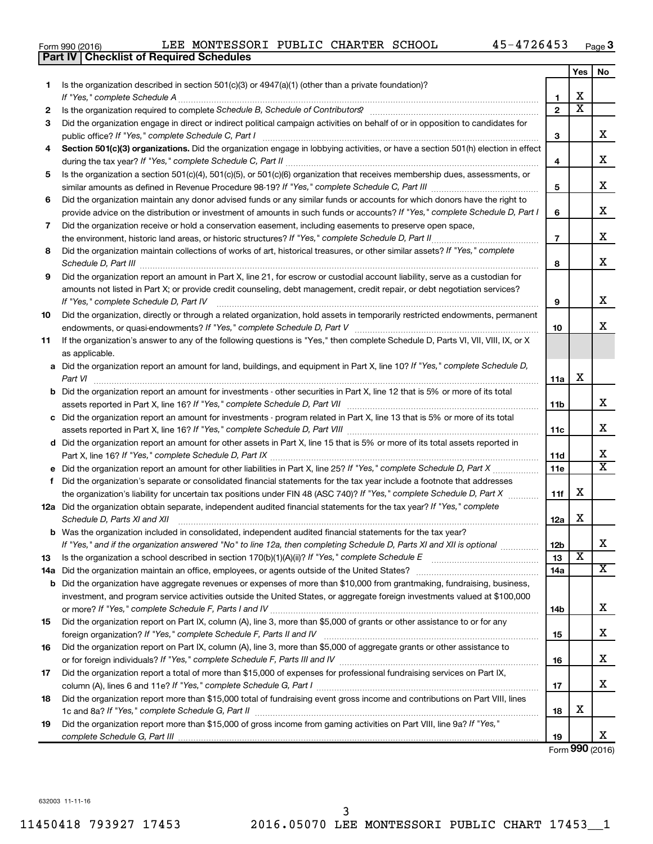|  | Form 990 (2016) |
|--|-----------------|
|  |                 |

|     | <b>Part IV   Checklist of Required Schedules</b>                                                                                                                                                                                    |                |                         |                         |
|-----|-------------------------------------------------------------------------------------------------------------------------------------------------------------------------------------------------------------------------------------|----------------|-------------------------|-------------------------|
|     |                                                                                                                                                                                                                                     |                | <b>Yes</b>              | No                      |
| 1   | Is the organization described in section 501(c)(3) or 4947(a)(1) (other than a private foundation)?                                                                                                                                 |                |                         |                         |
|     |                                                                                                                                                                                                                                     | 1              | X                       |                         |
| 2   | Is the organization required to complete Schedule B, Schedule of Contributors? [11] the organization required to complete Schedule B, Schedule of Contributors?                                                                     | $\overline{2}$ | $\overline{\mathbf{X}}$ |                         |
| З   | Did the organization engage in direct or indirect political campaign activities on behalf of or in opposition to candidates for                                                                                                     |                |                         |                         |
|     |                                                                                                                                                                                                                                     | 3              |                         | x                       |
| 4   | Section 501(c)(3) organizations. Did the organization engage in lobbying activities, or have a section 501(h) election in effect                                                                                                    |                |                         |                         |
|     |                                                                                                                                                                                                                                     | 4              |                         | x                       |
| 5   | Is the organization a section 501(c)(4), 501(c)(5), or 501(c)(6) organization that receives membership dues, assessments, or                                                                                                        |                |                         |                         |
|     |                                                                                                                                                                                                                                     | 5              |                         | x                       |
| 6   | Did the organization maintain any donor advised funds or any similar funds or accounts for which donors have the right to                                                                                                           |                |                         |                         |
|     | provide advice on the distribution or investment of amounts in such funds or accounts? If "Yes," complete Schedule D, Part I                                                                                                        | 6              |                         | x                       |
| 7   | Did the organization receive or hold a conservation easement, including easements to preserve open space,                                                                                                                           |                |                         |                         |
|     |                                                                                                                                                                                                                                     | $\overline{7}$ |                         | x                       |
| 8   | Did the organization maintain collections of works of art, historical treasures, or other similar assets? If "Yes," complete                                                                                                        |                |                         |                         |
|     | Schedule D, Part III <b>Marting Community</b> Construction of the Construction of the Construction of the Construction of the Construction of the Construction of the Construction of the Construction of the Construction of the C | 8              |                         | x                       |
| 9   | Did the organization report an amount in Part X, line 21, for escrow or custodial account liability, serve as a custodian for                                                                                                       |                |                         |                         |
|     | amounts not listed in Part X; or provide credit counseling, debt management, credit repair, or debt negotiation services?                                                                                                           |                |                         |                         |
|     | If "Yes," complete Schedule D, Part IV                                                                                                                                                                                              | 9              |                         | x                       |
| 10  | Did the organization, directly or through a related organization, hold assets in temporarily restricted endowments, permanent                                                                                                       |                |                         |                         |
|     |                                                                                                                                                                                                                                     | 10             |                         | x                       |
| 11  | If the organization's answer to any of the following questions is "Yes," then complete Schedule D, Parts VI, VII, VIII, IX, or X                                                                                                    |                |                         |                         |
|     | as applicable.                                                                                                                                                                                                                      |                |                         |                         |
|     | a Did the organization report an amount for land, buildings, and equipment in Part X, line 10? If "Yes," complete Schedule D,                                                                                                       |                |                         |                         |
|     |                                                                                                                                                                                                                                     | 11a            | X                       |                         |
|     | <b>b</b> Did the organization report an amount for investments - other securities in Part X, line 12 that is 5% or more of its total                                                                                                |                |                         |                         |
|     | assets reported in Part X, line 16? If "Yes," complete Schedule D, Part VII [11] [11] [12] [12] [12] [12] [12] [                                                                                                                    | 11b            |                         | x                       |
|     | c Did the organization report an amount for investments - program related in Part X, line 13 that is 5% or more of its total                                                                                                        |                |                         |                         |
|     |                                                                                                                                                                                                                                     | 11с            |                         | х                       |
|     | d Did the organization report an amount for other assets in Part X, line 15 that is 5% or more of its total assets reported in                                                                                                      |                |                         |                         |
|     |                                                                                                                                                                                                                                     | 11d            |                         | х                       |
|     | e Did the organization report an amount for other liabilities in Part X, line 25? If "Yes," complete Schedule D, Part X                                                                                                             | 11e            |                         | $\overline{\mathtt{x}}$ |
|     | f Did the organization's separate or consolidated financial statements for the tax year include a footnote that addresses                                                                                                           |                |                         |                         |
|     | the organization's liability for uncertain tax positions under FIN 48 (ASC 740)? If "Yes," complete Schedule D, Part X                                                                                                              | 11f            | х                       |                         |
|     | 12a Did the organization obtain separate, independent audited financial statements for the tax year? If "Yes," complete                                                                                                             |                |                         |                         |
|     | Schedule D, Parts XI and XII                                                                                                                                                                                                        | 12a            | х                       |                         |
|     | <b>b</b> Was the organization included in consolidated, independent audited financial statements for the tax year?                                                                                                                  |                |                         |                         |
|     | If "Yes," and if the organization answered "No" to line 12a, then completing Schedule D, Parts XI and XII is optional                                                                                                               | 12b            |                         | х                       |
| 13  |                                                                                                                                                                                                                                     | 13             | X                       |                         |
| 14a |                                                                                                                                                                                                                                     | 14a            |                         | $\overline{\mathbf{X}}$ |
|     | <b>b</b> Did the organization have aggregate revenues or expenses of more than \$10,000 from grantmaking, fundraising, business,                                                                                                    |                |                         |                         |
|     | investment, and program service activities outside the United States, or aggregate foreign investments valued at \$100,000                                                                                                          |                |                         |                         |
|     |                                                                                                                                                                                                                                     | 14b            |                         | х                       |
| 15  | Did the organization report on Part IX, column (A), line 3, more than \$5,000 of grants or other assistance to or for any                                                                                                           |                |                         |                         |
|     |                                                                                                                                                                                                                                     | 15             |                         | х                       |
| 16  | Did the organization report on Part IX, column (A), line 3, more than \$5,000 of aggregate grants or other assistance to                                                                                                            |                |                         |                         |
|     |                                                                                                                                                                                                                                     | 16             |                         | х                       |
| 17  | Did the organization report a total of more than \$15,000 of expenses for professional fundraising services on Part IX,                                                                                                             |                |                         |                         |
|     |                                                                                                                                                                                                                                     | 17             |                         | х                       |
| 18  | Did the organization report more than \$15,000 total of fundraising event gross income and contributions on Part VIII, lines                                                                                                        |                |                         |                         |
|     |                                                                                                                                                                                                                                     | 18             | х                       |                         |
| 19  | Did the organization report more than \$15,000 of gross income from gaming activities on Part VIII, line 9a? If "Yes,"                                                                                                              |                |                         |                         |
|     |                                                                                                                                                                                                                                     | 19             |                         | х                       |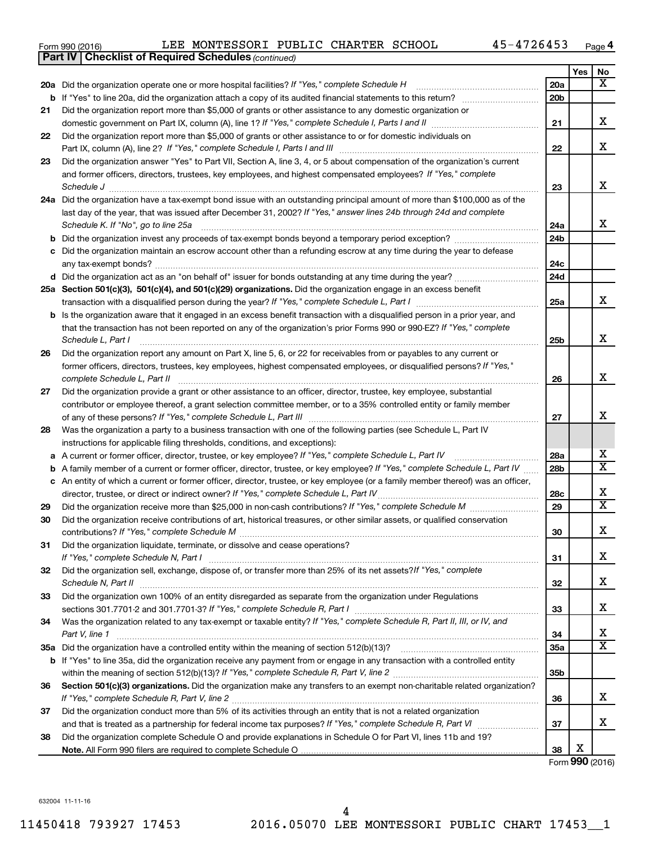| Form 990 (2016) |  |  | LEE MONTESSORI PUBLIC CHARTER SCHOOL |  |  |  | 45-4726453 | Page |  |
|-----------------|--|--|--------------------------------------|--|--|--|------------|------|--|
|-----------------|--|--|--------------------------------------|--|--|--|------------|------|--|

|    | <b>Part IV   Checklist of Required Schedules (continued)</b>                                                                        |     |     |                         |
|----|-------------------------------------------------------------------------------------------------------------------------------------|-----|-----|-------------------------|
|    |                                                                                                                                     |     | Yes | No                      |
|    | 20a Did the organization operate one or more hospital facilities? If "Yes," complete Schedule H                                     | 20a |     | X                       |
|    |                                                                                                                                     | 20b |     |                         |
| 21 | Did the organization report more than \$5,000 of grants or other assistance to any domestic organization or                         |     |     |                         |
|    |                                                                                                                                     | 21  |     | х                       |
| 22 | Did the organization report more than \$5,000 of grants or other assistance to or for domestic individuals on                       |     |     |                         |
|    |                                                                                                                                     | 22  |     | x                       |
| 23 | Did the organization answer "Yes" to Part VII, Section A, line 3, 4, or 5 about compensation of the organization's current          |     |     |                         |
|    | and former officers, directors, trustees, key employees, and highest compensated employees? If "Yes," complete                      |     |     |                         |
|    | Schedule J <b>Execute J Execute 2 CONSUMER</b>                                                                                      | 23  |     | x                       |
|    | 24a Did the organization have a tax-exempt bond issue with an outstanding principal amount of more than \$100,000 as of the         |     |     |                         |
|    | last day of the year, that was issued after December 31, 2002? If "Yes," answer lines 24b through 24d and complete                  |     |     |                         |
|    | Schedule K. If "No", go to line 25a                                                                                                 | 24a |     | x                       |
| b  |                                                                                                                                     | 24b |     |                         |
|    | Did the organization maintain an escrow account other than a refunding escrow at any time during the year to defease                |     |     |                         |
|    |                                                                                                                                     | 24c |     |                         |
|    |                                                                                                                                     | 24d |     |                         |
|    | 25a Section 501(c)(3), 501(c)(4), and 501(c)(29) organizations. Did the organization engage in an excess benefit                    |     |     |                         |
|    |                                                                                                                                     | 25a |     | x                       |
|    | <b>b</b> Is the organization aware that it engaged in an excess benefit transaction with a disqualified person in a prior year, and |     |     |                         |
|    | that the transaction has not been reported on any of the organization's prior Forms 990 or 990-EZ? If "Yes," complete               |     |     |                         |
|    | Schedule L, Part I                                                                                                                  | 25b |     | x                       |
| 26 | Did the organization report any amount on Part X, line 5, 6, or 22 for receivables from or payables to any current or               |     |     |                         |
|    | former officers, directors, trustees, key employees, highest compensated employees, or disqualified persons? If "Yes,"              |     |     |                         |
|    |                                                                                                                                     | 26  |     | X                       |
| 27 | Did the organization provide a grant or other assistance to an officer, director, trustee, key employee, substantial                |     |     |                         |
|    | contributor or employee thereof, a grant selection committee member, or to a 35% controlled entity or family member                 |     |     |                         |
|    |                                                                                                                                     | 27  |     | x                       |
| 28 | Was the organization a party to a business transaction with one of the following parties (see Schedule L, Part IV                   |     |     |                         |
|    | instructions for applicable filing thresholds, conditions, and exceptions):                                                         |     |     |                         |
| а  | A current or former officer, director, trustee, or key employee? If "Yes," complete Schedule L, Part IV                             | 28a |     | x                       |
| b  | A family member of a current or former officer, director, trustee, or key employee? If "Yes," complete Schedule L, Part IV          | 28b |     | $\overline{\textbf{x}}$ |
|    | c An entity of which a current or former officer, director, trustee, or key employee (or a family member thereof) was an officer,   |     |     |                         |
|    | director, trustee, or direct or indirect owner? If "Yes," complete Schedule L, Part IV                                              | 28c |     | х                       |
| 29 |                                                                                                                                     | 29  |     | $\overline{\mathbf{X}}$ |
| 30 | Did the organization receive contributions of art, historical treasures, or other similar assets, or qualified conservation         |     |     |                         |
|    |                                                                                                                                     | 30  |     | Χ                       |
| 31 | Did the organization liquidate, terminate, or dissolve and cease operations?                                                        |     |     |                         |
|    |                                                                                                                                     | 31  |     | x                       |
| 32 | Did the organization sell, exchange, dispose of, or transfer more than 25% of its net assets?/f "Yes," complete                     |     |     |                         |
|    |                                                                                                                                     | 32  |     | х                       |
| 33 | Did the organization own 100% of an entity disregarded as separate from the organization under Regulations                          |     |     |                         |
|    |                                                                                                                                     | 33  |     | х                       |
| 34 | Was the organization related to any tax-exempt or taxable entity? If "Yes," complete Schedule R, Part II, III, or IV, and           |     |     |                         |
|    | Part V, line 1                                                                                                                      | 34  |     | х                       |
|    |                                                                                                                                     | 35a |     | $\overline{\textbf{X}}$ |
|    | b If "Yes" to line 35a, did the organization receive any payment from or engage in any transaction with a controlled entity         |     |     |                         |
|    |                                                                                                                                     | 35b |     |                         |
| 36 | Section 501(c)(3) organizations. Did the organization make any transfers to an exempt non-charitable related organization?          |     |     |                         |
|    |                                                                                                                                     | 36  |     | x                       |
| 37 | Did the organization conduct more than 5% of its activities through an entity that is not a related organization                    |     |     |                         |
|    |                                                                                                                                     | 37  |     | х                       |
| 38 | Did the organization complete Schedule O and provide explanations in Schedule O for Part VI, lines 11b and 19?                      |     |     |                         |
|    |                                                                                                                                     | 38  | х   |                         |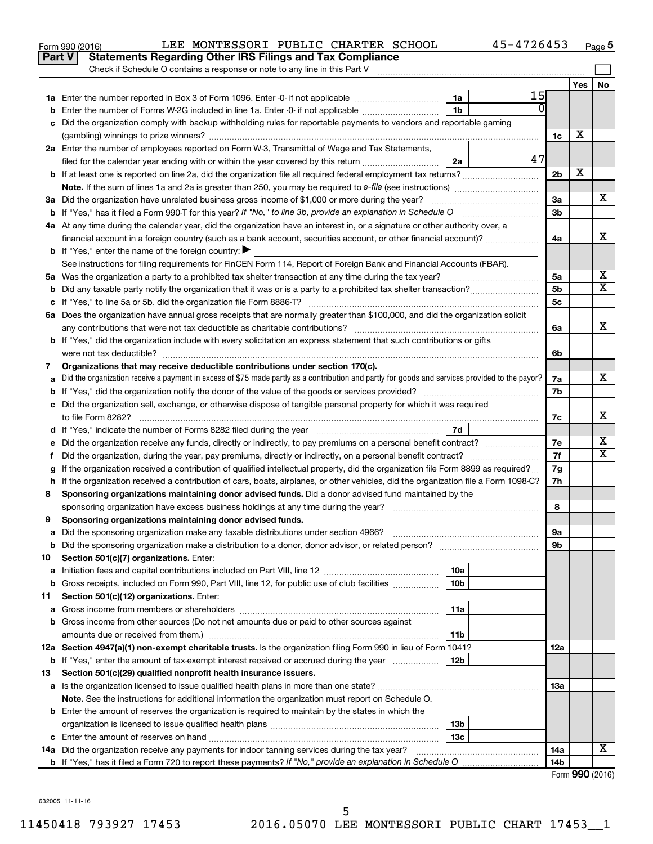|               | 45-4726453<br>LEE MONTESSORI PUBLIC CHARTER SCHOOL<br>Form 990 (2016)                                                                           |                |                       | Page 5                |
|---------------|-------------------------------------------------------------------------------------------------------------------------------------------------|----------------|-----------------------|-----------------------|
| <b>Part V</b> | <b>Statements Regarding Other IRS Filings and Tax Compliance</b>                                                                                |                |                       |                       |
|               | Check if Schedule O contains a response or note to any line in this Part V                                                                      |                |                       |                       |
|               |                                                                                                                                                 |                | Yes                   | No                    |
|               | 15<br>1a                                                                                                                                        |                |                       |                       |
| b             | $\overline{0}$<br>1 <sub>b</sub><br>Enter the number of Forms W-2G included in line 1a. Enter -0- if not applicable                             |                |                       |                       |
| c             | Did the organization comply with backup withholding rules for reportable payments to vendors and reportable gaming                              |                |                       |                       |
|               |                                                                                                                                                 | 1c             | х                     |                       |
|               | 2a Enter the number of employees reported on Form W-3, Transmittal of Wage and Tax Statements,                                                  |                |                       |                       |
|               | 47<br>filed for the calendar year ending with or within the year covered by this return<br>2a                                                   |                |                       |                       |
|               | <b>b</b> If at least one is reported on line 2a, did the organization file all required federal employment tax returns?                         | 2 <sub>b</sub> | X                     |                       |
|               |                                                                                                                                                 |                |                       |                       |
|               | 3a Did the organization have unrelated business gross income of \$1,000 or more during the year?                                                | 3a             |                       | х                     |
|               | <b>b</b> If "Yes," has it filed a Form 990-T for this year? If "No," to line 3b, provide an explanation in Schedule O                           | 3b             |                       |                       |
|               | 4a At any time during the calendar year, did the organization have an interest in, or a signature or other authority over, a                    |                |                       |                       |
|               | financial account in a foreign country (such as a bank account, securities account, or other financial account)?                                | 4a             |                       | x                     |
|               | <b>b</b> If "Yes," enter the name of the foreign country: $\blacktriangleright$                                                                 |                |                       |                       |
|               | See instructions for filing requirements for FinCEN Form 114, Report of Foreign Bank and Financial Accounts (FBAR).                             |                |                       |                       |
|               |                                                                                                                                                 | 5a             |                       | х                     |
| b             |                                                                                                                                                 | 5b             |                       | $\overline{\text{X}}$ |
|               |                                                                                                                                                 | 5c             |                       |                       |
|               | 6a Does the organization have annual gross receipts that are normally greater than \$100,000, and did the organization solicit                  |                |                       |                       |
|               |                                                                                                                                                 | 6a             |                       | x                     |
|               | <b>b</b> If "Yes," did the organization include with every solicitation an express statement that such contributions or gifts                   |                |                       |                       |
|               | were not tax deductible?                                                                                                                        | 6b             |                       |                       |
| 7             | Organizations that may receive deductible contributions under section 170(c).                                                                   |                |                       |                       |
| a             | Did the organization receive a payment in excess of \$75 made partly as a contribution and partly for goods and services provided to the payor? | 7а             |                       | x                     |
| b             |                                                                                                                                                 | 7b             |                       |                       |
|               | c Did the organization sell, exchange, or otherwise dispose of tangible personal property for which it was required                             |                |                       |                       |
|               |                                                                                                                                                 | 7c             |                       | x                     |
|               | 7d                                                                                                                                              |                |                       |                       |
|               |                                                                                                                                                 | 7e             |                       | х                     |
| Ť.            | Did the organization, during the year, pay premiums, directly or indirectly, on a personal benefit contract?                                    | 7f             |                       | $\overline{\text{X}}$ |
| g             | If the organization received a contribution of qualified intellectual property, did the organization file Form 8899 as required?                | 7g             |                       |                       |
|               | h If the organization received a contribution of cars, boats, airplanes, or other vehicles, did the organization file a Form 1098-C?            | 7h             |                       |                       |
| 8             | Sponsoring organizations maintaining donor advised funds. Did a donor advised fund maintained by the                                            |                |                       |                       |
|               |                                                                                                                                                 | 8              |                       |                       |
|               | Sponsoring organizations maintaining donor advised funds.                                                                                       |                |                       |                       |
| а             |                                                                                                                                                 | 9а             |                       |                       |
| b             |                                                                                                                                                 | 9b             |                       |                       |
| 10            | Section 501(c)(7) organizations. Enter:                                                                                                         |                |                       |                       |
| a             | 10a                                                                                                                                             |                |                       |                       |
| b             | 10 <sub>b</sub><br>Gross receipts, included on Form 990, Part VIII, line 12, for public use of club facilities                                  |                |                       |                       |
| 11            | Section 501(c)(12) organizations. Enter:                                                                                                        |                |                       |                       |
| а             | 11a                                                                                                                                             |                |                       |                       |
| b             | Gross income from other sources (Do not net amounts due or paid to other sources against                                                        |                |                       |                       |
|               | 11b                                                                                                                                             |                |                       |                       |
|               | 12a Section 4947(a)(1) non-exempt charitable trusts. Is the organization filing Form 990 in lieu of Form 1041?                                  | 12a            |                       |                       |
|               | <b>b</b> If "Yes," enter the amount of tax-exempt interest received or accrued during the year<br>12b                                           |                |                       |                       |
| 13            | Section 501(c)(29) qualified nonprofit health insurance issuers.                                                                                |                |                       |                       |
| а             |                                                                                                                                                 | 1За            |                       |                       |
|               | Note. See the instructions for additional information the organization must report on Schedule O.                                               |                |                       |                       |
|               | <b>b</b> Enter the amount of reserves the organization is required to maintain by the states in which the                                       |                |                       |                       |
|               | 13b                                                                                                                                             |                |                       |                       |
| c             | 13 <sub>c</sub>                                                                                                                                 |                |                       |                       |
|               | 14a Did the organization receive any payments for indoor tanning services during the tax year?                                                  | 14a            |                       | х                     |
|               |                                                                                                                                                 | 14b            |                       |                       |
|               |                                                                                                                                                 |                | Enrm $QQ \cap (2016)$ |                       |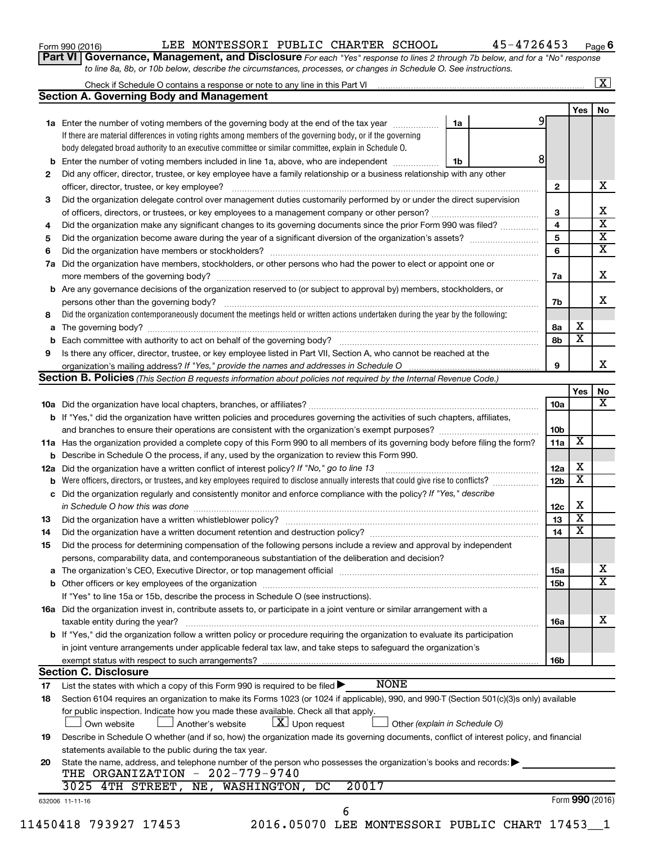| Form 990 (2016) |  |
|-----------------|--|
|-----------------|--|

#### Form 990 (2016) Page LEE MONTESSORI PUBLIC CHARTER SCHOOL 45-4726453

**Part VI** Governance, Management, and Disclosure For each "Yes" response to lines 2 through 7b below, and for a "No" response *to line 8a, 8b, or 10b below, describe the circumstances, processes, or changes in Schedule O. See instructions.*

|     | Check if Schedule O contains a response or note to any line in this Part VI [11] [12] [2] [2] [2] [2] [2] [2] [                                                                                                                |                               |                 |                         | $\mathbf{X}$            |
|-----|--------------------------------------------------------------------------------------------------------------------------------------------------------------------------------------------------------------------------------|-------------------------------|-----------------|-------------------------|-------------------------|
|     | <b>Section A. Governing Body and Management</b>                                                                                                                                                                                |                               |                 |                         |                         |
|     |                                                                                                                                                                                                                                |                               |                 | Yes                     | No                      |
|     | 1a Enter the number of voting members of the governing body at the end of the tax year                                                                                                                                         | 1a                            | 91              |                         |                         |
|     | If there are material differences in voting rights among members of the governing body, or if the governing                                                                                                                    |                               |                 |                         |                         |
|     | body delegated broad authority to an executive committee or similar committee, explain in Schedule O.                                                                                                                          |                               |                 |                         |                         |
| b   | Enter the number of voting members included in line 1a, above, who are independent                                                                                                                                             | 1b                            | 8               |                         |                         |
| 2   | Did any officer, director, trustee, or key employee have a family relationship or a business relationship with any other                                                                                                       |                               |                 |                         |                         |
|     | officer, director, trustee, or key employee?                                                                                                                                                                                   |                               | $\mathbf{2}$    |                         | х                       |
| 3   | Did the organization delegate control over management duties customarily performed by or under the direct supervision                                                                                                          |                               |                 |                         |                         |
|     |                                                                                                                                                                                                                                |                               | 3               |                         | х                       |
| 4   | Did the organization make any significant changes to its governing documents since the prior Form 990 was filed?                                                                                                               |                               | 4               |                         | $\overline{\mathbf{x}}$ |
| 5   |                                                                                                                                                                                                                                |                               | 5               |                         | $\overline{\mathbf{x}}$ |
| 6   |                                                                                                                                                                                                                                |                               | 6               |                         | $\overline{\mathbf{x}}$ |
| 7a  | Did the organization have members, stockholders, or other persons who had the power to elect or appoint one or                                                                                                                 |                               |                 |                         |                         |
|     |                                                                                                                                                                                                                                |                               | 7a              |                         | X                       |
| b   | Are any governance decisions of the organization reserved to (or subject to approval by) members, stockholders, or                                                                                                             |                               |                 |                         |                         |
|     |                                                                                                                                                                                                                                |                               | 7b              |                         | x                       |
| 8   | Did the organization contemporaneously document the meetings held or written actions undertaken during the year by the following:                                                                                              |                               |                 |                         |                         |
| а   |                                                                                                                                                                                                                                |                               | 8a              | х                       |                         |
|     |                                                                                                                                                                                                                                |                               | 8b              | $\overline{\textbf{x}}$ |                         |
| 9   | Is there any officer, director, trustee, or key employee listed in Part VII, Section A, who cannot be reached at the                                                                                                           |                               |                 |                         |                         |
|     |                                                                                                                                                                                                                                |                               | 9               |                         | х                       |
|     | Section B. Policies (This Section B requests information about policies not required by the Internal Revenue Code.)                                                                                                            |                               |                 |                         |                         |
|     |                                                                                                                                                                                                                                |                               |                 | Yes                     | No                      |
|     |                                                                                                                                                                                                                                |                               | 10a             |                         | х                       |
|     | <b>b</b> If "Yes," did the organization have written policies and procedures governing the activities of such chapters, affiliates,                                                                                            |                               |                 |                         |                         |
|     |                                                                                                                                                                                                                                |                               | 10b             |                         |                         |
|     | 11a Has the organization provided a complete copy of this Form 990 to all members of its governing body before filing the form?                                                                                                |                               | 11a             | X                       |                         |
|     |                                                                                                                                                                                                                                |                               |                 |                         |                         |
|     | Describe in Schedule O the process, if any, used by the organization to review this Form 990.                                                                                                                                  |                               | 12a             | х                       |                         |
| 12a | Did the organization have a written conflict of interest policy? If "No," go to line 13<br>Were officers, directors, or trustees, and key employees required to disclose annually interests that could give rise to conflicts? |                               | 12 <sub>b</sub> | X                       |                         |
|     |                                                                                                                                                                                                                                |                               |                 |                         |                         |
| с   | Did the organization regularly and consistently monitor and enforce compliance with the policy? If "Yes," describe                                                                                                             |                               |                 | X                       |                         |
|     | in Schedule O how this was done manufactured and continuum and contact the was done manufactured and contact t                                                                                                                 |                               | 12c             | $\overline{\mathbf{x}}$ |                         |
| 13  |                                                                                                                                                                                                                                |                               | 13              | X                       |                         |
| 14  |                                                                                                                                                                                                                                |                               | 14              |                         |                         |
| 15  | Did the process for determining compensation of the following persons include a review and approval by independent                                                                                                             |                               |                 |                         |                         |
|     | persons, comparability data, and contemporaneous substantiation of the deliberation and decision?                                                                                                                              |                               |                 |                         |                         |
| а   | The organization's CEO, Executive Director, or top management official [111] [11] manument content of the organization's CEO, Executive Director, or top management official [11] manument content of the organization of the  |                               | 15a             |                         | x                       |
|     |                                                                                                                                                                                                                                |                               | 15b             |                         | $\mathbf x$             |
|     | If "Yes" to line 15a or 15b, describe the process in Schedule O (see instructions).                                                                                                                                            |                               |                 |                         |                         |
|     | 16a Did the organization invest in, contribute assets to, or participate in a joint venture or similar arrangement with a                                                                                                      |                               |                 |                         |                         |
|     | taxable entity during the year?                                                                                                                                                                                                |                               | 16a             |                         | x                       |
|     | b If "Yes," did the organization follow a written policy or procedure requiring the organization to evaluate its participation                                                                                                 |                               |                 |                         |                         |
|     | in joint venture arrangements under applicable federal tax law, and take steps to safeguard the organization's                                                                                                                 |                               |                 |                         |                         |
|     | exempt status with respect to such arrangements?                                                                                                                                                                               |                               | 16b             |                         |                         |
|     | <b>Section C. Disclosure</b>                                                                                                                                                                                                   |                               |                 |                         |                         |
| 17  | <b>NONE</b><br>List the states with which a copy of this Form 990 is required to be filed $\blacktriangleright$                                                                                                                |                               |                 |                         |                         |
| 18  | Section 6104 requires an organization to make its Forms 1023 (or 1024 if applicable), 990, and 990-T (Section 501(c)(3)s only) available                                                                                       |                               |                 |                         |                         |
|     | for public inspection. Indicate how you made these available. Check all that apply.                                                                                                                                            |                               |                 |                         |                         |
|     | $X$ Upon request<br>Own website<br>Another's website                                                                                                                                                                           | Other (explain in Schedule O) |                 |                         |                         |
| 19  | Describe in Schedule O whether (and if so, how) the organization made its governing documents, conflict of interest policy, and financial                                                                                      |                               |                 |                         |                         |
|     | statements available to the public during the tax year.                                                                                                                                                                        |                               |                 |                         |                         |
| 20  | State the name, address, and telephone number of the person who possesses the organization's books and records:                                                                                                                |                               |                 |                         |                         |
|     | THE ORGANIZATION - 202-779-9740                                                                                                                                                                                                |                               |                 |                         |                         |
|     | 20017<br>3025 4TH STREET, NE, WASHINGTON,<br>DC                                                                                                                                                                                |                               |                 |                         |                         |
|     | 632006 11-11-16                                                                                                                                                                                                                |                               |                 | Form 990 (2016)         |                         |
|     | 6                                                                                                                                                                                                                              |                               |                 |                         |                         |
|     | 2016.05070 LEE MONTESSORI PUBLIC CHART 17453_1<br>11450418 793927 17453                                                                                                                                                        |                               |                 |                         |                         |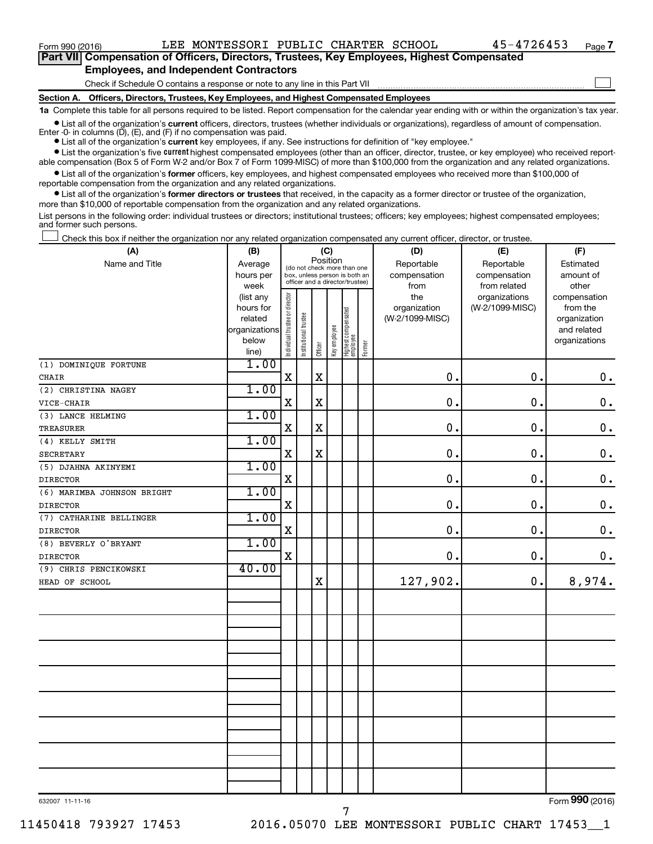$\Box$ 

| Part VII Compensation of Officers, Directors, Trustees, Key Employees, Highest Compensated |  |
|--------------------------------------------------------------------------------------------|--|
| <b>Employees, and Independent Contractors</b>                                              |  |

#### Check if Schedule O contains a response or note to any line in this Part VII

**Section A. Officers, Directors, Trustees, Key Employees, and Highest Compensated Employees**

**1a**  Complete this table for all persons required to be listed. Report compensation for the calendar year ending with or within the organization's tax year.

**•** List all of the organization's current officers, directors, trustees (whether individuals or organizations), regardless of amount of compensation.

**•** List all of the organization's **current** key employees, if any. See instructions for definition of "key employee." Enter -0- in columns  $(D)$ ,  $(E)$ , and  $(F)$  if no compensation was paid.

**•** List the organization's five current highest compensated employees (other than an officer, director, trustee, or key employee) who received report-

**•** List all of the organization's former officers, key employees, and highest compensated employees who received more than \$100,000 of able compensation (Box 5 of Form W-2 and/or Box 7 of Form 1099-MISC) of more than \$100,000 from the organization and any related organizations. reportable compensation from the organization and any related organizations.

**•** List all of the organization's former directors or trustees that received, in the capacity as a former director or trustee of the organization, more than \$10,000 of reportable compensation from the organization and any related organizations.

List persons in the following order: individual trustees or directors; institutional trustees; officers; key employees; highest compensated employees; and former such persons.

|  |  |  | Check this box if neither the organization nor any related organization compensated any current officer, director, or trustee. |  |  |
|--|--|--|--------------------------------------------------------------------------------------------------------------------------------|--|--|
|  |  |  |                                                                                                                                |  |  |

| (A)                        | (B)                    | (C)                                     |                                                                  |             |              |                                 |        | (D)                 | (E)                              | (F)                      |  |  |
|----------------------------|------------------------|-----------------------------------------|------------------------------------------------------------------|-------------|--------------|---------------------------------|--------|---------------------|----------------------------------|--------------------------|--|--|
| Name and Title             | Average                | Position<br>(do not check more than one |                                                                  |             |              |                                 |        | Reportable          | Reportable                       | Estimated                |  |  |
|                            | hours per              |                                         | box, unless person is both an<br>officer and a director/trustee) |             |              |                                 |        | compensation        | compensation                     | amount of                |  |  |
|                            | week                   |                                         |                                                                  |             |              |                                 |        | from                | from related                     | other                    |  |  |
|                            | (list any<br>hours for |                                         |                                                                  |             |              |                                 |        | the<br>organization | organizations<br>(W-2/1099-MISC) | compensation<br>from the |  |  |
|                            | related                |                                         |                                                                  |             |              |                                 |        | (W-2/1099-MISC)     |                                  | organization             |  |  |
|                            | organizations          |                                         |                                                                  |             |              |                                 |        |                     |                                  | and related              |  |  |
|                            | below                  | Individual trustee or director          | Institutional trustee                                            |             | Key employee | Highest compensated<br>employee |        |                     |                                  | organizations            |  |  |
|                            | line)                  |                                         |                                                                  | Officer     |              |                                 | Former |                     |                                  |                          |  |  |
| (1) DOMINIQUE FORTUNE      | 1.00                   |                                         |                                                                  |             |              |                                 |        |                     |                                  |                          |  |  |
| <b>CHAIR</b>               |                        | X                                       |                                                                  | $\mathbf x$ |              |                                 |        | $\mathbf 0$ .       | 0.                               | $\mathbf 0$ .            |  |  |
| (2) CHRISTINA NAGEY        | 1.00                   |                                         |                                                                  |             |              |                                 |        |                     |                                  |                          |  |  |
| VICE-CHAIR                 |                        | X                                       |                                                                  | $\mathbf X$ |              |                                 |        | $\mathbf 0$ .       | 0.                               | $\mathbf 0$ .            |  |  |
| (3) LANCE HELMING          | 1.00                   |                                         |                                                                  |             |              |                                 |        |                     |                                  |                          |  |  |
| TREASURER                  |                        | $\mathbf X$                             |                                                                  | $\mathbf X$ |              |                                 |        | $\mathbf 0$ .       | $\mathbf 0$ .                    | $\mathbf 0$ .            |  |  |
| (4) KELLY SMITH            | 1.00                   |                                         |                                                                  |             |              |                                 |        |                     |                                  |                          |  |  |
| SECRETARY                  |                        | X                                       |                                                                  | $\mathbf X$ |              |                                 |        | $\mathbf 0$ .       | 0.                               | $\mathbf 0$ .            |  |  |
| (5) DJAHNA AKINYEMI        | 1.00                   |                                         |                                                                  |             |              |                                 |        |                     |                                  |                          |  |  |
| <b>DIRECTOR</b>            |                        | X                                       |                                                                  |             |              |                                 |        | $\mathbf 0$ .       | 0.                               | $\mathbf 0$ .            |  |  |
| (6) MARIMBA JOHNSON BRIGHT | 1.00                   |                                         |                                                                  |             |              |                                 |        |                     |                                  |                          |  |  |
| <b>DIRECTOR</b>            |                        | $\mathbf X$                             |                                                                  |             |              |                                 |        | $\mathbf 0$ .       | 0.                               | $\mathbf 0$ .            |  |  |
| (7) CATHARINE BELLINGER    | 1.00                   |                                         |                                                                  |             |              |                                 |        |                     |                                  |                          |  |  |
| <b>DIRECTOR</b>            |                        | $\mathbf X$                             |                                                                  |             |              |                                 |        | 0.                  | 0.                               | $\mathbf 0$ .            |  |  |
| (8) BEVERLY O'BRYANT       | 1.00                   |                                         |                                                                  |             |              |                                 |        |                     |                                  |                          |  |  |
| <b>DIRECTOR</b>            |                        | $\mathbf X$                             |                                                                  |             |              |                                 |        | 0.                  | 0.                               | $\mathbf 0$ .            |  |  |
| (9) CHRIS PENCIKOWSKI      | 40.00                  |                                         |                                                                  |             |              |                                 |        |                     |                                  |                          |  |  |
| HEAD OF SCHOOL             |                        |                                         |                                                                  | $\mathbf X$ |              |                                 |        | 127,902.            | 0.                               | 8,974.                   |  |  |
|                            |                        |                                         |                                                                  |             |              |                                 |        |                     |                                  |                          |  |  |
|                            |                        |                                         |                                                                  |             |              |                                 |        |                     |                                  |                          |  |  |
|                            |                        |                                         |                                                                  |             |              |                                 |        |                     |                                  |                          |  |  |
|                            |                        |                                         |                                                                  |             |              |                                 |        |                     |                                  |                          |  |  |
|                            |                        |                                         |                                                                  |             |              |                                 |        |                     |                                  |                          |  |  |
|                            |                        |                                         |                                                                  |             |              |                                 |        |                     |                                  |                          |  |  |
|                            |                        |                                         |                                                                  |             |              |                                 |        |                     |                                  |                          |  |  |
|                            |                        |                                         |                                                                  |             |              |                                 |        |                     |                                  |                          |  |  |
|                            |                        |                                         |                                                                  |             |              |                                 |        |                     |                                  |                          |  |  |
|                            |                        |                                         |                                                                  |             |              |                                 |        |                     |                                  |                          |  |  |
|                            |                        |                                         |                                                                  |             |              |                                 |        |                     |                                  |                          |  |  |
|                            |                        |                                         |                                                                  |             |              |                                 |        |                     |                                  |                          |  |  |
|                            |                        |                                         |                                                                  |             |              |                                 |        |                     |                                  |                          |  |  |
|                            |                        |                                         |                                                                  |             |              |                                 |        |                     |                                  |                          |  |  |
|                            |                        |                                         |                                                                  |             |              |                                 |        |                     |                                  |                          |  |  |
|                            |                        |                                         |                                                                  |             |              |                                 |        |                     |                                  |                          |  |  |

632007 11-11-16

Form (2016) **990**

7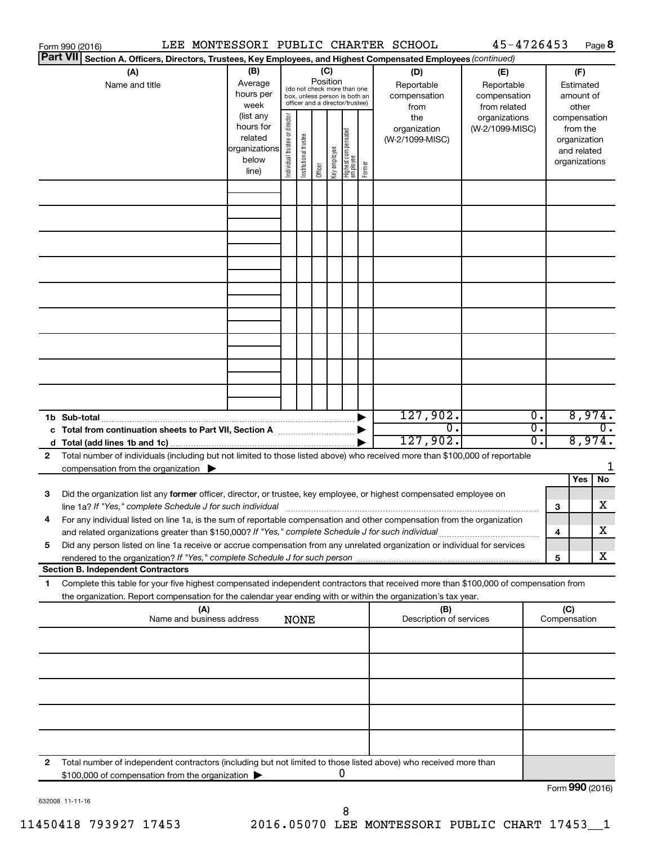|                 | Form 990 (2016)                                                                                                                                                                                                                                                           |                                                                                                             |                                |                       |                     |                     |                                                                                                                                     |        | LEE MONTESSORI PUBLIC CHARTER SCHOOL                                                | 45-4726453                                                                            |          |                     |                                                                                                                    | Page 8 |
|-----------------|---------------------------------------------------------------------------------------------------------------------------------------------------------------------------------------------------------------------------------------------------------------------------|-------------------------------------------------------------------------------------------------------------|--------------------------------|-----------------------|---------------------|---------------------|-------------------------------------------------------------------------------------------------------------------------------------|--------|-------------------------------------------------------------------------------------|---------------------------------------------------------------------------------------|----------|---------------------|--------------------------------------------------------------------------------------------------------------------|--------|
| <b>Part VII</b> | Section A. Officers, Directors, Trustees, Key Employees, and Highest Compensated Employees (continued)                                                                                                                                                                    |                                                                                                             |                                |                       |                     |                     |                                                                                                                                     |        |                                                                                     |                                                                                       |          |                     |                                                                                                                    |        |
|                 | (A)<br>Name and title                                                                                                                                                                                                                                                     | (B)<br>Average<br>hours per<br>week<br>(list any<br>hours for<br>related<br>organizations<br>below<br>line) | Individual trustee or director | Institutional trustee | Position<br>Officer | (C)<br>Key employee | (do not check more than one<br>box, unless person is both an<br>officer and a director/trustee)<br>Highest compensated<br> employee | Former | (D)<br>Reportable<br>compensation<br>from<br>the<br>organization<br>(W-2/1099-MISC) | (E)<br>Reportable<br>compensation<br>from related<br>organizations<br>(W-2/1099-MISC) |          |                     | (F)<br>Estimated<br>amount of<br>other<br>compensation<br>from the<br>organization<br>and related<br>organizations |        |
|                 |                                                                                                                                                                                                                                                                           |                                                                                                             |                                |                       |                     |                     |                                                                                                                                     |        |                                                                                     |                                                                                       |          |                     |                                                                                                                    |        |
|                 |                                                                                                                                                                                                                                                                           |                                                                                                             |                                |                       |                     |                     |                                                                                                                                     |        |                                                                                     |                                                                                       |          |                     |                                                                                                                    |        |
|                 |                                                                                                                                                                                                                                                                           |                                                                                                             |                                |                       |                     |                     |                                                                                                                                     |        |                                                                                     |                                                                                       |          |                     |                                                                                                                    |        |
|                 |                                                                                                                                                                                                                                                                           |                                                                                                             |                                |                       |                     |                     |                                                                                                                                     |        |                                                                                     |                                                                                       |          |                     |                                                                                                                    |        |
|                 |                                                                                                                                                                                                                                                                           |                                                                                                             |                                |                       |                     |                     |                                                                                                                                     |        |                                                                                     |                                                                                       |          |                     |                                                                                                                    |        |
|                 |                                                                                                                                                                                                                                                                           |                                                                                                             |                                |                       |                     |                     |                                                                                                                                     |        |                                                                                     |                                                                                       |          |                     |                                                                                                                    |        |
|                 |                                                                                                                                                                                                                                                                           |                                                                                                             |                                |                       |                     |                     |                                                                                                                                     |        |                                                                                     |                                                                                       |          |                     |                                                                                                                    |        |
|                 |                                                                                                                                                                                                                                                                           |                                                                                                             |                                |                       |                     |                     |                                                                                                                                     |        |                                                                                     |                                                                                       |          |                     |                                                                                                                    |        |
|                 |                                                                                                                                                                                                                                                                           |                                                                                                             |                                |                       |                     |                     |                                                                                                                                     |        |                                                                                     |                                                                                       |          |                     |                                                                                                                    |        |
|                 |                                                                                                                                                                                                                                                                           |                                                                                                             |                                |                       |                     |                     |                                                                                                                                     |        |                                                                                     |                                                                                       |          |                     |                                                                                                                    |        |
|                 |                                                                                                                                                                                                                                                                           |                                                                                                             |                                |                       |                     |                     |                                                                                                                                     |        |                                                                                     |                                                                                       |          |                     |                                                                                                                    |        |
|                 | 1b Sub-total                                                                                                                                                                                                                                                              |                                                                                                             |                                |                       |                     |                     |                                                                                                                                     |        | 127,902.                                                                            |                                                                                       | Ο.       | 8,974.              |                                                                                                                    |        |
|                 | c Total from continuation sheets to Part VII, Section A manufactured by                                                                                                                                                                                                   |                                                                                                             |                                |                       |                     |                     |                                                                                                                                     |        | О.<br>127,902.                                                                      |                                                                                       | σ.<br>σ. | 8,974.              |                                                                                                                    | 0.     |
| $\mathbf{2}$    | Total number of individuals (including but not limited to those listed above) who received more than \$100,000 of reportable                                                                                                                                              |                                                                                                             |                                |                       |                     |                     |                                                                                                                                     |        |                                                                                     |                                                                                       |          |                     |                                                                                                                    | 1      |
|                 | compensation from the organization $\blacktriangleright$                                                                                                                                                                                                                  |                                                                                                             |                                |                       |                     |                     |                                                                                                                                     |        |                                                                                     |                                                                                       |          |                     | Yes                                                                                                                | No     |
| З               | Did the organization list any former officer, director, or trustee, key employee, or highest compensated employee on                                                                                                                                                      |                                                                                                             |                                |                       |                     |                     |                                                                                                                                     |        |                                                                                     |                                                                                       |          |                     |                                                                                                                    | x.     |
|                 | line 1a? If "Yes," complete Schedule J for such individual [11] manufacture manufacture 1a? If "Yes," complete Schedule J for such individual<br>For any individual listed on line 1a, is the sum of reportable compensation and other compensation from the organization |                                                                                                             |                                |                       |                     |                     |                                                                                                                                     |        |                                                                                     |                                                                                       |          | з                   |                                                                                                                    |        |
| 5               | and related organizations greater than \$150,000? If "Yes," complete Schedule J for such individual<br>Did any person listed on line 1a receive or accrue compensation from any unrelated organization or individual for services                                         |                                                                                                             |                                |                       |                     |                     |                                                                                                                                     |        |                                                                                     |                                                                                       |          | 4                   |                                                                                                                    | х      |
|                 | rendered to the organization? If "Yes," complete Schedule J for such person                                                                                                                                                                                               |                                                                                                             |                                |                       |                     |                     |                                                                                                                                     |        |                                                                                     |                                                                                       |          | 5                   |                                                                                                                    | X.     |
| 1               | <b>Section B. Independent Contractors</b><br>Complete this table for your five highest compensated independent contractors that received more than \$100,000 of compensation from                                                                                         |                                                                                                             |                                |                       |                     |                     |                                                                                                                                     |        |                                                                                     |                                                                                       |          |                     |                                                                                                                    |        |
|                 | the organization. Report compensation for the calendar year ending with or within the organization's tax year.                                                                                                                                                            |                                                                                                             |                                |                       |                     |                     |                                                                                                                                     |        |                                                                                     |                                                                                       |          |                     |                                                                                                                    |        |
|                 | (A)<br>Name and business address                                                                                                                                                                                                                                          |                                                                                                             |                                | <b>NONE</b>           |                     |                     |                                                                                                                                     |        | (B)<br>Description of services                                                      |                                                                                       |          | (C)<br>Compensation |                                                                                                                    |        |
|                 |                                                                                                                                                                                                                                                                           |                                                                                                             |                                |                       |                     |                     |                                                                                                                                     |        |                                                                                     |                                                                                       |          |                     |                                                                                                                    |        |
|                 |                                                                                                                                                                                                                                                                           |                                                                                                             |                                |                       |                     |                     |                                                                                                                                     |        |                                                                                     |                                                                                       |          |                     |                                                                                                                    |        |
|                 |                                                                                                                                                                                                                                                                           |                                                                                                             |                                |                       |                     |                     |                                                                                                                                     |        |                                                                                     |                                                                                       |          |                     |                                                                                                                    |        |
|                 |                                                                                                                                                                                                                                                                           |                                                                                                             |                                |                       |                     |                     |                                                                                                                                     |        |                                                                                     |                                                                                       |          |                     |                                                                                                                    |        |
|                 |                                                                                                                                                                                                                                                                           |                                                                                                             |                                |                       |                     |                     |                                                                                                                                     |        |                                                                                     |                                                                                       |          |                     |                                                                                                                    |        |
|                 |                                                                                                                                                                                                                                                                           |                                                                                                             |                                |                       |                     |                     |                                                                                                                                     |        |                                                                                     |                                                                                       |          |                     |                                                                                                                    |        |
| 2               | Total number of independent contractors (including but not limited to those listed above) who received more than<br>\$100,000 of compensation from the organization                                                                                                       |                                                                                                             |                                |                       |                     |                     | 0                                                                                                                                   |        |                                                                                     |                                                                                       |          |                     |                                                                                                                    |        |
|                 |                                                                                                                                                                                                                                                                           |                                                                                                             |                                |                       |                     |                     |                                                                                                                                     |        |                                                                                     |                                                                                       |          | Form 990 (2016)     |                                                                                                                    |        |

632008 11-11-16

Form (2016) **990**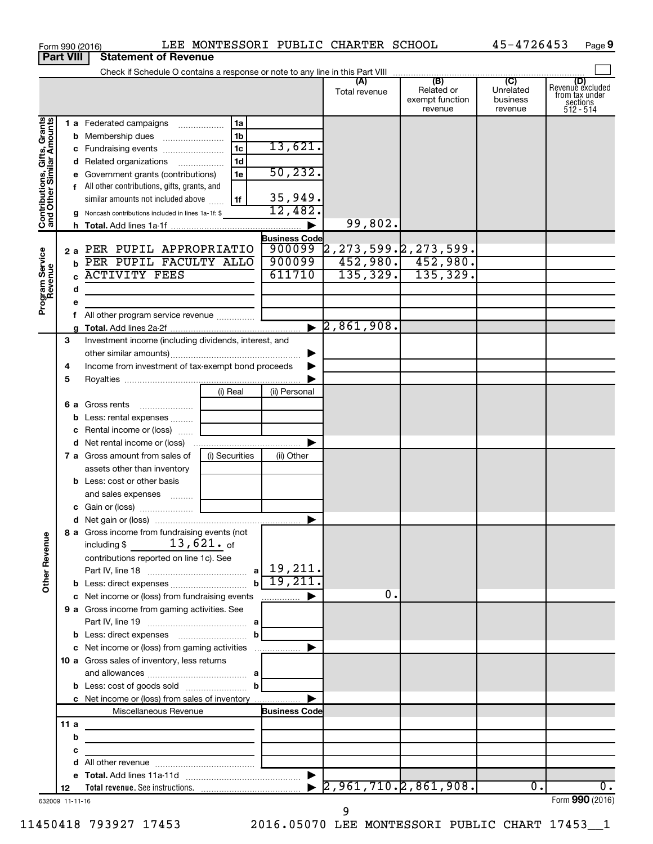|                                                           |      |   | Form 990 (2016)                                                                                |                |                        | LEE MONTESSORI PUBLIC CHARTER SCHOOL                                                                               |                                          | 45-4726453                       | Page 9                                                             |
|-----------------------------------------------------------|------|---|------------------------------------------------------------------------------------------------|----------------|------------------------|--------------------------------------------------------------------------------------------------------------------|------------------------------------------|----------------------------------|--------------------------------------------------------------------|
| <b>Part VIII</b>                                          |      |   | <b>Statement of Revenue</b>                                                                    |                |                        |                                                                                                                    |                                          |                                  |                                                                    |
|                                                           |      |   |                                                                                                |                |                        | (A)                                                                                                                | (B)                                      | $\overline{C}$                   |                                                                    |
|                                                           |      |   |                                                                                                |                |                        | Total revenue                                                                                                      | Related or<br>exempt function<br>revenue | Unrelated<br>business<br>revenue | (D)<br>Revenue excluded<br>from tax under<br>sections<br>512 - 514 |
|                                                           |      |   | 1 a Federated campaigns                                                                        | 1a             |                        |                                                                                                                    |                                          |                                  |                                                                    |
| Contributions, Gifts, Grants<br>and Other Similar Amounts |      |   |                                                                                                | 1 <sub>b</sub> |                        |                                                                                                                    |                                          |                                  |                                                                    |
|                                                           |      |   |                                                                                                | 1 <sub>c</sub> | 13,621.                |                                                                                                                    |                                          |                                  |                                                                    |
|                                                           |      |   | d Related organizations                                                                        | 1 <sub>d</sub> |                        |                                                                                                                    |                                          |                                  |                                                                    |
|                                                           |      |   | e Government grants (contributions)                                                            | 1e             | 50, 232.               |                                                                                                                    |                                          |                                  |                                                                    |
|                                                           |      |   | f All other contributions, gifts, grants, and                                                  |                |                        |                                                                                                                    |                                          |                                  |                                                                    |
|                                                           |      |   | similar amounts not included above                                                             | 1f             | 35,949.                |                                                                                                                    |                                          |                                  |                                                                    |
|                                                           |      |   | g Noncash contributions included in lines 1a-1f: \$                                            |                | 12,482.                |                                                                                                                    |                                          |                                  |                                                                    |
|                                                           |      |   |                                                                                                |                | $\blacktriangleright$  | 99,802.                                                                                                            |                                          |                                  |                                                                    |
|                                                           |      |   |                                                                                                |                | <b>Business Code</b>   |                                                                                                                    |                                          |                                  |                                                                    |
|                                                           |      |   | 2 a PER PUPIL APPROPRIATIO                                                                     |                | 900099                 | $\begin{array}{ c c c c c }\n\hline\n 2,273,599. & 2,273,599. & \textbf{452,980.} & \textbf{452,980.} \end{array}$ |                                          |                                  |                                                                    |
|                                                           |      |   | <b>b</b> PER PUPIL FACULTY ALLO<br><b>ACTIVITY FEES</b>                                        |                | 900099                 |                                                                                                                    |                                          |                                  |                                                                    |
| Program Service<br>Revenue                                |      |   |                                                                                                |                | 611710                 |                                                                                                                    | $135, 329.$ 135, 329.                    |                                  |                                                                    |
|                                                           |      | d |                                                                                                |                |                        |                                                                                                                    |                                          |                                  |                                                                    |
|                                                           |      | е |                                                                                                |                |                        |                                                                                                                    |                                          |                                  |                                                                    |
|                                                           |      |   | All other program service revenue                                                              |                | $\blacktriangleright$  | 2,861,908.                                                                                                         |                                          |                                  |                                                                    |
|                                                           | 3    |   | Investment income (including dividends, interest, and                                          |                |                        |                                                                                                                    |                                          |                                  |                                                                    |
|                                                           |      |   |                                                                                                |                |                        |                                                                                                                    |                                          |                                  |                                                                    |
|                                                           | 4    |   | Income from investment of tax-exempt bond proceeds                                             |                |                        |                                                                                                                    |                                          |                                  |                                                                    |
|                                                           | 5    |   |                                                                                                |                |                        |                                                                                                                    |                                          |                                  |                                                                    |
|                                                           |      |   |                                                                                                | (i) Real       | (ii) Personal          |                                                                                                                    |                                          |                                  |                                                                    |
|                                                           |      |   | 6 a Gross rents                                                                                |                |                        |                                                                                                                    |                                          |                                  |                                                                    |
|                                                           |      |   | <b>b</b> Less: rental expenses                                                                 |                |                        |                                                                                                                    |                                          |                                  |                                                                    |
|                                                           |      |   | c Rental income or (loss)                                                                      |                |                        |                                                                                                                    |                                          |                                  |                                                                    |
|                                                           |      |   |                                                                                                |                |                        |                                                                                                                    |                                          |                                  |                                                                    |
|                                                           |      |   | 7 a Gross amount from sales of                                                                 | (i) Securities | (ii) Other             |                                                                                                                    |                                          |                                  |                                                                    |
|                                                           |      |   | assets other than inventory                                                                    |                |                        |                                                                                                                    |                                          |                                  |                                                                    |
|                                                           |      |   | <b>b</b> Less: cost or other basis                                                             |                |                        |                                                                                                                    |                                          |                                  |                                                                    |
|                                                           |      |   | and sales expenses                                                                             |                |                        |                                                                                                                    |                                          |                                  |                                                                    |
|                                                           |      |   |                                                                                                |                |                        |                                                                                                                    |                                          |                                  |                                                                    |
|                                                           |      |   |                                                                                                |                |                        |                                                                                                                    |                                          |                                  |                                                                    |
|                                                           |      |   | 8 a Gross income from fundraising events (not                                                  |                |                        |                                                                                                                    |                                          |                                  |                                                                    |
|                                                           |      |   | including \$ $13,621$ . of                                                                     |                |                        |                                                                                                                    |                                          |                                  |                                                                    |
|                                                           |      |   | contributions reported on line 1c). See                                                        |                |                        |                                                                                                                    |                                          |                                  |                                                                    |
| <b>Other Revenue</b>                                      |      |   |                                                                                                |                | $b \overline{19,211.}$ |                                                                                                                    |                                          |                                  |                                                                    |
|                                                           |      |   |                                                                                                |                |                        | 0.                                                                                                                 |                                          |                                  |                                                                    |
|                                                           |      |   | c Net income or (loss) from fundraising events<br>9 a Gross income from gaming activities. See |                |                        |                                                                                                                    |                                          |                                  |                                                                    |
|                                                           |      |   |                                                                                                |                |                        |                                                                                                                    |                                          |                                  |                                                                    |
|                                                           |      |   |                                                                                                | $\mathbf{b}$   |                        |                                                                                                                    |                                          |                                  |                                                                    |
|                                                           |      |   | c Net income or (loss) from gaming activities                                                  |                | ▶                      |                                                                                                                    |                                          |                                  |                                                                    |
|                                                           |      |   | 10 a Gross sales of inventory, less returns                                                    |                |                        |                                                                                                                    |                                          |                                  |                                                                    |
|                                                           |      |   |                                                                                                |                |                        |                                                                                                                    |                                          |                                  |                                                                    |
|                                                           |      |   |                                                                                                |                |                        |                                                                                                                    |                                          |                                  |                                                                    |
|                                                           |      |   | c Net income or (loss) from sales of inventory                                                 |                | ▶                      |                                                                                                                    |                                          |                                  |                                                                    |
|                                                           |      |   | Miscellaneous Revenue                                                                          |                | <b>Business Code</b>   |                                                                                                                    |                                          |                                  |                                                                    |
|                                                           | 11 a |   |                                                                                                |                |                        |                                                                                                                    |                                          |                                  |                                                                    |
|                                                           |      | b | <u> 1980 - Johann Stein, mars an deus Amerikaansk kommunister (</u>                            |                |                        |                                                                                                                    |                                          |                                  |                                                                    |
|                                                           |      | с | <u> 1989 - Johann Barbara, martin a</u>                                                        |                |                        |                                                                                                                    |                                          |                                  |                                                                    |
|                                                           |      | d |                                                                                                |                |                        |                                                                                                                    |                                          |                                  |                                                                    |
|                                                           |      |   |                                                                                                |                |                        |                                                                                                                    |                                          |                                  |                                                                    |
|                                                           | 12   |   |                                                                                                |                |                        |                                                                                                                    |                                          | $\overline{0}$ .                 | $\overline{0}$ .                                                   |
| 632009 11-11-16                                           |      |   |                                                                                                |                |                        | 9                                                                                                                  |                                          |                                  | Form 990 (2016)                                                    |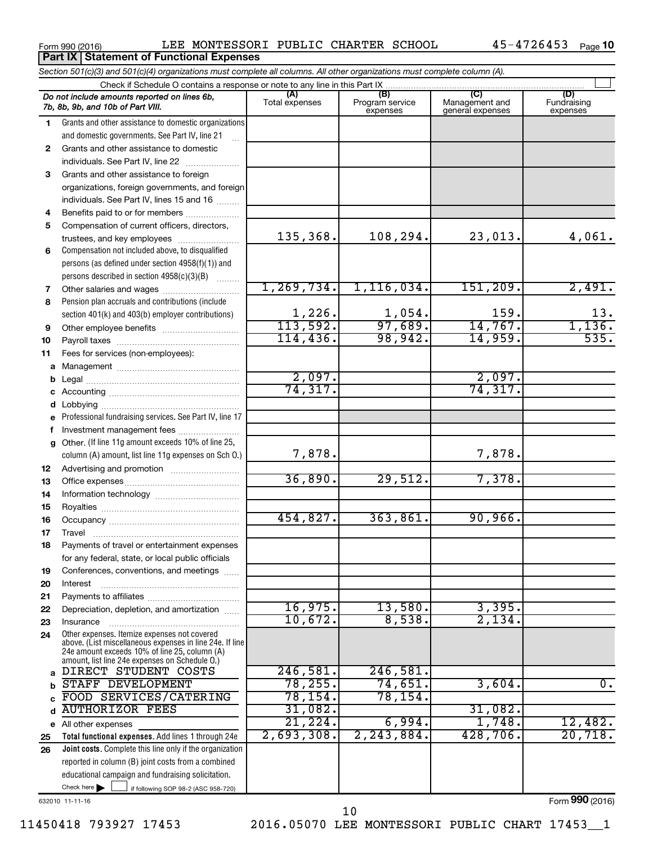**Part IX Statement of Functional Expenses**

|              | Section 501(c)(3) and 501(c)(4) organizations must complete all columns. All other organizations must complete column (A).                                                                                  |                       |                             |                                    |                         |
|--------------|-------------------------------------------------------------------------------------------------------------------------------------------------------------------------------------------------------------|-----------------------|-----------------------------|------------------------------------|-------------------------|
|              | Check if Schedule O contains a response or note to any line in this Part IX                                                                                                                                 | (A)                   | (B)                         | (C)                                | (D)                     |
|              | Do not include amounts reported on lines 6b,<br>7b, 8b, 9b, and 10b of Part VIII.                                                                                                                           | Total expenses        | Program service<br>expenses | Management and<br>general expenses | Fundraising<br>expenses |
| 1            | Grants and other assistance to domestic organizations                                                                                                                                                       |                       |                             |                                    |                         |
|              | and domestic governments. See Part IV, line 21                                                                                                                                                              |                       |                             |                                    |                         |
| $\mathbf{2}$ | Grants and other assistance to domestic                                                                                                                                                                     |                       |                             |                                    |                         |
|              | individuals. See Part IV, line 22                                                                                                                                                                           |                       |                             |                                    |                         |
| 3            | Grants and other assistance to foreign                                                                                                                                                                      |                       |                             |                                    |                         |
|              | organizations, foreign governments, and foreign                                                                                                                                                             |                       |                             |                                    |                         |
|              | individuals. See Part IV, lines 15 and 16                                                                                                                                                                   |                       |                             |                                    |                         |
| 4            |                                                                                                                                                                                                             |                       |                             |                                    |                         |
| 5            | Compensation of current officers, directors,                                                                                                                                                                |                       |                             |                                    |                         |
|              | trustees, and key employees                                                                                                                                                                                 | 135,368.              | 108,294.                    | 23,013.                            | 4,061.                  |
| 6            | Compensation not included above, to disqualified                                                                                                                                                            |                       |                             |                                    |                         |
|              | persons (as defined under section 4958(f)(1)) and                                                                                                                                                           |                       |                             |                                    |                         |
|              | persons described in section 4958(c)(3)(B)<br>$\overline{\phantom{a}}$                                                                                                                                      | 1, 269, 734.          | 1, 116, 034.                | 151,209.                           | 2,491.                  |
| 7            | Other salaries and wages                                                                                                                                                                                    |                       |                             |                                    |                         |
| 8            | Pension plan accruals and contributions (include                                                                                                                                                            | 1,226.                |                             | 159.                               | 13.                     |
|              | section 401(k) and 403(b) employer contributions)                                                                                                                                                           | 113,592.              | $\frac{1,054}{97,689}$      | 14,767.                            | 1,136.                  |
| 9<br>10      |                                                                                                                                                                                                             | 114, 436.             | 98,942.                     | 14,959.                            | 535.                    |
| 11           | Fees for services (non-employees):                                                                                                                                                                          |                       |                             |                                    |                         |
|              |                                                                                                                                                                                                             |                       |                             |                                    |                         |
| b            |                                                                                                                                                                                                             | 2,097.                |                             | 2,097.                             |                         |
|              |                                                                                                                                                                                                             | 74, 317.              |                             | 74, 317.                           |                         |
| d            |                                                                                                                                                                                                             |                       |                             |                                    |                         |
|              | e Professional fundraising services. See Part IV, line 17                                                                                                                                                   |                       |                             |                                    |                         |
| f            | Investment management fees                                                                                                                                                                                  |                       |                             |                                    |                         |
| g            | Other. (If line 11g amount exceeds 10% of line 25,                                                                                                                                                          |                       |                             |                                    |                         |
|              | column (A) amount, list line 11g expenses on Sch O.)                                                                                                                                                        | 7,878.                |                             | 7,878.                             |                         |
| 12           |                                                                                                                                                                                                             |                       |                             |                                    |                         |
| 13           |                                                                                                                                                                                                             | 36,890.               | 29,512.                     | 7,378.                             |                         |
| 14           |                                                                                                                                                                                                             |                       |                             |                                    |                         |
| 15           |                                                                                                                                                                                                             |                       |                             |                                    |                         |
| 16           |                                                                                                                                                                                                             | 454,827.              | 363,861.                    | 90,966.                            |                         |
| 17           |                                                                                                                                                                                                             |                       |                             |                                    |                         |
| 18           | Payments of travel or entertainment expenses                                                                                                                                                                |                       |                             |                                    |                         |
|              | for any federal, state, or local public officials                                                                                                                                                           |                       |                             |                                    |                         |
| 19           | Conferences, conventions, and meetings                                                                                                                                                                      |                       |                             |                                    |                         |
| 20           | Interest                                                                                                                                                                                                    |                       |                             |                                    |                         |
| 21           |                                                                                                                                                                                                             |                       |                             |                                    |                         |
| 22           | Depreciation, depletion, and amortization                                                                                                                                                                   | 16,975.               | 13,580.<br>8,538.           | 3,395.                             |                         |
| 23           | Insurance                                                                                                                                                                                                   | 10,672.               |                             | 2,134.                             |                         |
| 24           | Other expenses. Itemize expenses not covered<br>above. (List miscellaneous expenses in line 24e. If line<br>24e amount exceeds 10% of line 25, column (A)<br>amount, list line 24e expenses on Schedule O.) |                       |                             |                                    |                         |
|              | DIRECT STUDENT COSTS                                                                                                                                                                                        | 246,581.              | 246,581.                    |                                    |                         |
| b            | STAFF DEVELOPMENT                                                                                                                                                                                           | 78, 255.              | 74,651.                     | 3,604.                             | 0.                      |
|              | FOOD SERVICES/CATERING                                                                                                                                                                                      | $\overline{78}$ ,154. | 78, 154.                    |                                    |                         |
| d            | <b>AUTHORIZOR FEES</b>                                                                                                                                                                                      | 31,082.               |                             | 31,082.                            |                         |
|              | e All other expenses                                                                                                                                                                                        | 21,224.               | 6,994.                      | 1,748.                             | 12,482.                 |
| 25           | Total functional expenses. Add lines 1 through 24e                                                                                                                                                          | 2,693,308.            | 2,243,884.                  | 428,706.                           | 20,718.                 |
| 26           | Joint costs. Complete this line only if the organization                                                                                                                                                    |                       |                             |                                    |                         |
|              | reported in column (B) joint costs from a combined                                                                                                                                                          |                       |                             |                                    |                         |
|              | educational campaign and fundraising solicitation.                                                                                                                                                          |                       |                             |                                    |                         |
|              | Check here $\blacktriangleright$<br>if following SOP 98-2 (ASC 958-720)                                                                                                                                     |                       |                             |                                    |                         |

632010 11-11-16

Form (2016) **990**

10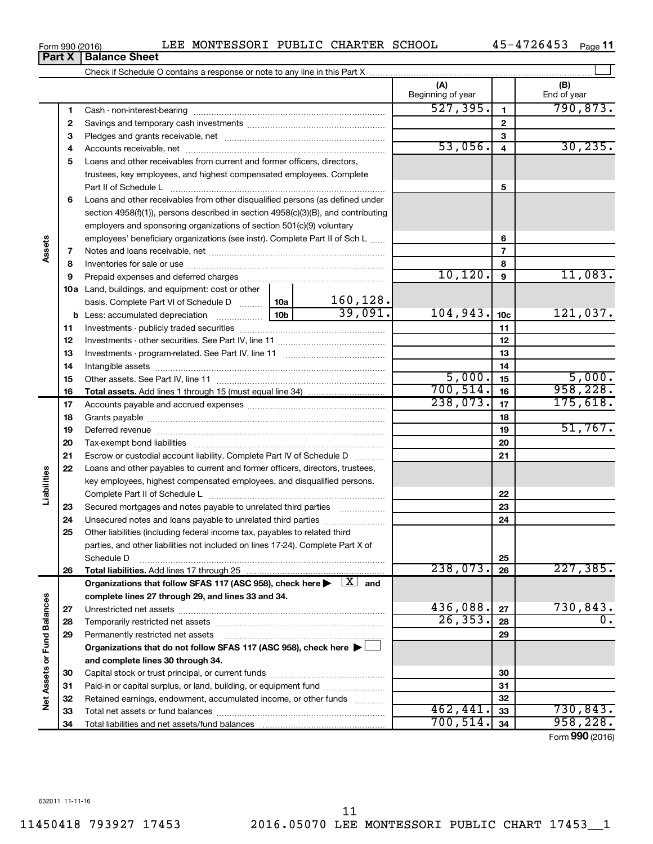| 7  |                                                                                                                         |           | 7                          |           |                 |           |
|----|-------------------------------------------------------------------------------------------------------------------------|-----------|----------------------------|-----------|-----------------|-----------|
| 8  |                                                                                                                         |           |                            |           | 8               |           |
| 9  |                                                                                                                         |           |                            | 10, 120.  | 9               | 11,083.   |
|    | 10a Land, buildings, and equipment: cost or other                                                                       |           |                            |           |                 |           |
|    | basis. Complete Part VI of Schedule D  10a                                                                              |           | $\frac{160,128.}{39,091.}$ |           |                 |           |
|    |                                                                                                                         |           |                            | 104,943.  | 10 <sub>c</sub> | 121,037.  |
| 11 |                                                                                                                         |           |                            |           | 11              |           |
| 12 |                                                                                                                         |           |                            |           | 12              |           |
| 13 |                                                                                                                         |           |                            |           | 13              |           |
| 14 |                                                                                                                         |           | 14                         |           |                 |           |
| 15 |                                                                                                                         |           |                            | 5,000.    | 15              | 5,000.    |
| 16 |                                                                                                                         | 700, 514. | 16                         | 958, 228. |                 |           |
| 17 |                                                                                                                         |           |                            | 238,073.  | 17              | 175,618.  |
| 18 |                                                                                                                         |           |                            |           | 18              |           |
| 19 |                                                                                                                         |           |                            |           | 19              | 51,767.   |
| 20 |                                                                                                                         |           |                            |           | 20              |           |
| 21 | Escrow or custodial account liability. Complete Part IV of Schedule D                                                   |           |                            | 21        |                 |           |
| 22 | Loans and other payables to current and former officers, directors, trustees,                                           |           |                            |           |                 |           |
|    | key employees, highest compensated employees, and disqualified persons.                                                 |           |                            |           |                 |           |
|    |                                                                                                                         |           |                            |           | 22              |           |
| 23 | Secured mortgages and notes payable to unrelated third parties                                                          |           |                            |           | 23              |           |
| 24 | Unsecured notes and loans payable to unrelated third parties                                                            |           |                            |           | 24              |           |
| 25 | Other liabilities (including federal income tax, payables to related third                                              |           |                            |           |                 |           |
|    | parties, and other liabilities not included on lines 17-24). Complete Part X of                                         |           |                            |           |                 |           |
|    | Schedule D                                                                                                              |           |                            |           | 25              |           |
| 26 | <b>Total liabilities.</b> Add lines 17 through 25                                                                       |           |                            | 238,073.  | 26              | 227, 385. |
|    | Organizations that follow SFAS 117 (ASC 958), check here $\blacktriangleright \begin{array}{c} \perp X \end{array}$ and |           |                            |           |                 |           |
|    | complete lines 27 through 29, and lines 33 and 34.                                                                      |           |                            |           |                 |           |
| 27 |                                                                                                                         |           |                            | 436,088.  | 27              | 730,843.  |
| 28 |                                                                                                                         |           |                            | 26, 353.  | 28              | $0$ .     |
| 29 |                                                                                                                         |           |                            |           | 29              |           |
|    | Organizations that do not follow SFAS 117 (ASC 958), check here $\blacktriangleright \Box$                              |           |                            |           |                 |           |
|    | and complete lines 30 through 34.                                                                                       |           |                            |           |                 |           |
| 30 |                                                                                                                         |           |                            |           | 30              |           |
| 31 | Paid-in or capital surplus, or land, building, or equipment fund                                                        |           |                            |           | 31              |           |
| 32 | Retained earnings, endowment, accumulated income, or other funds                                                        |           |                            |           | 32              |           |
| 33 |                                                                                                                         |           |                            | 462, 441. | 33              | 730,843.  |
| 34 | Total liabilities and net assets/fund balances                                                                          |           |                            | 700, 514. | 34              | 958, 228. |

# **Part X** | **Balance Sheet**

**3** Pledges and grants receivable, net ~~~~~~~~~~~~~~~~~~~~~ **4** Accounts receivable, net ~~~~~~~~~~~~~~~~~~~~~~~~~~ **5** Loans and other receivables from current and former officers, directors,

Cash - non-interest-bearing ~~~~~~~~~~~~~~~~~~~~~~~~~ Savings and temporary cash investments ~~~~~~~~~~~~~~~~~~

Check if Schedule O contains a response or note to any line in this Part X

**6** Loans and other receivables from other disqualified persons (as defined under

section 4958(f)(1)), persons described in section 4958(c)(3)(B), and contributing employers and sponsoring organizations of section 501(c)(9) voluntary employees' beneficiary organizations (see instr). Complete Part II of Sch L ......

trustees, key employees, and highest compensated employees. Complete Part II of Schedule L ~~~~~~~~~~~~~~~~~~~~~~~~~~~~

**1 2**

**Assets**

**Liabilities**

**Net Assets or Fund Balances**

Net Assets or Fund Balances

**(A) (B)**

Beginning of year  $\vert$  | End of year

 $\overline{527,395.}$  1  $\overline{790,873.}$ 

53,056. 30,235.

**5**

**6**

 $\perp$ 

Form (2016) **990**

Form 990 (2016) Page LEE MONTESSORI PUBLIC CHARTER SCHOOL 45-4726453 45-4726453 <sub>Page</sub> 11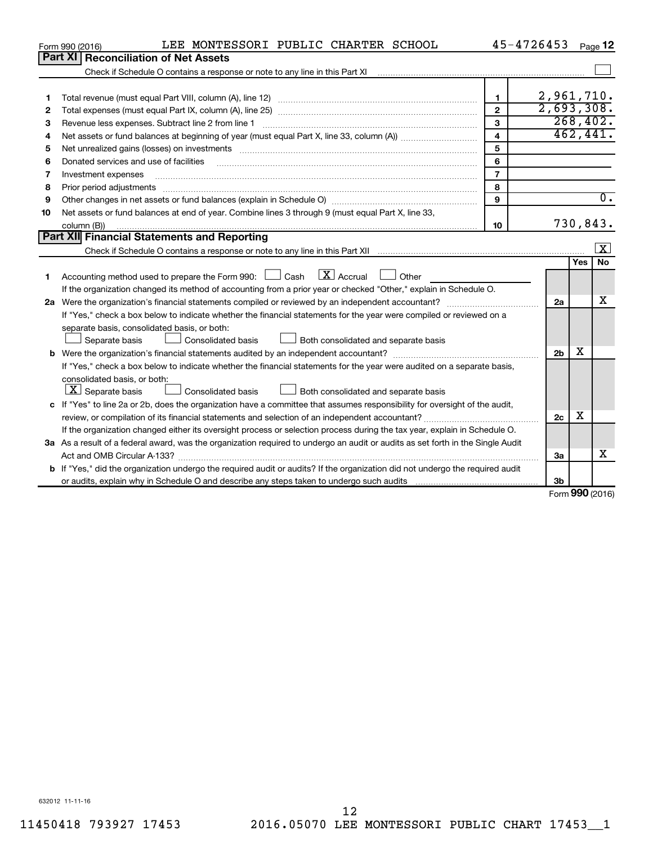| Part XI   Reconciliation of Net Assets                                                                                                                                                                                              |                |                | Page 12                 |
|-------------------------------------------------------------------------------------------------------------------------------------------------------------------------------------------------------------------------------------|----------------|----------------|-------------------------|
|                                                                                                                                                                                                                                     |                |                |                         |
| Check if Schedule O contains a response or note to any line in this Part XI [11] [12] Check if Schedule O contains a response or note to any line in this Part XI                                                                   |                |                |                         |
|                                                                                                                                                                                                                                     |                |                |                         |
| 1                                                                                                                                                                                                                                   | 1              |                | 2,961,710.              |
| 2                                                                                                                                                                                                                                   | $\mathbf{2}$   |                | 2,693,308.              |
| Revenue less expenses. Subtract line 2 from line 1<br>З                                                                                                                                                                             | 3              |                | 268, 402.               |
| 4                                                                                                                                                                                                                                   | $\overline{4}$ |                | 462, 441.               |
| Net unrealized gains (losses) on investments [11] matter than the control of the state of the state of the state of the state of the state of the state of the state of the state of the state of the state of the state of th<br>5 | 5              |                |                         |
| Donated services and use of facilities<br>6                                                                                                                                                                                         | 6              |                |                         |
| Investment expenses<br>7                                                                                                                                                                                                            | $\overline{7}$ |                |                         |
| Prior period adjustments<br>8                                                                                                                                                                                                       | 8              |                |                         |
| 9                                                                                                                                                                                                                                   | 9              |                | $\overline{0}$ .        |
| Net assets or fund balances at end of year. Combine lines 3 through 9 (must equal Part X, line 33,<br>10                                                                                                                            |                |                |                         |
| column (B))                                                                                                                                                                                                                         | 10             |                | 730,843.                |
| Part XII Financial Statements and Reporting                                                                                                                                                                                         |                |                |                         |
|                                                                                                                                                                                                                                     |                |                | $\boxed{\textbf{X}}$    |
|                                                                                                                                                                                                                                     |                |                | <b>No</b><br><b>Yes</b> |
| Accounting method used to prepare the Form 990: $\Box$ Cash $\Box X$ Accrual<br>$\Box$ Other<br>1                                                                                                                                   |                |                |                         |
| If the organization changed its method of accounting from a prior year or checked "Other," explain in Schedule O.                                                                                                                   |                |                |                         |
|                                                                                                                                                                                                                                     |                | 2a             | x                       |
| If "Yes," check a box below to indicate whether the financial statements for the year were compiled or reviewed on a                                                                                                                |                |                |                         |
| separate basis, consolidated basis, or both:                                                                                                                                                                                        |                |                |                         |
| Separate basis<br>Both consolidated and separate basis<br>Consolidated basis                                                                                                                                                        |                |                |                         |
|                                                                                                                                                                                                                                     |                | 2 <sub>b</sub> | х                       |
| If "Yes," check a box below to indicate whether the financial statements for the year were audited on a separate basis,                                                                                                             |                |                |                         |
| consolidated basis, or both:                                                                                                                                                                                                        |                |                |                         |
| $\lfloor x \rfloor$ Separate basis<br>Consolidated basis<br>Both consolidated and separate basis                                                                                                                                    |                |                |                         |
| c If "Yes" to line 2a or 2b, does the organization have a committee that assumes responsibility for oversight of the audit,                                                                                                         |                |                |                         |
| review, or compilation of its financial statements and selection of an independent accountant?                                                                                                                                      |                | 2c             | х                       |
| If the organization changed either its oversight process or selection process during the tax year, explain in Schedule O.                                                                                                           |                |                |                         |
| 3a As a result of a federal award, was the organization required to undergo an audit or audits as set forth in the Single Audit                                                                                                     |                |                |                         |
| Act and OMB Circular A-133?                                                                                                                                                                                                         |                | За             | X                       |
| b If "Yes," did the organization undergo the required audit or audits? If the organization did not undergo the required audit                                                                                                       |                |                |                         |
|                                                                                                                                                                                                                                     |                | 3 <sub>b</sub> | nnn.                    |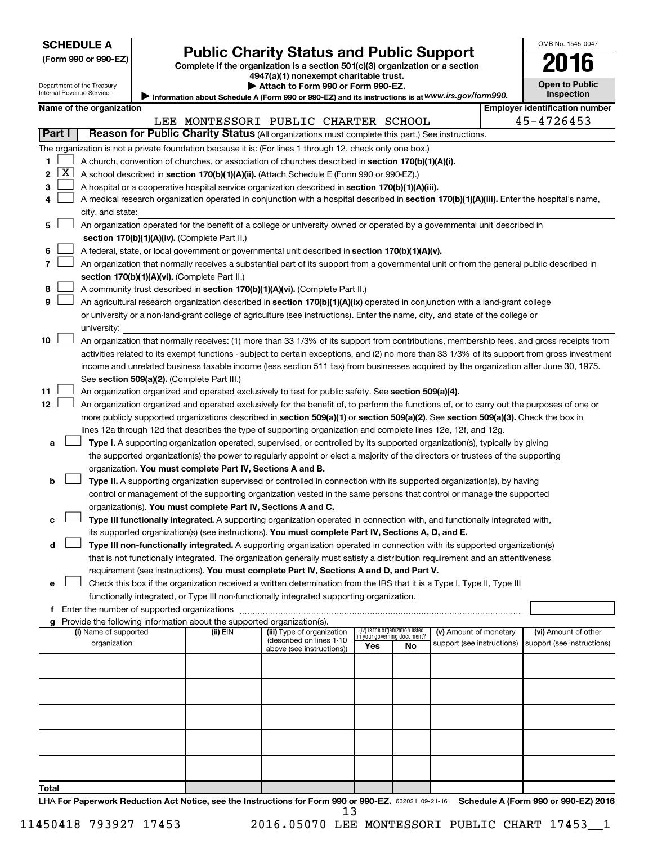Department of the Treasury

# Form 990 or 990-EZ) **Public Charity Status and Public Support**<br>
Complete if the organization is a section 501(c)(3) organization or a section<br> **2016**

**4947(a)(1) nonexempt charitable trust.**

Information about Schedule A (Form 990 or 990-EZ) and its instructions is at WWW.irs.gov/form990. **| Attach to Form 990 or Form 990-EZ.** 

| 1                                          |  |
|--------------------------------------------|--|
| <b>Open to Public</b><br><b>Inspection</b> |  |

OMB No. 1545-0047

Internal Revenue Service

|        |                                                                                                                           | Name of the organization                                                                                                                      |          |                                      |     |                                   |                            |  | <b>Employer identification number</b> |  |  |
|--------|---------------------------------------------------------------------------------------------------------------------------|-----------------------------------------------------------------------------------------------------------------------------------------------|----------|--------------------------------------|-----|-----------------------------------|----------------------------|--|---------------------------------------|--|--|
|        |                                                                                                                           |                                                                                                                                               |          | LEE MONTESSORI PUBLIC CHARTER SCHOOL |     |                                   |                            |  | 45-4726453                            |  |  |
| Part I |                                                                                                                           | Reason for Public Charity Status (All organizations must complete this part.) See instructions.                                               |          |                                      |     |                                   |                            |  |                                       |  |  |
|        |                                                                                                                           | The organization is not a private foundation because it is: (For lines 1 through 12, check only one box.)                                     |          |                                      |     |                                   |                            |  |                                       |  |  |
|        |                                                                                                                           | A church, convention of churches, or association of churches described in section 170(b)(1)(A)(i).                                            |          |                                      |     |                                   |                            |  |                                       |  |  |
| 2      | $\mathbf{X}$                                                                                                              | A school described in section 170(b)(1)(A)(ii). (Attach Schedule E (Form 990 or 990-EZ).)                                                     |          |                                      |     |                                   |                            |  |                                       |  |  |
| 3      |                                                                                                                           | A hospital or a cooperative hospital service organization described in section 170(b)(1)(A)(iii).                                             |          |                                      |     |                                   |                            |  |                                       |  |  |
|        |                                                                                                                           | A medical research organization operated in conjunction with a hospital described in section 170(b)(1)(A)(iii). Enter the hospital's name,    |          |                                      |     |                                   |                            |  |                                       |  |  |
|        | city, and state:                                                                                                          |                                                                                                                                               |          |                                      |     |                                   |                            |  |                                       |  |  |
| 5      | An organization operated for the benefit of a college or university owned or operated by a governmental unit described in |                                                                                                                                               |          |                                      |     |                                   |                            |  |                                       |  |  |
|        | section 170(b)(1)(A)(iv). (Complete Part II.)                                                                             |                                                                                                                                               |          |                                      |     |                                   |                            |  |                                       |  |  |
| 6      |                                                                                                                           | A federal, state, or local government or governmental unit described in section 170(b)(1)(A)(v).                                              |          |                                      |     |                                   |                            |  |                                       |  |  |
|        |                                                                                                                           | An organization that normally receives a substantial part of its support from a governmental unit or from the general public described in     |          |                                      |     |                                   |                            |  |                                       |  |  |
|        |                                                                                                                           | section 170(b)(1)(A)(vi). (Complete Part II.)                                                                                                 |          |                                      |     |                                   |                            |  |                                       |  |  |
| 8      |                                                                                                                           | A community trust described in section 170(b)(1)(A)(vi). (Complete Part II.)                                                                  |          |                                      |     |                                   |                            |  |                                       |  |  |
| 9      |                                                                                                                           | An agricultural research organization described in section 170(b)(1)(A)(ix) operated in conjunction with a land-grant college                 |          |                                      |     |                                   |                            |  |                                       |  |  |
|        |                                                                                                                           | or university or a non-land-grant college of agriculture (see instructions). Enter the name, city, and state of the college or                |          |                                      |     |                                   |                            |  |                                       |  |  |
|        |                                                                                                                           | university:                                                                                                                                   |          |                                      |     |                                   |                            |  |                                       |  |  |
| 10     |                                                                                                                           | An organization that normally receives: (1) more than 33 1/3% of its support from contributions, membership fees, and gross receipts from     |          |                                      |     |                                   |                            |  |                                       |  |  |
|        |                                                                                                                           | activities related to its exempt functions - subject to certain exceptions, and (2) no more than 33 1/3% of its support from gross investment |          |                                      |     |                                   |                            |  |                                       |  |  |
|        |                                                                                                                           | income and unrelated business taxable income (less section 511 tax) from businesses acquired by the organization after June 30, 1975.         |          |                                      |     |                                   |                            |  |                                       |  |  |
|        |                                                                                                                           | See section 509(a)(2). (Complete Part III.)                                                                                                   |          |                                      |     |                                   |                            |  |                                       |  |  |
| 11     |                                                                                                                           | An organization organized and operated exclusively to test for public safety. See section 509(a)(4).                                          |          |                                      |     |                                   |                            |  |                                       |  |  |
| 12     |                                                                                                                           | An organization organized and operated exclusively for the benefit of, to perform the functions of, or to carry out the purposes of one or    |          |                                      |     |                                   |                            |  |                                       |  |  |
|        |                                                                                                                           | more publicly supported organizations described in section 509(a)(1) or section 509(a)(2). See section 509(a)(3). Check the box in            |          |                                      |     |                                   |                            |  |                                       |  |  |
|        |                                                                                                                           | lines 12a through 12d that describes the type of supporting organization and complete lines 12e, 12f, and 12g.                                |          |                                      |     |                                   |                            |  |                                       |  |  |
| а      |                                                                                                                           | Type I. A supporting organization operated, supervised, or controlled by its supported organization(s), typically by giving                   |          |                                      |     |                                   |                            |  |                                       |  |  |
|        |                                                                                                                           | the supported organization(s) the power to regularly appoint or elect a majority of the directors or trustees of the supporting               |          |                                      |     |                                   |                            |  |                                       |  |  |
|        |                                                                                                                           | organization. You must complete Part IV, Sections A and B.                                                                                    |          |                                      |     |                                   |                            |  |                                       |  |  |
| b      |                                                                                                                           | Type II. A supporting organization supervised or controlled in connection with its supported organization(s), by having                       |          |                                      |     |                                   |                            |  |                                       |  |  |
|        |                                                                                                                           | control or management of the supporting organization vested in the same persons that control or manage the supported                          |          |                                      |     |                                   |                            |  |                                       |  |  |
|        |                                                                                                                           | organization(s). You must complete Part IV, Sections A and C.                                                                                 |          |                                      |     |                                   |                            |  |                                       |  |  |
| с      |                                                                                                                           | Type III functionally integrated. A supporting organization operated in connection with, and functionally integrated with,                    |          |                                      |     |                                   |                            |  |                                       |  |  |
|        |                                                                                                                           | its supported organization(s) (see instructions). You must complete Part IV, Sections A, D, and E.                                            |          |                                      |     |                                   |                            |  |                                       |  |  |
| d      |                                                                                                                           | Type III non-functionally integrated. A supporting organization operated in connection with its supported organization(s)                     |          |                                      |     |                                   |                            |  |                                       |  |  |
|        |                                                                                                                           | that is not functionally integrated. The organization generally must satisfy a distribution requirement and an attentiveness                  |          |                                      |     |                                   |                            |  |                                       |  |  |
|        |                                                                                                                           | requirement (see instructions). You must complete Part IV, Sections A and D, and Part V.                                                      |          |                                      |     |                                   |                            |  |                                       |  |  |
| е      |                                                                                                                           | Check this box if the organization received a written determination from the IRS that it is a Type I, Type II, Type III                       |          |                                      |     |                                   |                            |  |                                       |  |  |
|        |                                                                                                                           | functionally integrated, or Type III non-functionally integrated supporting organization.                                                     |          |                                      |     |                                   |                            |  |                                       |  |  |
|        |                                                                                                                           | f Enter the number of supported organizations                                                                                                 |          |                                      |     |                                   |                            |  |                                       |  |  |
|        |                                                                                                                           | Provide the following information about the supported organization(s).<br>(i) Name of supported                                               | (ii) EIN | (iii) Type of organization           |     | (iv) Is the organization listed   | (v) Amount of monetary     |  | (vi) Amount of other                  |  |  |
|        |                                                                                                                           | organization                                                                                                                                  |          | (described on lines 1-10             | Yes | in your governing document?<br>No | support (see instructions) |  | support (see instructions)            |  |  |
|        |                                                                                                                           |                                                                                                                                               |          | above (see instructions))            |     |                                   |                            |  |                                       |  |  |
|        |                                                                                                                           |                                                                                                                                               |          |                                      |     |                                   |                            |  |                                       |  |  |
|        |                                                                                                                           |                                                                                                                                               |          |                                      |     |                                   |                            |  |                                       |  |  |
|        |                                                                                                                           |                                                                                                                                               |          |                                      |     |                                   |                            |  |                                       |  |  |
|        |                                                                                                                           |                                                                                                                                               |          |                                      |     |                                   |                            |  |                                       |  |  |
|        |                                                                                                                           |                                                                                                                                               |          |                                      |     |                                   |                            |  |                                       |  |  |
|        |                                                                                                                           |                                                                                                                                               |          |                                      |     |                                   |                            |  |                                       |  |  |
|        |                                                                                                                           |                                                                                                                                               |          |                                      |     |                                   |                            |  |                                       |  |  |
|        |                                                                                                                           |                                                                                                                                               |          |                                      |     |                                   |                            |  |                                       |  |  |
|        |                                                                                                                           |                                                                                                                                               |          |                                      |     |                                   |                            |  |                                       |  |  |

**Total**

LHA For Paperwork Reduction Act Notice, see the Instructions for Form 990 or 990-EZ. 632021 09-21-16 Schedule A (Form 990 or 990-EZ) 2016 13

11450418 793927 17453 2016.05070 LEE MONTESSORI PUBLIC CHART 17453\_\_1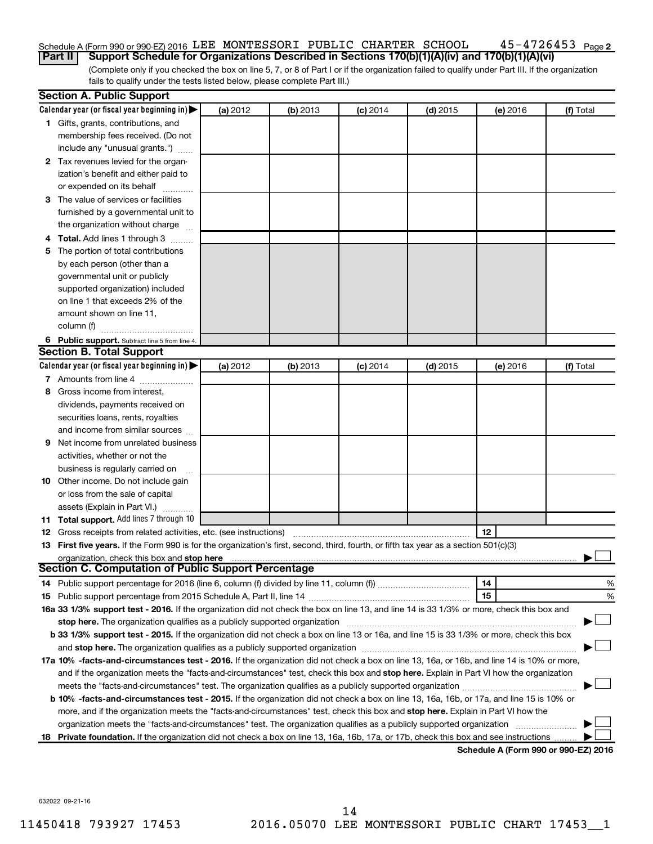#### $45 - 4726453$  Page 2 Schedule A (Form 990 or 990-EZ) 2016 LEE MONTESSORI PUBLIC CHARTER SCHOOL 45-4726453 Page

(Complete only if you checked the box on line 5, 7, or 8 of Part I or if the organization failed to qualify under Part III. If the organization fails to qualify under the tests listed below, please complete Part III.) **Part II Support Schedule for Organizations Described in Sections 170(b)(1)(A)(iv) and 170(b)(1)(A)(vi)**

| Calendar year (or fiscal year beginning in)<br>(a) 2012<br>(b) 2013<br>$(c)$ 2014<br>$(d)$ 2015<br>(e) 2016<br>1 Gifts, grants, contributions, and<br>membership fees received. (Do not<br>include any "unusual grants.")<br>2 Tax revenues levied for the organ-<br>ization's benefit and either paid to<br>or expended on its behalf<br>3 The value of services or facilities<br>furnished by a governmental unit to<br>the organization without charge<br>4 Total. Add lines 1 through 3 | (f) Total |
|---------------------------------------------------------------------------------------------------------------------------------------------------------------------------------------------------------------------------------------------------------------------------------------------------------------------------------------------------------------------------------------------------------------------------------------------------------------------------------------------|-----------|
|                                                                                                                                                                                                                                                                                                                                                                                                                                                                                             |           |
|                                                                                                                                                                                                                                                                                                                                                                                                                                                                                             |           |
|                                                                                                                                                                                                                                                                                                                                                                                                                                                                                             |           |
|                                                                                                                                                                                                                                                                                                                                                                                                                                                                                             |           |
|                                                                                                                                                                                                                                                                                                                                                                                                                                                                                             |           |
|                                                                                                                                                                                                                                                                                                                                                                                                                                                                                             |           |
|                                                                                                                                                                                                                                                                                                                                                                                                                                                                                             |           |
|                                                                                                                                                                                                                                                                                                                                                                                                                                                                                             |           |
|                                                                                                                                                                                                                                                                                                                                                                                                                                                                                             |           |
|                                                                                                                                                                                                                                                                                                                                                                                                                                                                                             |           |
|                                                                                                                                                                                                                                                                                                                                                                                                                                                                                             |           |
| 5 The portion of total contributions                                                                                                                                                                                                                                                                                                                                                                                                                                                        |           |
| by each person (other than a                                                                                                                                                                                                                                                                                                                                                                                                                                                                |           |
| governmental unit or publicly                                                                                                                                                                                                                                                                                                                                                                                                                                                               |           |
| supported organization) included                                                                                                                                                                                                                                                                                                                                                                                                                                                            |           |
| on line 1 that exceeds 2% of the                                                                                                                                                                                                                                                                                                                                                                                                                                                            |           |
| amount shown on line 11,                                                                                                                                                                                                                                                                                                                                                                                                                                                                    |           |
| column (f)                                                                                                                                                                                                                                                                                                                                                                                                                                                                                  |           |
| 6 Public support. Subtract line 5 from line 4.                                                                                                                                                                                                                                                                                                                                                                                                                                              |           |
| <b>Section B. Total Support</b>                                                                                                                                                                                                                                                                                                                                                                                                                                                             |           |
| Calendar year (or fiscal year beginning in)<br>(a) 2012<br>(b) 2013<br>$(d)$ 2015<br>$(c)$ 2014<br>(e) 2016                                                                                                                                                                                                                                                                                                                                                                                 | (f) Total |
| 7 Amounts from line 4                                                                                                                                                                                                                                                                                                                                                                                                                                                                       |           |
| Gross income from interest,<br>8                                                                                                                                                                                                                                                                                                                                                                                                                                                            |           |
| dividends, payments received on                                                                                                                                                                                                                                                                                                                                                                                                                                                             |           |
| securities loans, rents, royalties                                                                                                                                                                                                                                                                                                                                                                                                                                                          |           |
| and income from similar sources                                                                                                                                                                                                                                                                                                                                                                                                                                                             |           |
| Net income from unrelated business<br>9                                                                                                                                                                                                                                                                                                                                                                                                                                                     |           |
| activities, whether or not the                                                                                                                                                                                                                                                                                                                                                                                                                                                              |           |
| business is regularly carried on                                                                                                                                                                                                                                                                                                                                                                                                                                                            |           |
| 10 Other income. Do not include gain                                                                                                                                                                                                                                                                                                                                                                                                                                                        |           |
| or loss from the sale of capital                                                                                                                                                                                                                                                                                                                                                                                                                                                            |           |
| assets (Explain in Part VI.)                                                                                                                                                                                                                                                                                                                                                                                                                                                                |           |
| 11 Total support. Add lines 7 through 10                                                                                                                                                                                                                                                                                                                                                                                                                                                    |           |
| 12<br><b>12</b> Gross receipts from related activities, etc. (see instructions)                                                                                                                                                                                                                                                                                                                                                                                                             |           |
| 13 First five years. If the Form 990 is for the organization's first, second, third, fourth, or fifth tax year as a section 501(c)(3)                                                                                                                                                                                                                                                                                                                                                       |           |
| organization, check this box and stop here                                                                                                                                                                                                                                                                                                                                                                                                                                                  |           |
| <b>Section C. Computation of Public Support Percentage</b>                                                                                                                                                                                                                                                                                                                                                                                                                                  |           |
| 14                                                                                                                                                                                                                                                                                                                                                                                                                                                                                          | %         |
| 15                                                                                                                                                                                                                                                                                                                                                                                                                                                                                          | %         |
| 16a 33 1/3% support test - 2016. If the organization did not check the box on line 13, and line 14 is 33 1/3% or more, check this box and                                                                                                                                                                                                                                                                                                                                                   |           |
| stop here. The organization qualifies as a publicly supported organization manufaction manufacture or the organization manufacture or the organization manufacture or the organization manufacture or the state of the state o                                                                                                                                                                                                                                                              |           |
| b 33 1/3% support test - 2015. If the organization did not check a box on line 13 or 16a, and line 15 is 33 1/3% or more, check this box                                                                                                                                                                                                                                                                                                                                                    |           |
|                                                                                                                                                                                                                                                                                                                                                                                                                                                                                             |           |
| 17a 10% -facts-and-circumstances test - 2016. If the organization did not check a box on line 13, 16a, or 16b, and line 14 is 10% or more,                                                                                                                                                                                                                                                                                                                                                  |           |
| and if the organization meets the "facts-and-circumstances" test, check this box and stop here. Explain in Part VI how the organization                                                                                                                                                                                                                                                                                                                                                     |           |
|                                                                                                                                                                                                                                                                                                                                                                                                                                                                                             |           |
| b 10% -facts-and-circumstances test - 2015. If the organization did not check a box on line 13, 16a, 16b, or 17a, and line 15 is 10% or                                                                                                                                                                                                                                                                                                                                                     |           |
| more, and if the organization meets the "facts-and-circumstances" test, check this box and stop here. Explain in Part VI how the                                                                                                                                                                                                                                                                                                                                                            |           |
| organization meets the "facts-and-circumstances" test. The organization qualifies as a publicly supported organization                                                                                                                                                                                                                                                                                                                                                                      |           |
| 18 Private foundation. If the organization did not check a box on line 13, 16a, 16b, 17a, or 17b, check this box and see instructions<br>Schodule A (Form 990 or 990-F7) 2016                                                                                                                                                                                                                                                                                                               |           |

**Schedule A (Form 990 or 990-EZ) 2016**

632022 09-21-16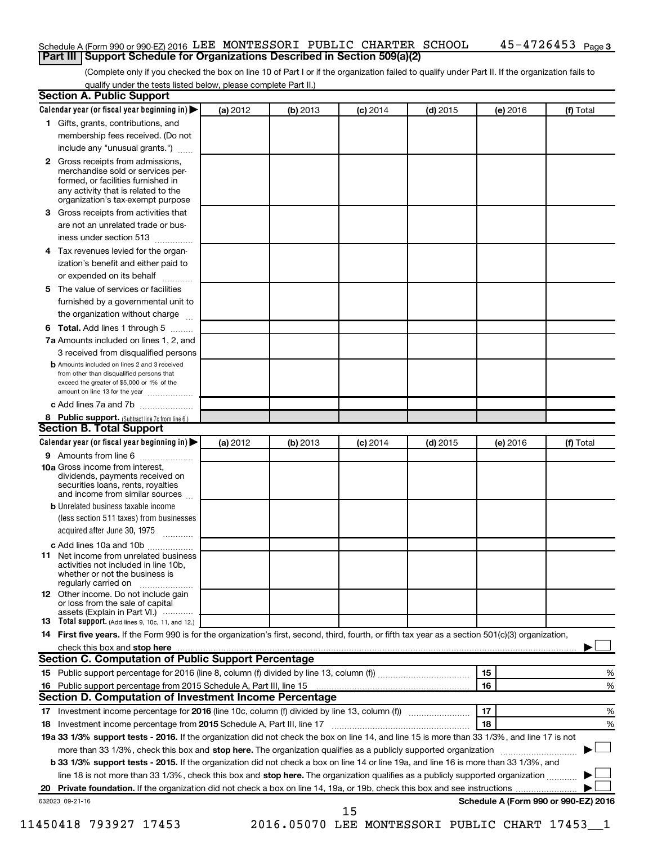#### Schedule A (Form 990 or 990-EZ) 2016 LEE MONTESSORI PUBLIC CHARTER SCHOOL 45-4726453 Page **Part III Support Schedule for Organizations Described in Section 509(a)(2)**

(Complete only if you checked the box on line 10 of Part I or if the organization failed to qualify under Part II. If the organization fails to qualify under the tests listed below, please complete Part II.)

| 3<br>4<br>5. | 1 Gifts, grants, contributions, and<br>membership fees received. (Do not<br>include any "unusual grants.")<br>2 Gross receipts from admissions,<br>merchandise sold or services per-<br>formed, or facilities furnished in<br>any activity that is related to the<br>organization's tax-exempt purpose<br>Gross receipts from activities that<br>are not an unrelated trade or bus-<br>iness under section 513<br>Tax revenues levied for the organ- |          |          |            |            |          |                                      |
|--------------|------------------------------------------------------------------------------------------------------------------------------------------------------------------------------------------------------------------------------------------------------------------------------------------------------------------------------------------------------------------------------------------------------------------------------------------------------|----------|----------|------------|------------|----------|--------------------------------------|
|              |                                                                                                                                                                                                                                                                                                                                                                                                                                                      |          |          |            |            |          |                                      |
|              |                                                                                                                                                                                                                                                                                                                                                                                                                                                      |          |          |            |            |          |                                      |
|              |                                                                                                                                                                                                                                                                                                                                                                                                                                                      |          |          |            |            |          |                                      |
|              |                                                                                                                                                                                                                                                                                                                                                                                                                                                      |          |          |            |            |          |                                      |
|              |                                                                                                                                                                                                                                                                                                                                                                                                                                                      |          |          |            |            |          |                                      |
|              |                                                                                                                                                                                                                                                                                                                                                                                                                                                      |          |          |            |            |          |                                      |
|              |                                                                                                                                                                                                                                                                                                                                                                                                                                                      |          |          |            |            |          |                                      |
|              |                                                                                                                                                                                                                                                                                                                                                                                                                                                      |          |          |            |            |          |                                      |
|              |                                                                                                                                                                                                                                                                                                                                                                                                                                                      |          |          |            |            |          |                                      |
|              | ization's benefit and either paid to                                                                                                                                                                                                                                                                                                                                                                                                                 |          |          |            |            |          |                                      |
|              | or expended on its behalf<br>.                                                                                                                                                                                                                                                                                                                                                                                                                       |          |          |            |            |          |                                      |
|              | The value of services or facilities                                                                                                                                                                                                                                                                                                                                                                                                                  |          |          |            |            |          |                                      |
|              | furnished by a governmental unit to                                                                                                                                                                                                                                                                                                                                                                                                                  |          |          |            |            |          |                                      |
|              | the organization without charge                                                                                                                                                                                                                                                                                                                                                                                                                      |          |          |            |            |          |                                      |
| 6            | Total. Add lines 1 through 5                                                                                                                                                                                                                                                                                                                                                                                                                         |          |          |            |            |          |                                      |
|              | 7a Amounts included on lines 1, 2, and                                                                                                                                                                                                                                                                                                                                                                                                               |          |          |            |            |          |                                      |
|              | 3 received from disqualified persons                                                                                                                                                                                                                                                                                                                                                                                                                 |          |          |            |            |          |                                      |
|              | <b>b</b> Amounts included on lines 2 and 3 received                                                                                                                                                                                                                                                                                                                                                                                                  |          |          |            |            |          |                                      |
|              | from other than disqualified persons that<br>exceed the greater of \$5,000 or 1% of the<br>amount on line 13 for the year                                                                                                                                                                                                                                                                                                                            |          |          |            |            |          |                                      |
|              | c Add lines 7a and 7b                                                                                                                                                                                                                                                                                                                                                                                                                                |          |          |            |            |          |                                      |
|              | 8 Public support. (Subtract line 7c from line 6.)                                                                                                                                                                                                                                                                                                                                                                                                    |          |          |            |            |          |                                      |
|              | <b>Section B. Total Support</b>                                                                                                                                                                                                                                                                                                                                                                                                                      |          |          |            |            |          |                                      |
|              | Calendar year (or fiscal year beginning in)                                                                                                                                                                                                                                                                                                                                                                                                          | (a) 2012 | (b) 2013 | $(c)$ 2014 | $(d)$ 2015 | (e) 2016 | (f) Total                            |
|              | <b>9</b> Amounts from line 6                                                                                                                                                                                                                                                                                                                                                                                                                         |          |          |            |            |          |                                      |
|              | <b>10a</b> Gross income from interest,<br>dividends, payments received on<br>securities loans, rents, royalties<br>and income from similar sources                                                                                                                                                                                                                                                                                                   |          |          |            |            |          |                                      |
|              | <b>b</b> Unrelated business taxable income                                                                                                                                                                                                                                                                                                                                                                                                           |          |          |            |            |          |                                      |
|              | (less section 511 taxes) from businesses<br>acquired after June 30, 1975 [[11, 11, 11, 11]                                                                                                                                                                                                                                                                                                                                                           |          |          |            |            |          |                                      |
|              | c Add lines 10a and 10b                                                                                                                                                                                                                                                                                                                                                                                                                              |          |          |            |            |          |                                      |
| 11           | Net income from unrelated business<br>activities not included in line 10b.<br>whether or not the business is<br>regularly carried on                                                                                                                                                                                                                                                                                                                 |          |          |            |            |          |                                      |
|              | <b>12</b> Other income. Do not include gain<br>or loss from the sale of capital                                                                                                                                                                                                                                                                                                                                                                      |          |          |            |            |          |                                      |
|              | assets (Explain in Part VI.)<br><b>13</b> Total support. (Add lines 9, 10c, 11, and 12.)                                                                                                                                                                                                                                                                                                                                                             |          |          |            |            |          |                                      |
|              | 14 First five years. If the Form 990 is for the organization's first, second, third, fourth, or fifth tax year as a section 501(c)(3) organization,                                                                                                                                                                                                                                                                                                  |          |          |            |            |          |                                      |
|              |                                                                                                                                                                                                                                                                                                                                                                                                                                                      |          |          |            |            |          |                                      |
|              | <b>Section C. Computation of Public Support Percentage</b>                                                                                                                                                                                                                                                                                                                                                                                           |          |          |            |            |          |                                      |
|              |                                                                                                                                                                                                                                                                                                                                                                                                                                                      |          |          |            |            | 15       | %                                    |
|              |                                                                                                                                                                                                                                                                                                                                                                                                                                                      |          |          |            |            | 16       | %                                    |
|              | Section D. Computation of Investment Income Percentage                                                                                                                                                                                                                                                                                                                                                                                               |          |          |            |            |          |                                      |
|              |                                                                                                                                                                                                                                                                                                                                                                                                                                                      |          |          |            |            | 17       | %                                    |
|              | 18 Investment income percentage from 2015 Schedule A, Part III, line 17                                                                                                                                                                                                                                                                                                                                                                              |          |          |            |            | 18       | %                                    |
|              |                                                                                                                                                                                                                                                                                                                                                                                                                                                      |          |          |            |            |          |                                      |
|              | 19a 33 1/3% support tests - 2016. If the organization did not check the box on line 14, and line 15 is more than 33 1/3%, and line 17 is not                                                                                                                                                                                                                                                                                                         |          |          |            |            |          |                                      |
|              | more than 33 1/3%, check this box and stop here. The organization qualifies as a publicly supported organization <i>marroummanness</i>                                                                                                                                                                                                                                                                                                               |          |          |            |            |          |                                      |
|              | b 33 1/3% support tests - 2015. If the organization did not check a box on line 14 or line 19a, and line 16 is more than 33 1/3%, and                                                                                                                                                                                                                                                                                                                |          |          |            |            |          |                                      |
|              | line 18 is not more than 33 1/3%, check this box and stop here. The organization qualifies as a publicly supported organization                                                                                                                                                                                                                                                                                                                      |          |          |            |            |          |                                      |
|              |                                                                                                                                                                                                                                                                                                                                                                                                                                                      |          |          |            |            |          |                                      |
|              | 632023 09-21-16                                                                                                                                                                                                                                                                                                                                                                                                                                      |          |          | 15         |            |          | Schedule A (Form 990 or 990-EZ) 2016 |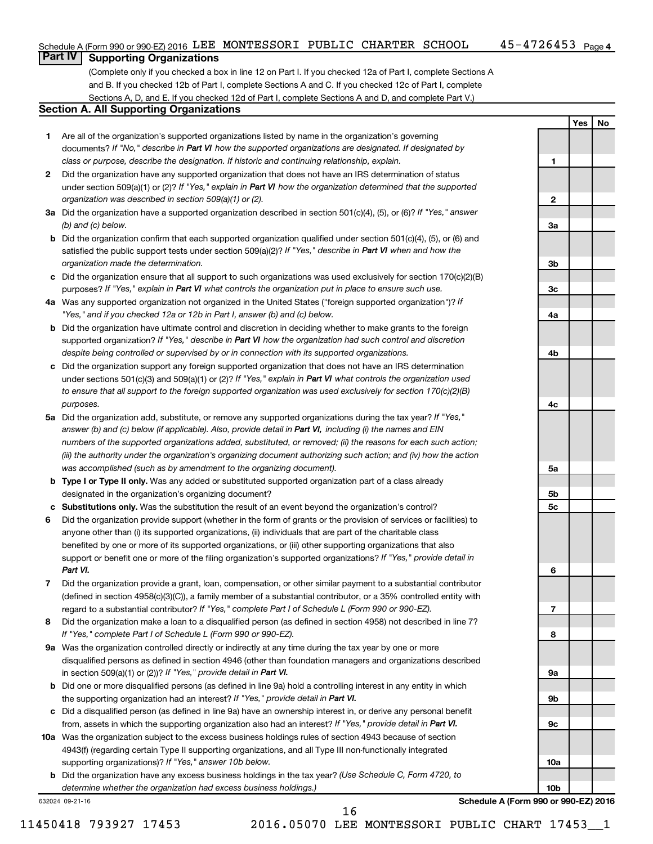**1**

**2**

**3a**

**3b**

**Yes No**

# **Part IV Supporting Organizations**

(Complete only if you checked a box in line 12 on Part I. If you checked 12a of Part I, complete Sections A and B. If you checked 12b of Part I, complete Sections A and C. If you checked 12c of Part I, complete Sections A, D, and E. If you checked 12d of Part I, complete Sections A and D, and complete Part V.)

#### **Section A. All Supporting Organizations**

- **1** Are all of the organization's supported organizations listed by name in the organization's governing documents? If "No," describe in Part VI how the supported organizations are designated. If designated by *class or purpose, describe the designation. If historic and continuing relationship, explain.*
- **2** Did the organization have any supported organization that does not have an IRS determination of status under section 509(a)(1) or (2)? If "Yes," explain in Part VI how the organization determined that the supported *organization was described in section 509(a)(1) or (2).*
- **3a** Did the organization have a supported organization described in section 501(c)(4), (5), or (6)? If "Yes," answer *(b) and (c) below.*
- **b** Did the organization confirm that each supported organization qualified under section 501(c)(4), (5), or (6) and satisfied the public support tests under section 509(a)(2)? If "Yes," describe in Part VI when and how the *organization made the determination.*
- **c** Did the organization ensure that all support to such organizations was used exclusively for section 170(c)(2)(B) purposes? If "Yes," explain in Part VI what controls the organization put in place to ensure such use.
- **4 a** *If* Was any supported organization not organized in the United States ("foreign supported organization")? *"Yes," and if you checked 12a or 12b in Part I, answer (b) and (c) below.*
- **b** Did the organization have ultimate control and discretion in deciding whether to make grants to the foreign supported organization? If "Yes," describe in Part VI how the organization had such control and discretion *despite being controlled or supervised by or in connection with its supported organizations.*
- **c** Did the organization support any foreign supported organization that does not have an IRS determination under sections 501(c)(3) and 509(a)(1) or (2)? If "Yes," explain in Part VI what controls the organization used *to ensure that all support to the foreign supported organization was used exclusively for section 170(c)(2)(B) purposes.*
- **5a** Did the organization add, substitute, or remove any supported organizations during the tax year? If "Yes," answer (b) and (c) below (if applicable). Also, provide detail in Part VI, including (i) the names and EIN *numbers of the supported organizations added, substituted, or removed; (ii) the reasons for each such action; (iii) the authority under the organization's organizing document authorizing such action; and (iv) how the action was accomplished (such as by amendment to the organizing document).*
- **b** Type I or Type II only. Was any added or substituted supported organization part of a class already designated in the organization's organizing document?
- **c Substitutions only.**  Was the substitution the result of an event beyond the organization's control?
- **6** Did the organization provide support (whether in the form of grants or the provision of services or facilities) to support or benefit one or more of the filing organization's supported organizations? If "Yes," provide detail in anyone other than (i) its supported organizations, (ii) individuals that are part of the charitable class benefited by one or more of its supported organizations, or (iii) other supporting organizations that also *Part VI.*
- **7** Did the organization provide a grant, loan, compensation, or other similar payment to a substantial contributor regard to a substantial contributor? If "Yes," complete Part I of Schedule L (Form 990 or 990-EZ). (defined in section 4958(c)(3)(C)), a family member of a substantial contributor, or a 35% controlled entity with
- **8** Did the organization make a loan to a disqualified person (as defined in section 4958) not described in line 7? *If "Yes," complete Part I of Schedule L (Form 990 or 990-EZ).*
- **9 a** Was the organization controlled directly or indirectly at any time during the tax year by one or more in section 509(a)(1) or (2))? If "Yes," provide detail in Part VI. disqualified persons as defined in section 4946 (other than foundation managers and organizations described
- **b** Did one or more disqualified persons (as defined in line 9a) hold a controlling interest in any entity in which the supporting organization had an interest? If "Yes," provide detail in Part VI.
- **c** Did a disqualified person (as defined in line 9a) have an ownership interest in, or derive any personal benefit from, assets in which the supporting organization also had an interest? If "Yes," provide detail in Part VI.
- **10 a** Was the organization subject to the excess business holdings rules of section 4943 because of section supporting organizations)? If "Yes," answer 10b below. 4943(f) (regarding certain Type II supporting organizations, and all Type III non-functionally integrated
	- **b** Did the organization have any excess business holdings in the tax year? (Use Schedule C, Form 4720, to *determine whether the organization had excess business holdings.)*

632024 09-21-16

**Schedule A (Form 990 or 990-EZ) 2016**

16

**3c 4a 4b 4c 5a 5b 5c 6 7 8 9a 9b 9c 10a 10b**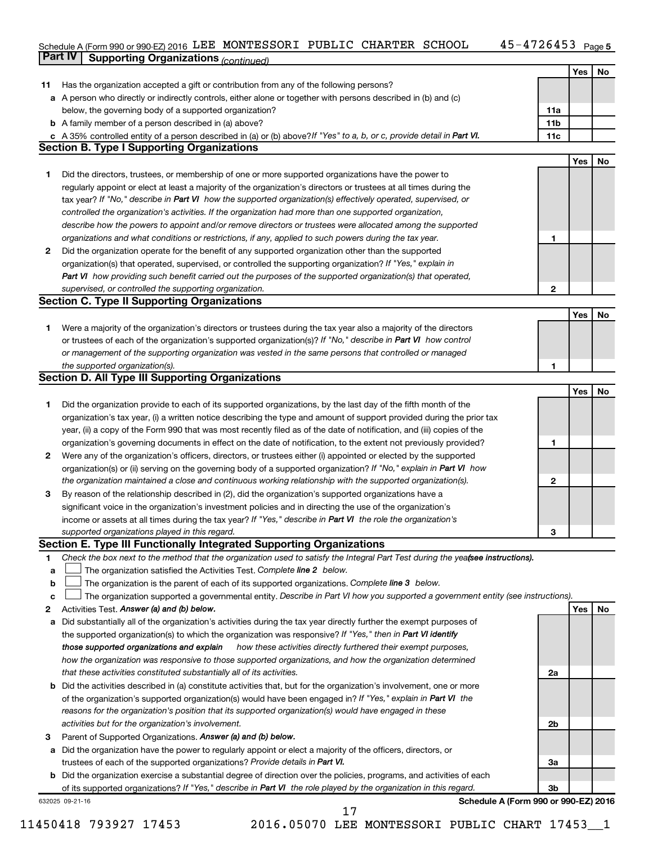#### 45-4726453 Page 5 Schedule A (Form 990 or 990-EZ) 2016 LEE MONTESSORI PUBLIC CHARTER SCHOOL 45-4726453 Page

|    | Part IV<br><b>Supporting Organizations (continued)</b>                                                                          |                 |     |    |
|----|---------------------------------------------------------------------------------------------------------------------------------|-----------------|-----|----|
|    |                                                                                                                                 |                 | Yes | No |
| 11 | Has the organization accepted a gift or contribution from any of the following persons?                                         |                 |     |    |
|    | a A person who directly or indirectly controls, either alone or together with persons described in (b) and (c)                  |                 |     |    |
|    | below, the governing body of a supported organization?                                                                          | 11a             |     |    |
|    | <b>b</b> A family member of a person described in (a) above?                                                                    | 11 <sub>b</sub> |     |    |
|    | c A 35% controlled entity of a person described in (a) or (b) above? If "Yes" to a, b, or c, provide detail in Part VI.         | 11c             |     |    |
|    | <b>Section B. Type I Supporting Organizations</b>                                                                               |                 |     |    |
|    |                                                                                                                                 |                 | Yes | No |
|    |                                                                                                                                 |                 |     |    |
| 1  | Did the directors, trustees, or membership of one or more supported organizations have the power to                             |                 |     |    |
|    | regularly appoint or elect at least a majority of the organization's directors or trustees at all times during the              |                 |     |    |
|    | tax year? If "No," describe in Part VI how the supported organization(s) effectively operated, supervised, or                   |                 |     |    |
|    | controlled the organization's activities. If the organization had more than one supported organization,                         |                 |     |    |
|    | describe how the powers to appoint and/or remove directors or trustees were allocated among the supported                       |                 |     |    |
|    | organizations and what conditions or restrictions, if any, applied to such powers during the tax year.                          | 1               |     |    |
| 2  | Did the organization operate for the benefit of any supported organization other than the supported                             |                 |     |    |
|    | organization(s) that operated, supervised, or controlled the supporting organization? If "Yes," explain in                      |                 |     |    |
|    | Part VI how providing such benefit carried out the purposes of the supported organization(s) that operated,                     |                 |     |    |
|    | supervised, or controlled the supporting organization.                                                                          | $\mathbf{2}$    |     |    |
|    | <b>Section C. Type II Supporting Organizations</b>                                                                              |                 |     |    |
|    |                                                                                                                                 |                 | Yes | No |
| 1. | Were a majority of the organization's directors or trustees during the tax year also a majority of the directors                |                 |     |    |
|    | or trustees of each of the organization's supported organization(s)? If "No," describe in Part VI how control                   |                 |     |    |
|    | or management of the supporting organization was vested in the same persons that controlled or managed                          |                 |     |    |
|    | the supported organization(s).                                                                                                  | 1               |     |    |
|    | <b>Section D. All Type III Supporting Organizations</b>                                                                         |                 |     |    |
|    |                                                                                                                                 |                 | Yes | No |
| 1  | Did the organization provide to each of its supported organizations, by the last day of the fifth month of the                  |                 |     |    |
|    | organization's tax year, (i) a written notice describing the type and amount of support provided during the prior tax           |                 |     |    |
|    | year, (ii) a copy of the Form 990 that was most recently filed as of the date of notification, and (iii) copies of the          |                 |     |    |
|    | organization's governing documents in effect on the date of notification, to the extent not previously provided?                | 1               |     |    |
| 2  | Were any of the organization's officers, directors, or trustees either (i) appointed or elected by the supported                |                 |     |    |
|    | organization(s) or (ii) serving on the governing body of a supported organization? If "No," explain in Part VI how              |                 |     |    |
|    | the organization maintained a close and continuous working relationship with the supported organization(s).                     | 2               |     |    |
| 3  | By reason of the relationship described in (2), did the organization's supported organizations have a                           |                 |     |    |
|    | significant voice in the organization's investment policies and in directing the use of the organization's                      |                 |     |    |
|    | income or assets at all times during the tax year? If "Yes," describe in Part VI the role the organization's                    |                 |     |    |
|    | supported organizations played in this regard.                                                                                  | з               |     |    |
|    | Section E. Type III Functionally Integrated Supporting Organizations                                                            |                 |     |    |
| 1  | Check the box next to the method that the organization used to satisfy the Integral Part Test during the yea(see instructions). |                 |     |    |
| а  | The organization satisfied the Activities Test. Complete line 2 below.                                                          |                 |     |    |
| b  | The organization is the parent of each of its supported organizations. Complete line 3 below.                                   |                 |     |    |
| с  | The organization supported a governmental entity. Describe in Part VI how you supported a government entity (see instructions). |                 |     |    |
| 2  | Activities Test. Answer (a) and (b) below.                                                                                      |                 | Yes | No |
| а  | Did substantially all of the organization's activities during the tax year directly further the exempt purposes of              |                 |     |    |
|    | the supported organization(s) to which the organization was responsive? If "Yes," then in Part VI identify                      |                 |     |    |
|    | those supported organizations and explain<br>how these activities directly furthered their exempt purposes,                     |                 |     |    |
|    | how the organization was responsive to those supported organizations, and how the organization determined                       |                 |     |    |
|    | that these activities constituted substantially all of its activities.                                                          | 2a              |     |    |
| b  | Did the activities described in (a) constitute activities that, but for the organization's involvement, one or more             |                 |     |    |
|    | of the organization's supported organization(s) would have been engaged in? If "Yes," explain in Part VI the                    |                 |     |    |
|    | reasons for the organization's position that its supported organization(s) would have engaged in these                          |                 |     |    |
|    | activities but for the organization's involvement.                                                                              | 2b              |     |    |
| 3  | Parent of Supported Organizations. Answer (a) and (b) below.                                                                    |                 |     |    |
| а  | Did the organization have the power to regularly appoint or elect a majority of the officers, directors, or                     |                 |     |    |
|    | trustees of each of the supported organizations? Provide details in Part VI.                                                    | За              |     |    |
| b  | Did the organization exercise a substantial degree of direction over the policies, programs, and activities of each             |                 |     |    |
|    | of its supported organizations? If "Yes," describe in Part VI the role played by the organization in this regard.               | 3b              |     |    |

632025 09-21-16

**Schedule A (Form 990 or 990-EZ) 2016**

17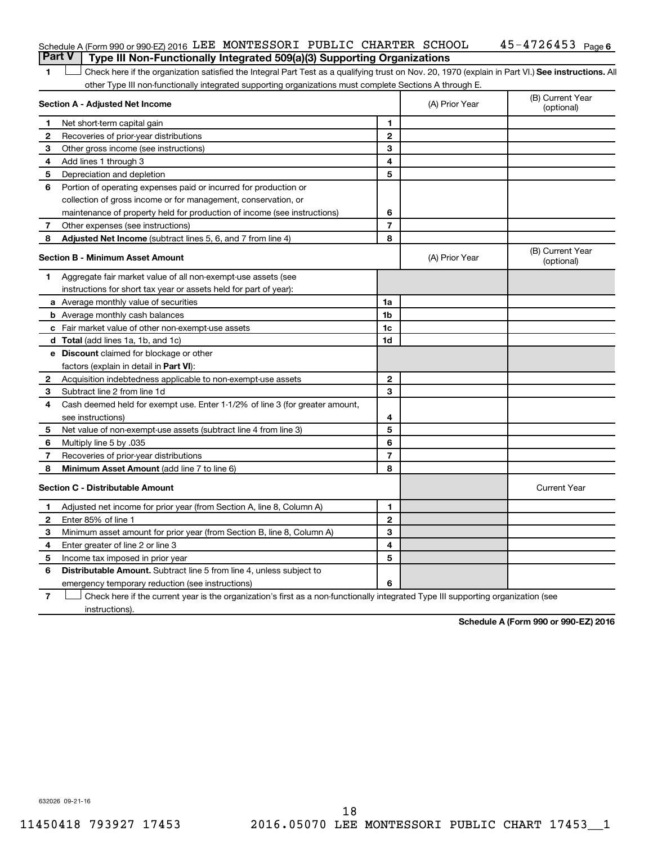#### 45-4726453 Page 6 Schedule A (Form 990 or 990-EZ) 2016 LEE MONTESSORI PUBLIC CHARTER SCHOOL 45-4726453 Page

**Part V Type III Non-Functionally Integrated 509(a)(3) Supporting Organizations** 

1 **Letter See instructions.** All Check here if the organization satisfied the Integral Part Test as a qualifying trust on Nov. 20, 1970 (explain in Part VI.) See instructions. All other Type III non-functionally integrated supporting organizations must complete Sections A through E.

| Section A - Adjusted Net Income         |                                                                              | (A) Prior Year | (B) Current Year<br>(optional) |                                |
|-----------------------------------------|------------------------------------------------------------------------------|----------------|--------------------------------|--------------------------------|
| 1                                       | Net short-term capital gain                                                  | 1              |                                |                                |
| 2                                       | Recoveries of prior-year distributions                                       | $\mathbf{2}$   |                                |                                |
| 3                                       | Other gross income (see instructions)                                        | 3              |                                |                                |
| 4                                       | Add lines 1 through 3                                                        | 4              |                                |                                |
| 5                                       | Depreciation and depletion                                                   | 5              |                                |                                |
| 6                                       | Portion of operating expenses paid or incurred for production or             |                |                                |                                |
|                                         | collection of gross income or for management, conservation, or               |                |                                |                                |
|                                         | maintenance of property held for production of income (see instructions)     | 6              |                                |                                |
| 7                                       | Other expenses (see instructions)                                            | $\overline{7}$ |                                |                                |
| 8                                       | Adjusted Net Income (subtract lines 5, 6, and 7 from line 4)                 | 8              |                                |                                |
|                                         | <b>Section B - Minimum Asset Amount</b>                                      |                | (A) Prior Year                 | (B) Current Year<br>(optional) |
| 1.                                      | Aggregate fair market value of all non-exempt-use assets (see                |                |                                |                                |
|                                         | instructions for short tax year or assets held for part of year):            |                |                                |                                |
|                                         | <b>a</b> Average monthly value of securities                                 | 1a             |                                |                                |
|                                         | <b>b</b> Average monthly cash balances                                       | 1b             |                                |                                |
|                                         | c Fair market value of other non-exempt-use assets                           | 1 <sub>c</sub> |                                |                                |
|                                         | d Total (add lines 1a, 1b, and 1c)                                           | 1d             |                                |                                |
|                                         | e Discount claimed for blockage or other                                     |                |                                |                                |
|                                         | factors (explain in detail in <b>Part VI</b> ):                              |                |                                |                                |
| 2                                       | Acquisition indebtedness applicable to non-exempt-use assets                 | $\mathbf{2}$   |                                |                                |
| 3                                       | Subtract line 2 from line 1d                                                 | 3              |                                |                                |
| 4                                       | Cash deemed held for exempt use. Enter 1-1/2% of line 3 (for greater amount, |                |                                |                                |
|                                         | see instructions)                                                            | 4              |                                |                                |
| 5                                       | Net value of non-exempt-use assets (subtract line 4 from line 3)             | 5              |                                |                                |
| 6                                       | Multiply line 5 by .035                                                      | 6              |                                |                                |
| 7                                       | Recoveries of prior-year distributions                                       | $\overline{7}$ |                                |                                |
| 8                                       | Minimum Asset Amount (add line 7 to line 6)                                  | 8              |                                |                                |
| <b>Section C - Distributable Amount</b> |                                                                              |                |                                | <b>Current Year</b>            |
| 1                                       | Adjusted net income for prior year (from Section A, line 8, Column A)        | 1              |                                |                                |
| 2                                       | Enter 85% of line 1                                                          | $\mathbf{2}$   |                                |                                |
| З                                       | Minimum asset amount for prior year (from Section B, line 8, Column A)       | 3              |                                |                                |
| 4                                       | Enter greater of line 2 or line 3                                            | 4              |                                |                                |
| 5                                       | Income tax imposed in prior year                                             | 5              |                                |                                |
| 6                                       | <b>Distributable Amount.</b> Subtract line 5 from line 4, unless subject to  |                |                                |                                |
|                                         | emergency temporary reduction (see instructions)                             | 6              |                                |                                |
|                                         |                                                                              |                |                                |                                |

**7** Check here if the current year is the organization's first as a non-functionally integrated Type III supporting organization (see † instructions).

**Schedule A (Form 990 or 990-EZ) 2016**

632026 09-21-16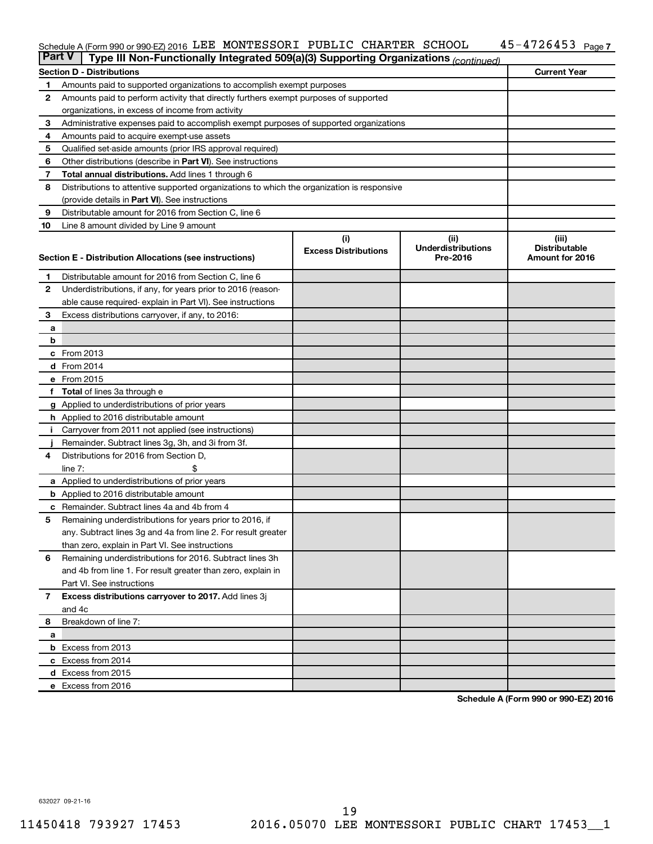#### Schedule A (Form 990 or 990-EZ) 2016 LLEE MONTESSORI PUBLIC CHARTER SCHOOL 45-4726453 Page LEE MONTESSORI PUBLIC CHARTER SCHOOL 45-4726453

| <b>Part V</b><br>Type III Non-Functionally Integrated 509(a)(3) Supporting Organizations (continued) |                                                                                             |                             |                                       |                                         |  |  |  |
|------------------------------------------------------------------------------------------------------|---------------------------------------------------------------------------------------------|-----------------------------|---------------------------------------|-----------------------------------------|--|--|--|
|                                                                                                      | <b>Current Year</b><br><b>Section D - Distributions</b>                                     |                             |                                       |                                         |  |  |  |
| 1                                                                                                    | Amounts paid to supported organizations to accomplish exempt purposes                       |                             |                                       |                                         |  |  |  |
| $\mathbf{2}$                                                                                         | Amounts paid to perform activity that directly furthers exempt purposes of supported        |                             |                                       |                                         |  |  |  |
|                                                                                                      | organizations, in excess of income from activity                                            |                             |                                       |                                         |  |  |  |
| 3                                                                                                    | Administrative expenses paid to accomplish exempt purposes of supported organizations       |                             |                                       |                                         |  |  |  |
| 4                                                                                                    | Amounts paid to acquire exempt-use assets                                                   |                             |                                       |                                         |  |  |  |
| 5                                                                                                    | Qualified set-aside amounts (prior IRS approval required)                                   |                             |                                       |                                         |  |  |  |
| 6                                                                                                    | Other distributions (describe in Part VI). See instructions                                 |                             |                                       |                                         |  |  |  |
| 7                                                                                                    | <b>Total annual distributions.</b> Add lines 1 through 6                                    |                             |                                       |                                         |  |  |  |
| 8                                                                                                    | Distributions to attentive supported organizations to which the organization is responsive  |                             |                                       |                                         |  |  |  |
|                                                                                                      | (provide details in Part VI). See instructions                                              |                             |                                       |                                         |  |  |  |
| 9                                                                                                    | Distributable amount for 2016 from Section C, line 6                                        |                             |                                       |                                         |  |  |  |
| 10                                                                                                   | Line 8 amount divided by Line 9 amount                                                      |                             |                                       |                                         |  |  |  |
|                                                                                                      |                                                                                             | (i)                         | (ii)                                  | (iii)                                   |  |  |  |
|                                                                                                      | Section E - Distribution Allocations (see instructions)                                     | <b>Excess Distributions</b> | <b>Underdistributions</b><br>Pre-2016 | <b>Distributable</b><br>Amount for 2016 |  |  |  |
|                                                                                                      |                                                                                             |                             |                                       |                                         |  |  |  |
| 1                                                                                                    | Distributable amount for 2016 from Section C, line 6                                        |                             |                                       |                                         |  |  |  |
| $\mathbf{2}$                                                                                         | Underdistributions, if any, for years prior to 2016 (reason-                                |                             |                                       |                                         |  |  |  |
|                                                                                                      | able cause required-explain in Part VI). See instructions                                   |                             |                                       |                                         |  |  |  |
| 3                                                                                                    | Excess distributions carryover, if any, to 2016:                                            |                             |                                       |                                         |  |  |  |
| а                                                                                                    |                                                                                             |                             |                                       |                                         |  |  |  |
| b                                                                                                    |                                                                                             |                             |                                       |                                         |  |  |  |
|                                                                                                      | c From 2013                                                                                 |                             |                                       |                                         |  |  |  |
|                                                                                                      | <b>d</b> From 2014                                                                          |                             |                                       |                                         |  |  |  |
|                                                                                                      | e From 2015                                                                                 |                             |                                       |                                         |  |  |  |
|                                                                                                      | f Total of lines 3a through e                                                               |                             |                                       |                                         |  |  |  |
|                                                                                                      | <b>g</b> Applied to underdistributions of prior years                                       |                             |                                       |                                         |  |  |  |
|                                                                                                      | <b>h</b> Applied to 2016 distributable amount                                               |                             |                                       |                                         |  |  |  |
| Ť.                                                                                                   | Carryover from 2011 not applied (see instructions)                                          |                             |                                       |                                         |  |  |  |
| 4                                                                                                    | Remainder. Subtract lines 3g, 3h, and 3i from 3f.<br>Distributions for 2016 from Section D, |                             |                                       |                                         |  |  |  |
|                                                                                                      | line $7:$                                                                                   |                             |                                       |                                         |  |  |  |
|                                                                                                      | a Applied to underdistributions of prior years                                              |                             |                                       |                                         |  |  |  |
|                                                                                                      | <b>b</b> Applied to 2016 distributable amount                                               |                             |                                       |                                         |  |  |  |
| c                                                                                                    | Remainder. Subtract lines 4a and 4b from 4                                                  |                             |                                       |                                         |  |  |  |
| 5                                                                                                    | Remaining underdistributions for years prior to 2016, if                                    |                             |                                       |                                         |  |  |  |
|                                                                                                      | any. Subtract lines 3g and 4a from line 2. For result greater                               |                             |                                       |                                         |  |  |  |
|                                                                                                      | than zero, explain in Part VI. See instructions                                             |                             |                                       |                                         |  |  |  |
| 6                                                                                                    | Remaining underdistributions for 2016. Subtract lines 3h                                    |                             |                                       |                                         |  |  |  |
|                                                                                                      | and 4b from line 1. For result greater than zero, explain in                                |                             |                                       |                                         |  |  |  |
|                                                                                                      | Part VI. See instructions                                                                   |                             |                                       |                                         |  |  |  |
| $\overline{7}$                                                                                       | Excess distributions carryover to 2017. Add lines 3j                                        |                             |                                       |                                         |  |  |  |
|                                                                                                      | and 4c                                                                                      |                             |                                       |                                         |  |  |  |
| 8                                                                                                    | Breakdown of line 7:                                                                        |                             |                                       |                                         |  |  |  |
| a                                                                                                    |                                                                                             |                             |                                       |                                         |  |  |  |
|                                                                                                      | <b>b</b> Excess from 2013                                                                   |                             |                                       |                                         |  |  |  |
|                                                                                                      | c Excess from 2014                                                                          |                             |                                       |                                         |  |  |  |
|                                                                                                      | d Excess from 2015                                                                          |                             |                                       |                                         |  |  |  |
|                                                                                                      | e Excess from 2016                                                                          |                             |                                       |                                         |  |  |  |

**Schedule A (Form 990 or 990-EZ) 2016**

632027 09-21-16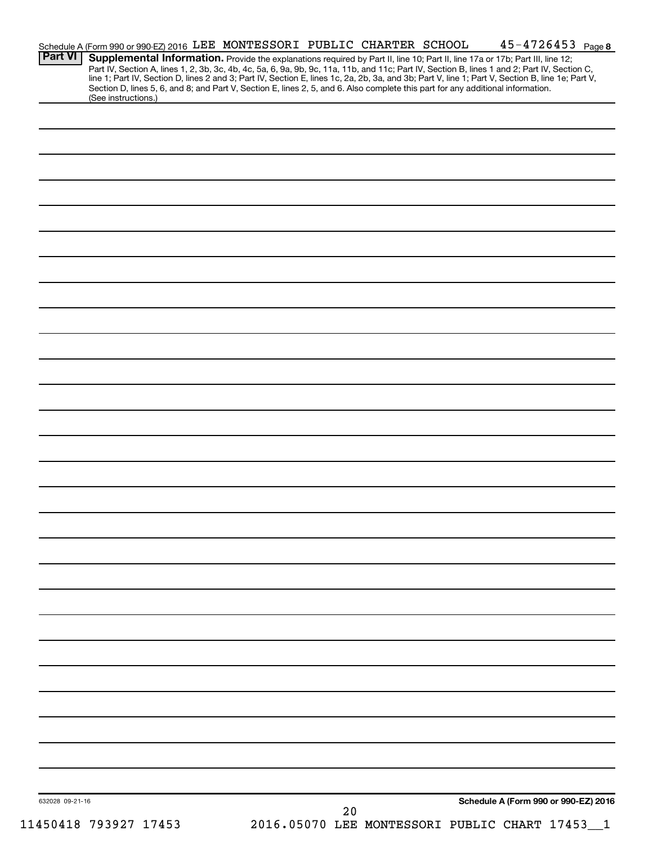| Schedule A (Form 990 or 990-EZ) 2016 LEE MONTESSORI PUBLIC CHARTER SCHOOL<br><b>Part VI</b>                                     |    | $45 - 4726453$ Page 8                                                                                                                                                                                                                                                                                                                                             |
|---------------------------------------------------------------------------------------------------------------------------------|----|-------------------------------------------------------------------------------------------------------------------------------------------------------------------------------------------------------------------------------------------------------------------------------------------------------------------------------------------------------------------|
| Section D, lines 5, 6, and 8; and Part V, Section E, lines 2, 5, and 6. Also complete this part for any additional information. |    | Supplemental Information. Provide the explanations required by Part II, line 10; Part II, line 17a or 17b; Part III, line 12;<br>Part IV, Section A, lines 1, 2, 3b, 3c, 4b, 4c, 5a, 6, 9a, 9b, 9c, 11a, 11b, and 11c; Part IV, Section B, lines 1 and 2; Part IV, Section C,<br>line 1; Part IV, Section D, lines 2 and 3; Part IV, Section E, lines 1c, 2a, 2b, |
| (See instructions.)                                                                                                             |    |                                                                                                                                                                                                                                                                                                                                                                   |
|                                                                                                                                 |    |                                                                                                                                                                                                                                                                                                                                                                   |
|                                                                                                                                 |    |                                                                                                                                                                                                                                                                                                                                                                   |
|                                                                                                                                 |    |                                                                                                                                                                                                                                                                                                                                                                   |
|                                                                                                                                 |    |                                                                                                                                                                                                                                                                                                                                                                   |
|                                                                                                                                 |    |                                                                                                                                                                                                                                                                                                                                                                   |
|                                                                                                                                 |    |                                                                                                                                                                                                                                                                                                                                                                   |
|                                                                                                                                 |    |                                                                                                                                                                                                                                                                                                                                                                   |
|                                                                                                                                 |    |                                                                                                                                                                                                                                                                                                                                                                   |
|                                                                                                                                 |    |                                                                                                                                                                                                                                                                                                                                                                   |
|                                                                                                                                 |    |                                                                                                                                                                                                                                                                                                                                                                   |
|                                                                                                                                 |    |                                                                                                                                                                                                                                                                                                                                                                   |
|                                                                                                                                 |    |                                                                                                                                                                                                                                                                                                                                                                   |
|                                                                                                                                 |    |                                                                                                                                                                                                                                                                                                                                                                   |
|                                                                                                                                 |    |                                                                                                                                                                                                                                                                                                                                                                   |
|                                                                                                                                 |    |                                                                                                                                                                                                                                                                                                                                                                   |
|                                                                                                                                 |    |                                                                                                                                                                                                                                                                                                                                                                   |
|                                                                                                                                 |    |                                                                                                                                                                                                                                                                                                                                                                   |
|                                                                                                                                 |    |                                                                                                                                                                                                                                                                                                                                                                   |
|                                                                                                                                 |    |                                                                                                                                                                                                                                                                                                                                                                   |
|                                                                                                                                 |    |                                                                                                                                                                                                                                                                                                                                                                   |
|                                                                                                                                 |    |                                                                                                                                                                                                                                                                                                                                                                   |
|                                                                                                                                 |    |                                                                                                                                                                                                                                                                                                                                                                   |
|                                                                                                                                 |    |                                                                                                                                                                                                                                                                                                                                                                   |
|                                                                                                                                 |    |                                                                                                                                                                                                                                                                                                                                                                   |
|                                                                                                                                 |    |                                                                                                                                                                                                                                                                                                                                                                   |
|                                                                                                                                 |    |                                                                                                                                                                                                                                                                                                                                                                   |
|                                                                                                                                 |    |                                                                                                                                                                                                                                                                                                                                                                   |
|                                                                                                                                 |    |                                                                                                                                                                                                                                                                                                                                                                   |
|                                                                                                                                 |    |                                                                                                                                                                                                                                                                                                                                                                   |
|                                                                                                                                 |    |                                                                                                                                                                                                                                                                                                                                                                   |
|                                                                                                                                 |    |                                                                                                                                                                                                                                                                                                                                                                   |
|                                                                                                                                 |    |                                                                                                                                                                                                                                                                                                                                                                   |
| 632028 09-21-16                                                                                                                 |    | Schedule A (Form 990 or 990-EZ) 2016                                                                                                                                                                                                                                                                                                                              |
| 11450418 793927 17453                                                                                                           | 20 | 2016.05070 LEE MONTESSORI PUBLIC CHART 17453                                                                                                                                                                                                                                                                                                                      |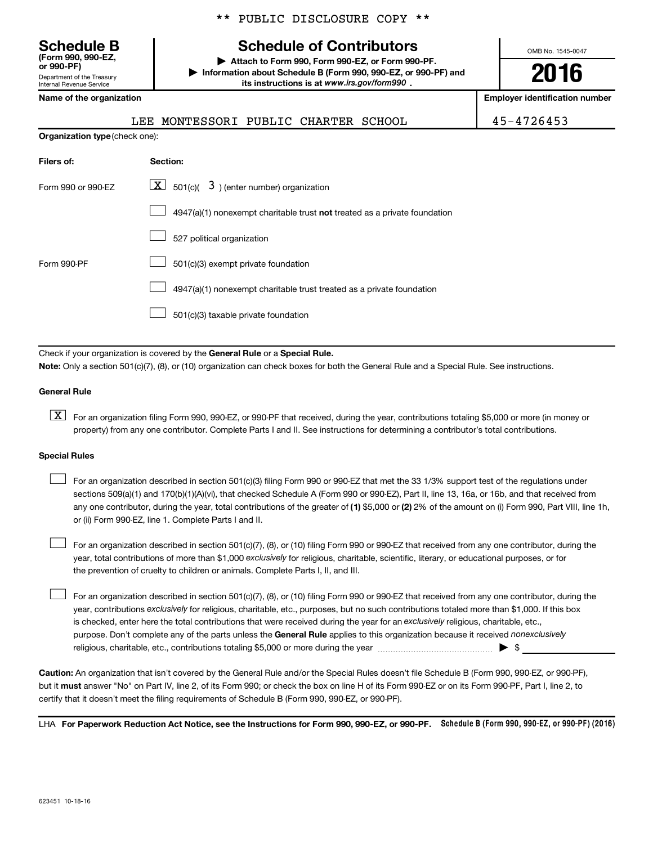Department of the Treasury Internal Revenue Service **(Form 990, 990-EZ,**

|  |  | ** PUBLIC DISCLOSURE COPY ** |  |  |
|--|--|------------------------------|--|--|
|--|--|------------------------------|--|--|

# **Schedule B Schedule of Contributors**

**or 990-PF) | Attach to Form 990, Form 990-EZ, or Form 990-PF. | Information about Schedule B (Form 990, 990-EZ, or 990-PF) and** its instructions is at www.irs.gov/form990.

OMB No. 1545-0047

**2016**

**Name of the organization Employer identification number**

| <b>LEE MONTESSORI PUBLIC CHARTER SCHOOL</b> |  |  |
|---------------------------------------------|--|--|
|                                             |  |  |

LEE MONTESSORI PUBLIC CHARTER SCHOOL 45-4726453

| <b>Organization type (check one):</b> |                                                                           |  |  |  |
|---------------------------------------|---------------------------------------------------------------------------|--|--|--|
| Filers of:                            | Section:                                                                  |  |  |  |
| Form 990 or 990-EZ                    | $\lfloor \underline{X} \rfloor$ 501(c)( 3) (enter number) organization    |  |  |  |
|                                       | 4947(a)(1) nonexempt charitable trust not treated as a private foundation |  |  |  |
|                                       | 527 political organization                                                |  |  |  |
| Form 990-PF                           | 501(c)(3) exempt private foundation                                       |  |  |  |
|                                       | 4947(a)(1) nonexempt charitable trust treated as a private foundation     |  |  |  |
|                                       | 501(c)(3) taxable private foundation                                      |  |  |  |

Check if your organization is covered by the General Rule or a Special Rule.

**Note:**  Only a section 501(c)(7), (8), or (10) organization can check boxes for both the General Rule and a Special Rule. See instructions.

#### **General Rule**

**K** For an organization filing Form 990, 990-EZ, or 990-PF that received, during the year, contributions totaling \$5,000 or more (in money or property) from any one contributor. Complete Parts I and II. See instructions for determining a contributor's total contributions.

#### **Special Rules**

 $\Box$ 

any one contributor, during the year, total contributions of the greater of **(1)** \$5,000 or **(2)** 2% of the amount on (i) Form 990, Part VIII, line 1h, For an organization described in section 501(c)(3) filing Form 990 or 990-EZ that met the 33 1/3% support test of the regulations under sections 509(a)(1) and 170(b)(1)(A)(vi), that checked Schedule A (Form 990 or 990-EZ), Part II, line 13, 16a, or 16b, and that received from or (ii) Form 990-EZ, line 1. Complete Parts I and II.  $\Box$ 

year, total contributions of more than \$1,000 *exclusively* for religious, charitable, scientific, literary, or educational purposes, or for For an organization described in section 501(c)(7), (8), or (10) filing Form 990 or 990-EZ that received from any one contributor, during the the prevention of cruelty to children or animals. Complete Parts I, II, and III.  $\Box$ 

purpose. Don't complete any of the parts unless the General Rule applies to this organization because it received nonexclusively year, contributions exclusively for religious, charitable, etc., purposes, but no such contributions totaled more than \$1,000. If this box is checked, enter here the total contributions that were received during the year for an exclusively religious, charitable, etc., For an organization described in section 501(c)(7), (8), or (10) filing Form 990 or 990-EZ that received from any one contributor, during the religious, charitable, etc., contributions totaling \$5,000 or more during the year  $\ldots$  $\ldots$  $\ldots$  $\ldots$  $\ldots$  $\ldots$ 

**Caution:**  An organization that isn't covered by the General Rule and/or the Special Rules doesn't file Schedule B (Form 990, 990-EZ, or 990-PF),  **must** but it answer "No" on Part IV, line 2, of its Form 990; or check the box on line H of its Form 990-EZ or on its Form 990-PF, Part I, line 2, to certify that it doesn't meet the filing requirements of Schedule B (Form 990, 990-EZ, or 990-PF).

LHA For Paperwork Reduction Act Notice, see the Instructions for Form 990, 990-EZ, or 990-PF. Schedule B (Form 990, 990-EZ, or 990-PF) (2016)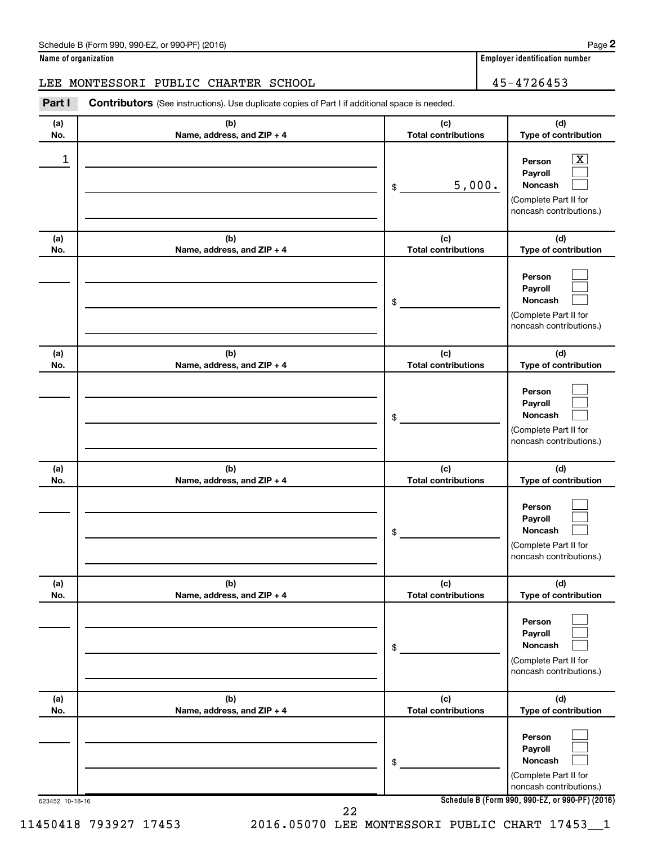**Name of organization Employer identification number**

## LEE MONTESSORI PUBLIC CHARTER SCHOOL 45-4726453

Part I Contributors (See instructions). Use duplicate copies of Part I if additional space is needed.

| (a)<br>No. | (b)<br>Name, address, and ZIP + 4 | (c)<br><b>Total contributions</b> | (d)<br>Type of contribution                                                                                 |
|------------|-----------------------------------|-----------------------------------|-------------------------------------------------------------------------------------------------------------|
| 1          |                                   | 5,000.<br>\$                      | $\overline{\textbf{X}}$<br>Person<br>Payroll<br>Noncash<br>(Complete Part II for<br>noncash contributions.) |
| (a)<br>No. | (b)<br>Name, address, and ZIP + 4 | (c)<br><b>Total contributions</b> | (d)<br>Type of contribution                                                                                 |
|            |                                   | \$                                | Person<br>Payroll<br><b>Noncash</b><br>(Complete Part II for<br>noncash contributions.)                     |
| (a)<br>No. | (b)<br>Name, address, and ZIP + 4 | (c)<br><b>Total contributions</b> | (d)<br>Type of contribution                                                                                 |
|            |                                   | \$                                | Person<br>Payroll<br><b>Noncash</b><br>(Complete Part II for<br>noncash contributions.)                     |
| (a)<br>No. | (b)<br>Name, address, and ZIP + 4 | (c)<br><b>Total contributions</b> | (d)<br>Type of contribution                                                                                 |
|            |                                   | \$                                | Person<br>Payroll<br><b>Noncash</b><br>(Complete Part II for<br>noncash contributions.)                     |
| (a)<br>No. | (b)<br>Name, address, and ZIP + 4 | (c)<br><b>Total contributions</b> | (d)<br>Type of contribution                                                                                 |
|            |                                   | \$                                | Person<br>Payroll<br><b>Noncash</b><br>(Complete Part II for<br>noncash contributions.)                     |
| (a)<br>No. | (b)<br>Name, address, and ZIP + 4 | (c)<br><b>Total contributions</b> | (d)<br>Type of contribution                                                                                 |
|            |                                   | \$                                | Person<br>Payroll<br>Noncash<br>(Complete Part II for<br>noncash contributions.)                            |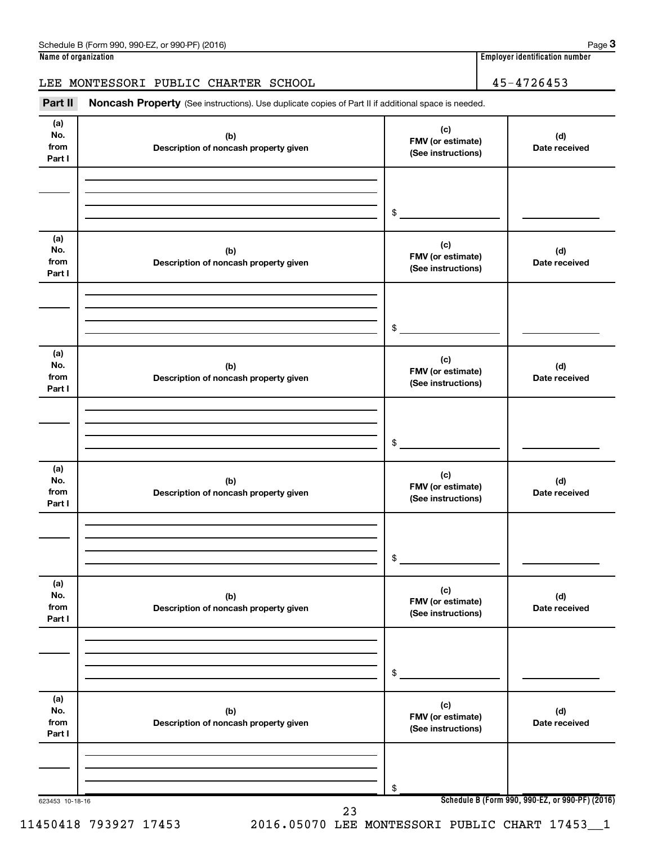## LEE MONTESSORI PUBLIC CHARTER SCHOOL 45-4726453

Part II Noncash Property (See instructions). Use duplicate copies of Part II if additional space is needed.

| (a)<br>No.<br>from<br>Part I | (b)<br>Description of noncash property given | (c)<br>FMV (or estimate)<br>(See instructions) | (d)<br>Date received |
|------------------------------|----------------------------------------------|------------------------------------------------|----------------------|
|                              |                                              | \$                                             |                      |
| (a)<br>No.<br>from<br>Part I | (b)<br>Description of noncash property given | (c)<br>FMV (or estimate)<br>(See instructions) | (d)<br>Date received |
|                              |                                              | \$                                             |                      |
| (a)<br>No.<br>from<br>Part I | (b)<br>Description of noncash property given | (c)<br>FMV (or estimate)<br>(See instructions) | (d)<br>Date received |
|                              |                                              | \$                                             |                      |
| (a)<br>No.<br>from<br>Part I | (b)<br>Description of noncash property given | (c)<br>FMV (or estimate)<br>(See instructions) | (d)<br>Date received |
|                              |                                              | \$                                             |                      |
| (a)<br>No.<br>from<br>Part I | (b)<br>Description of noncash property given | (c)<br>FMV (or estimate)<br>(See instructions) | (d)<br>Date received |
|                              |                                              | \$                                             |                      |
| (a)<br>No.<br>from<br>Part I | (b)<br>Description of noncash property given | (c)<br>FMV (or estimate)<br>(See instructions) | (d)<br>Date received |
|                              |                                              | \$                                             |                      |

11450418 793927 17453 2016.05070 LEE MONTESSORI PUBLIC CHART 17453\_\_1

**3**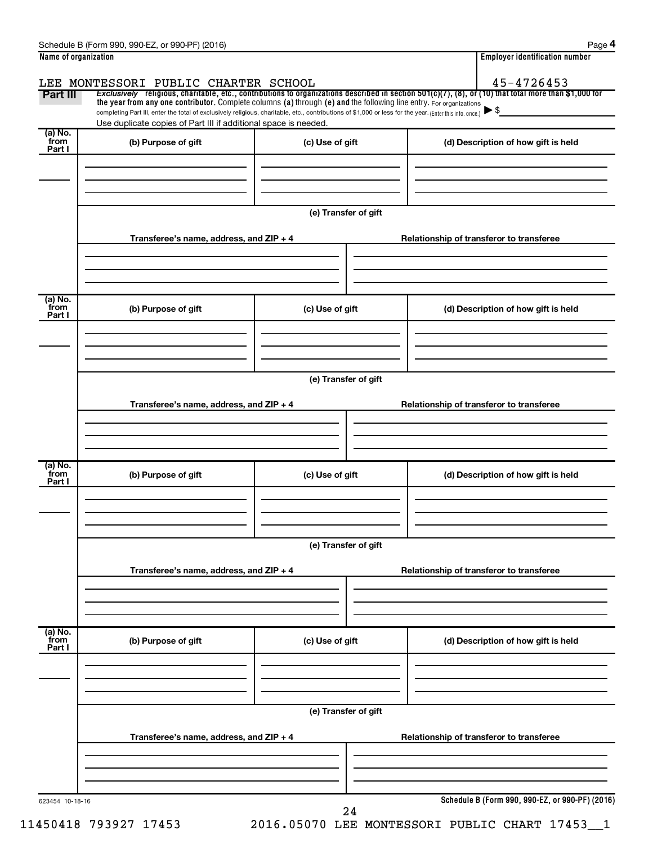| Part III<br>(a) No.<br>from<br>Part I<br>(a) No.<br>from<br>Part I | LEE MONTESSORI PUBLIC CHARTER SCHOOL<br>Exclusively religious, charitable, etc., contributions to organizations described in section 501(c)(7), (8), or (10) that total more than \$1,000 for<br>the year from any one contributor. Complete columns (a) through (e) and the following line entry. For organizations<br>completing Part III, enter the total of exclusively religious, charitable, etc., contributions of \$1,000 or less for the year. (Enter this info. once.)<br>Use duplicate copies of Part III if additional space is needed.<br>(b) Purpose of gift<br>Transferee's name, address, and ZIP + 4 | (c) Use of gift      |                      | (d) Description of how gift is held      | 45-4726453 |  |  |  |  |
|--------------------------------------------------------------------|-----------------------------------------------------------------------------------------------------------------------------------------------------------------------------------------------------------------------------------------------------------------------------------------------------------------------------------------------------------------------------------------------------------------------------------------------------------------------------------------------------------------------------------------------------------------------------------------------------------------------|----------------------|----------------------|------------------------------------------|------------|--|--|--|--|
|                                                                    |                                                                                                                                                                                                                                                                                                                                                                                                                                                                                                                                                                                                                       |                      |                      |                                          |            |  |  |  |  |
|                                                                    |                                                                                                                                                                                                                                                                                                                                                                                                                                                                                                                                                                                                                       |                      |                      |                                          |            |  |  |  |  |
|                                                                    |                                                                                                                                                                                                                                                                                                                                                                                                                                                                                                                                                                                                                       |                      |                      |                                          |            |  |  |  |  |
|                                                                    |                                                                                                                                                                                                                                                                                                                                                                                                                                                                                                                                                                                                                       |                      |                      |                                          |            |  |  |  |  |
|                                                                    |                                                                                                                                                                                                                                                                                                                                                                                                                                                                                                                                                                                                                       |                      |                      |                                          |            |  |  |  |  |
|                                                                    |                                                                                                                                                                                                                                                                                                                                                                                                                                                                                                                                                                                                                       |                      |                      |                                          |            |  |  |  |  |
|                                                                    |                                                                                                                                                                                                                                                                                                                                                                                                                                                                                                                                                                                                                       |                      |                      |                                          |            |  |  |  |  |
|                                                                    |                                                                                                                                                                                                                                                                                                                                                                                                                                                                                                                                                                                                                       |                      |                      |                                          |            |  |  |  |  |
|                                                                    |                                                                                                                                                                                                                                                                                                                                                                                                                                                                                                                                                                                                                       |                      | (e) Transfer of gift |                                          |            |  |  |  |  |
|                                                                    |                                                                                                                                                                                                                                                                                                                                                                                                                                                                                                                                                                                                                       |                      |                      | Relationship of transferor to transferee |            |  |  |  |  |
|                                                                    |                                                                                                                                                                                                                                                                                                                                                                                                                                                                                                                                                                                                                       |                      |                      |                                          |            |  |  |  |  |
|                                                                    |                                                                                                                                                                                                                                                                                                                                                                                                                                                                                                                                                                                                                       |                      |                      |                                          |            |  |  |  |  |
|                                                                    |                                                                                                                                                                                                                                                                                                                                                                                                                                                                                                                                                                                                                       |                      |                      |                                          |            |  |  |  |  |
|                                                                    | (b) Purpose of gift                                                                                                                                                                                                                                                                                                                                                                                                                                                                                                                                                                                                   | (c) Use of gift      |                      | (d) Description of how gift is held      |            |  |  |  |  |
|                                                                    |                                                                                                                                                                                                                                                                                                                                                                                                                                                                                                                                                                                                                       |                      |                      |                                          |            |  |  |  |  |
|                                                                    |                                                                                                                                                                                                                                                                                                                                                                                                                                                                                                                                                                                                                       |                      |                      |                                          |            |  |  |  |  |
|                                                                    |                                                                                                                                                                                                                                                                                                                                                                                                                                                                                                                                                                                                                       |                      |                      |                                          |            |  |  |  |  |
|                                                                    |                                                                                                                                                                                                                                                                                                                                                                                                                                                                                                                                                                                                                       |                      |                      |                                          |            |  |  |  |  |
|                                                                    |                                                                                                                                                                                                                                                                                                                                                                                                                                                                                                                                                                                                                       | (e) Transfer of gift |                      |                                          |            |  |  |  |  |
|                                                                    | Transferee's name, address, and ZIP + 4                                                                                                                                                                                                                                                                                                                                                                                                                                                                                                                                                                               |                      |                      | Relationship of transferor to transferee |            |  |  |  |  |
|                                                                    |                                                                                                                                                                                                                                                                                                                                                                                                                                                                                                                                                                                                                       |                      |                      |                                          |            |  |  |  |  |
|                                                                    |                                                                                                                                                                                                                                                                                                                                                                                                                                                                                                                                                                                                                       |                      |                      |                                          |            |  |  |  |  |
|                                                                    |                                                                                                                                                                                                                                                                                                                                                                                                                                                                                                                                                                                                                       |                      |                      |                                          |            |  |  |  |  |
| (a) No.<br>from                                                    | (b) Purpose of gift                                                                                                                                                                                                                                                                                                                                                                                                                                                                                                                                                                                                   | (c) Use of gift      |                      | (d) Description of how gift is held      |            |  |  |  |  |
| Part I                                                             |                                                                                                                                                                                                                                                                                                                                                                                                                                                                                                                                                                                                                       |                      |                      |                                          |            |  |  |  |  |
|                                                                    |                                                                                                                                                                                                                                                                                                                                                                                                                                                                                                                                                                                                                       |                      |                      |                                          |            |  |  |  |  |
|                                                                    |                                                                                                                                                                                                                                                                                                                                                                                                                                                                                                                                                                                                                       |                      |                      |                                          |            |  |  |  |  |
|                                                                    |                                                                                                                                                                                                                                                                                                                                                                                                                                                                                                                                                                                                                       | (e) Transfer of gift |                      |                                          |            |  |  |  |  |
|                                                                    |                                                                                                                                                                                                                                                                                                                                                                                                                                                                                                                                                                                                                       |                      |                      |                                          |            |  |  |  |  |
|                                                                    | Transferee's name, address, and ZIP + 4                                                                                                                                                                                                                                                                                                                                                                                                                                                                                                                                                                               |                      |                      | Relationship of transferor to transferee |            |  |  |  |  |
|                                                                    |                                                                                                                                                                                                                                                                                                                                                                                                                                                                                                                                                                                                                       |                      |                      |                                          |            |  |  |  |  |
|                                                                    |                                                                                                                                                                                                                                                                                                                                                                                                                                                                                                                                                                                                                       |                      |                      |                                          |            |  |  |  |  |
|                                                                    |                                                                                                                                                                                                                                                                                                                                                                                                                                                                                                                                                                                                                       |                      |                      |                                          |            |  |  |  |  |
| (a) No.<br>from<br>Part I                                          | (b) Purpose of gift                                                                                                                                                                                                                                                                                                                                                                                                                                                                                                                                                                                                   | (c) Use of gift      |                      | (d) Description of how gift is held      |            |  |  |  |  |
|                                                                    |                                                                                                                                                                                                                                                                                                                                                                                                                                                                                                                                                                                                                       |                      |                      |                                          |            |  |  |  |  |
|                                                                    |                                                                                                                                                                                                                                                                                                                                                                                                                                                                                                                                                                                                                       |                      |                      |                                          |            |  |  |  |  |
|                                                                    |                                                                                                                                                                                                                                                                                                                                                                                                                                                                                                                                                                                                                       |                      |                      |                                          |            |  |  |  |  |
|                                                                    |                                                                                                                                                                                                                                                                                                                                                                                                                                                                                                                                                                                                                       | (e) Transfer of gift |                      |                                          |            |  |  |  |  |
|                                                                    |                                                                                                                                                                                                                                                                                                                                                                                                                                                                                                                                                                                                                       |                      |                      |                                          |            |  |  |  |  |
|                                                                    | Transferee's name, address, and ZIP + 4                                                                                                                                                                                                                                                                                                                                                                                                                                                                                                                                                                               |                      |                      | Relationship of transferor to transferee |            |  |  |  |  |
|                                                                    |                                                                                                                                                                                                                                                                                                                                                                                                                                                                                                                                                                                                                       |                      |                      |                                          |            |  |  |  |  |
|                                                                    |                                                                                                                                                                                                                                                                                                                                                                                                                                                                                                                                                                                                                       |                      |                      |                                          |            |  |  |  |  |
| 623454 10-18-16                                                    |                                                                                                                                                                                                                                                                                                                                                                                                                                                                                                                                                                                                                       |                      |                      |                                          |            |  |  |  |  |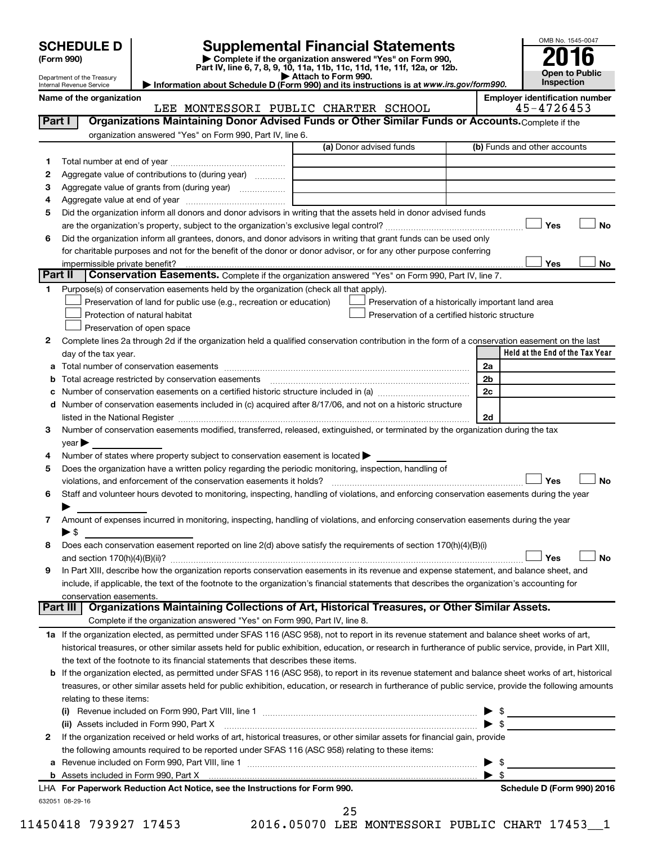Department of the Treasury Internal Revenue Service

| (Form 990) |  |
|------------|--|
|------------|--|

# **SCHEDULE D Supplemental Financial Statements**<br> **Form 990 2016**<br> **Part IV** line 6.7.8.9.10, 11a, 11b, 11d, 11d, 11d, 11d, 11d, 12a, 0r, 12b

**(Form 990) | Complete if the organization answered "Yes" on Form 990, Part IV, line 6, 7, 8, 9, 10, 11a, 11b, 11c, 11d, 11e, 11f, 12a, or 12b.**

**| Attach to Form 990. | Information about Schedule D (Form 990) and its instructions is at**  *www.irs.gov/form990.*



|        | Name of the organization<br>LEE MONTESSORI PUBLIC CHARTER SCHOOL                                                                                                                                                               |                                                    | <b>Employer identification number</b><br>45-4726453 |
|--------|--------------------------------------------------------------------------------------------------------------------------------------------------------------------------------------------------------------------------------|----------------------------------------------------|-----------------------------------------------------|
|        | Organizations Maintaining Donor Advised Funds or Other Similar Funds or Accounts. Complete if the<br>Part I                                                                                                                    |                                                    |                                                     |
|        | organization answered "Yes" on Form 990, Part IV, line 6.                                                                                                                                                                      |                                                    |                                                     |
|        | (a) Donor advised funds                                                                                                                                                                                                        |                                                    | (b) Funds and other accounts                        |
|        |                                                                                                                                                                                                                                |                                                    |                                                     |
| 1<br>2 | Aggregate value of contributions to (during year)                                                                                                                                                                              |                                                    |                                                     |
| 3      | Aggregate value of grants from (during year)                                                                                                                                                                                   |                                                    |                                                     |
| 4      |                                                                                                                                                                                                                                |                                                    |                                                     |
| 5      | Did the organization inform all donors and donor advisors in writing that the assets held in donor advised funds                                                                                                               |                                                    |                                                     |
|        |                                                                                                                                                                                                                                |                                                    | Yes<br>No                                           |
| 6      | Did the organization inform all grantees, donors, and donor advisors in writing that grant funds can be used only                                                                                                              |                                                    |                                                     |
|        | for charitable purposes and not for the benefit of the donor or donor advisor, or for any other purpose conferring                                                                                                             |                                                    |                                                     |
|        | impermissible private benefit?                                                                                                                                                                                                 |                                                    | Yes<br>No                                           |
|        | Part II<br>Conservation Easements. Complete if the organization answered "Yes" on Form 990, Part IV, line 7.                                                                                                                   |                                                    |                                                     |
| 1      | Purpose(s) of conservation easements held by the organization (check all that apply).                                                                                                                                          |                                                    |                                                     |
|        | Preservation of land for public use (e.g., recreation or education)                                                                                                                                                            | Preservation of a historically important land area |                                                     |
|        | Protection of natural habitat                                                                                                                                                                                                  | Preservation of a certified historic structure     |                                                     |
|        | Preservation of open space                                                                                                                                                                                                     |                                                    |                                                     |
|        |                                                                                                                                                                                                                                |                                                    |                                                     |
| 2      | Complete lines 2a through 2d if the organization held a qualified conservation contribution in the form of a conservation easement on the last                                                                                 |                                                    | Held at the End of the Tax Year                     |
|        | day of the tax year.                                                                                                                                                                                                           |                                                    | 2a                                                  |
| а      |                                                                                                                                                                                                                                |                                                    | 2b                                                  |
| b      |                                                                                                                                                                                                                                |                                                    | 2c                                                  |
| с      |                                                                                                                                                                                                                                |                                                    |                                                     |
| d      | Number of conservation easements included in (c) acquired after 8/17/06, and not on a historic structure                                                                                                                       |                                                    |                                                     |
|        | listed in the National Register [11] [12] The Mational Register [11] [12] The Mational Register [11] The Mational Register [11] [12] The Mational Register [11] [12] The Mational Register [11] The Mational Register [11] Mat |                                                    | 2d                                                  |
| З      | Number of conservation easements modified, transferred, released, extinguished, or terminated by the organization during the tax                                                                                               |                                                    |                                                     |
|        | year                                                                                                                                                                                                                           |                                                    |                                                     |
| 4      | Number of states where property subject to conservation easement is located >                                                                                                                                                  |                                                    |                                                     |
| 5      | Does the organization have a written policy regarding the periodic monitoring, inspection, handling of                                                                                                                         |                                                    | Yes<br><b>No</b>                                    |
|        |                                                                                                                                                                                                                                |                                                    |                                                     |
| 6      | Staff and volunteer hours devoted to monitoring, inspecting, handling of violations, and enforcing conservation easements during the year                                                                                      |                                                    |                                                     |
|        | Amount of expenses incurred in monitoring, inspecting, handling of violations, and enforcing conservation easements during the year                                                                                            |                                                    |                                                     |
| 7      | $\blacktriangleright$ \$                                                                                                                                                                                                       |                                                    |                                                     |
| 8      | Does each conservation easement reported on line $2(d)$ above satisfy the requirements of section $170(h)(4)(B)(i)$                                                                                                            |                                                    |                                                     |
|        |                                                                                                                                                                                                                                |                                                    | Yes<br>No                                           |
|        | In Part XIII, describe how the organization reports conservation easements in its revenue and expense statement, and balance sheet, and                                                                                        |                                                    |                                                     |
|        | include, if applicable, the text of the footnote to the organization's financial statements that describes the organization's accounting for                                                                                   |                                                    |                                                     |
|        | conservation easements.                                                                                                                                                                                                        |                                                    |                                                     |
|        | Part III   Organizations Maintaining Collections of Art, Historical Treasures, or Other Similar Assets.                                                                                                                        |                                                    |                                                     |
|        | Complete if the organization answered "Yes" on Form 990, Part IV, line 8.                                                                                                                                                      |                                                    |                                                     |
|        | 1a If the organization elected, as permitted under SFAS 116 (ASC 958), not to report in its revenue statement and balance sheet works of art,                                                                                  |                                                    |                                                     |
|        | historical treasures, or other similar assets held for public exhibition, education, or research in furtherance of public service, provide, in Part XIII,                                                                      |                                                    |                                                     |
|        | the text of the footnote to its financial statements that describes these items.                                                                                                                                               |                                                    |                                                     |
| b      | If the organization elected, as permitted under SFAS 116 (ASC 958), to report in its revenue statement and balance sheet works of art, historical                                                                              |                                                    |                                                     |
|        | treasures, or other similar assets held for public exhibition, education, or research in furtherance of public service, provide the following amounts                                                                          |                                                    |                                                     |
|        | relating to these items:                                                                                                                                                                                                       |                                                    |                                                     |
|        |                                                                                                                                                                                                                                |                                                    |                                                     |
|        |                                                                                                                                                                                                                                |                                                    | $\triangleright$ \$                                 |
|        | (ii) Assets included in Form 990, Part X                                                                                                                                                                                       |                                                    | - \$                                                |
| 2      | If the organization received or held works of art, historical treasures, or other similar assets for financial gain, provide                                                                                                   |                                                    |                                                     |
|        | the following amounts required to be reported under SFAS 116 (ASC 958) relating to these items:                                                                                                                                |                                                    |                                                     |
|        |                                                                                                                                                                                                                                |                                                    | - \$                                                |
|        |                                                                                                                                                                                                                                |                                                    | \$                                                  |
|        | LHA For Paperwork Reduction Act Notice, see the Instructions for Form 990.                                                                                                                                                     |                                                    | Schedule D (Form 990) 2016                          |
|        | 632051 08-29-16<br>25                                                                                                                                                                                                          |                                                    |                                                     |

11450418 793927 17453 2016.05070 LEE MONTESSORI PUBLIC CHART 17453\_\_1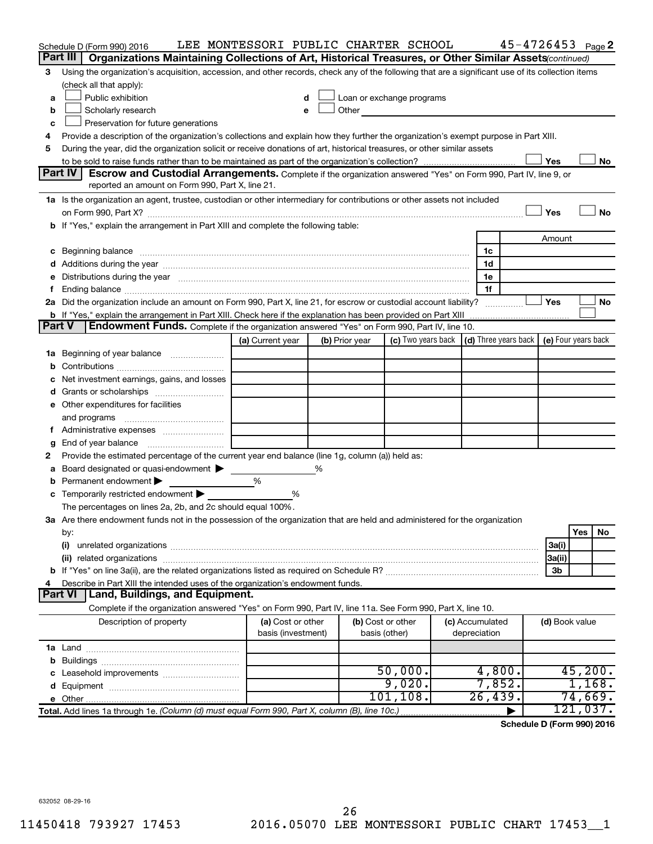|               | Schedule D (Form 990) 2016                                                                                                                                                                                                     | LEE MONTESSORI PUBLIC CHARTER SCHOOL |   |                           |                                                                             |                 | $45 - 4726453$ Page 2 |                |          |           |
|---------------|--------------------------------------------------------------------------------------------------------------------------------------------------------------------------------------------------------------------------------|--------------------------------------|---|---------------------------|-----------------------------------------------------------------------------|-----------------|-----------------------|----------------|----------|-----------|
|               | Part III<br>Organizations Maintaining Collections of Art, Historical Treasures, or Other Similar Assets (continued)                                                                                                            |                                      |   |                           |                                                                             |                 |                       |                |          |           |
| 3             | Using the organization's acquisition, accession, and other records, check any of the following that are a significant use of its collection items                                                                              |                                      |   |                           |                                                                             |                 |                       |                |          |           |
|               | (check all that apply):                                                                                                                                                                                                        |                                      |   |                           |                                                                             |                 |                       |                |          |           |
| a             | Public exhibition                                                                                                                                                                                                              | d                                    |   | Loan or exchange programs |                                                                             |                 |                       |                |          |           |
| b             | Scholarly research                                                                                                                                                                                                             | e                                    |   | Other                     |                                                                             |                 |                       |                |          |           |
| c             | Preservation for future generations                                                                                                                                                                                            |                                      |   |                           |                                                                             |                 |                       |                |          |           |
| 4             | Provide a description of the organization's collections and explain how they further the organization's exempt purpose in Part XIII.                                                                                           |                                      |   |                           |                                                                             |                 |                       |                |          |           |
| 5             | During the year, did the organization solicit or receive donations of art, historical treasures, or other similar assets                                                                                                       |                                      |   |                           |                                                                             |                 |                       |                |          |           |
|               |                                                                                                                                                                                                                                |                                      |   |                           |                                                                             |                 |                       | Yes            |          | No        |
|               | <b>Part IV</b><br>Escrow and Custodial Arrangements. Complete if the organization answered "Yes" on Form 990, Part IV, line 9, or                                                                                              |                                      |   |                           |                                                                             |                 |                       |                |          |           |
|               | reported an amount on Form 990, Part X, line 21.                                                                                                                                                                               |                                      |   |                           |                                                                             |                 |                       |                |          |           |
|               | 1a Is the organization an agent, trustee, custodian or other intermediary for contributions or other assets not included                                                                                                       |                                      |   |                           |                                                                             |                 |                       |                |          |           |
|               |                                                                                                                                                                                                                                |                                      |   |                           |                                                                             |                 |                       | Yes            |          | <b>No</b> |
|               | If "Yes," explain the arrangement in Part XIII and complete the following table:                                                                                                                                               |                                      |   |                           |                                                                             |                 |                       |                |          |           |
|               |                                                                                                                                                                                                                                |                                      |   |                           |                                                                             |                 |                       | Amount         |          |           |
| c             | Beginning balance measurements and contain the contract of the contract of the contract of the contract of the                                                                                                                 |                                      |   |                           |                                                                             | 1c              |                       |                |          |           |
|               | Additions during the year manufactured and an account of the year and year and year and year and year and year                                                                                                                 |                                      |   |                           |                                                                             | 1d              |                       |                |          |           |
| е             | Distributions during the year manufactured and an account of the year manufactured and the year manufactured and the year manufactured and the year manufactured and the year manufactured and the year manufactured and the y |                                      |   |                           |                                                                             | 1e              |                       |                |          |           |
|               |                                                                                                                                                                                                                                |                                      |   |                           |                                                                             | 1f              |                       |                |          |           |
|               | 2a Did the organization include an amount on Form 990, Part X, line 21, for escrow or custodial account liability?                                                                                                             |                                      |   |                           |                                                                             |                 |                       | Yes            |          | No        |
| <b>Part V</b> | <b>b</b> If "Yes," explain the arrangement in Part XIII. Check here if the explanation has been provided on Part XIII                                                                                                          |                                      |   |                           |                                                                             |                 |                       |                |          |           |
|               | Endowment Funds. Complete if the organization answered "Yes" on Form 990, Part IV, line 10.                                                                                                                                    |                                      |   |                           |                                                                             |                 |                       |                |          |           |
|               |                                                                                                                                                                                                                                | (a) Current year                     |   | (b) Prior year            | (c) Two years back $\vert$ (d) Three years back $\vert$ (e) Four years back |                 |                       |                |          |           |
| 1a            | Beginning of year balance                                                                                                                                                                                                      |                                      |   |                           |                                                                             |                 |                       |                |          |           |
|               |                                                                                                                                                                                                                                |                                      |   |                           |                                                                             |                 |                       |                |          |           |
|               | Net investment earnings, gains, and losses                                                                                                                                                                                     |                                      |   |                           |                                                                             |                 |                       |                |          |           |
|               |                                                                                                                                                                                                                                |                                      |   |                           |                                                                             |                 |                       |                |          |           |
|               | e Other expenditures for facilities                                                                                                                                                                                            |                                      |   |                           |                                                                             |                 |                       |                |          |           |
|               | and programs                                                                                                                                                                                                                   |                                      |   |                           |                                                                             |                 |                       |                |          |           |
|               |                                                                                                                                                                                                                                |                                      |   |                           |                                                                             |                 |                       |                |          |           |
|               | End of year balance<br>Provide the estimated percentage of the current year end balance (line 1g, column (a)) held as:                                                                                                         |                                      |   |                           |                                                                             |                 |                       |                |          |           |
| 2             | Board designated or quasi-endowment                                                                                                                                                                                            |                                      | % |                           |                                                                             |                 |                       |                |          |           |
|               | Permanent endowment >                                                                                                                                                                                                          | %                                    |   |                           |                                                                             |                 |                       |                |          |           |
| с             | Temporarily restricted endowment                                                                                                                                                                                               | %                                    |   |                           |                                                                             |                 |                       |                |          |           |
|               | The percentages on lines 2a, 2b, and 2c should equal 100%.                                                                                                                                                                     |                                      |   |                           |                                                                             |                 |                       |                |          |           |
|               | 3a Are there endowment funds not in the possession of the organization that are held and administered for the organization                                                                                                     |                                      |   |                           |                                                                             |                 |                       |                |          |           |
|               | by:                                                                                                                                                                                                                            |                                      |   |                           |                                                                             |                 |                       |                | Yes      | No        |
|               | (i)                                                                                                                                                                                                                            |                                      |   |                           |                                                                             |                 |                       | 3a(i)          |          |           |
|               | (ii) related organizations                                                                                                                                                                                                     |                                      |   |                           |                                                                             |                 |                       | 3a(ii)         |          |           |
|               |                                                                                                                                                                                                                                |                                      |   |                           |                                                                             |                 |                       | 3b             |          |           |
|               | Describe in Part XIII the intended uses of the organization's endowment funds.                                                                                                                                                 |                                      |   |                           |                                                                             |                 |                       |                |          |           |
|               | Land, Buildings, and Equipment.<br><b>Part VI</b>                                                                                                                                                                              |                                      |   |                           |                                                                             |                 |                       |                |          |           |
|               | Complete if the organization answered "Yes" on Form 990, Part IV, line 11a. See Form 990, Part X, line 10.                                                                                                                     |                                      |   |                           |                                                                             |                 |                       |                |          |           |
|               | Description of property                                                                                                                                                                                                        | (a) Cost or other                    |   | (b) Cost or other         |                                                                             | (c) Accumulated |                       | (d) Book value |          |           |
|               |                                                                                                                                                                                                                                | basis (investment)                   |   | basis (other)             |                                                                             | depreciation    |                       |                |          |           |
|               |                                                                                                                                                                                                                                |                                      |   |                           |                                                                             |                 |                       |                |          |           |
| b             |                                                                                                                                                                                                                                |                                      |   |                           |                                                                             |                 |                       |                |          |           |
|               |                                                                                                                                                                                                                                |                                      |   |                           | 50,000.                                                                     | 4,800.          |                       |                | 45,200.  |           |
| d             |                                                                                                                                                                                                                                |                                      |   |                           | 9,020.                                                                      | 7,852.          |                       |                | 1,168.   |           |
|               | e Other.                                                                                                                                                                                                                       |                                      |   |                           | 101, 108.                                                                   | 26,439.         |                       |                | 74,669.  |           |
|               | Total. Add lines 1a through 1e. (Column (d) must equal Form 990, Part X, column (B), line 10c.)                                                                                                                                |                                      |   |                           |                                                                             |                 |                       |                | 121,037. |           |
|               |                                                                                                                                                                                                                                |                                      |   |                           |                                                                             |                 |                       |                |          |           |

**Schedule D (Form 990) 2016**

632052 08-29-16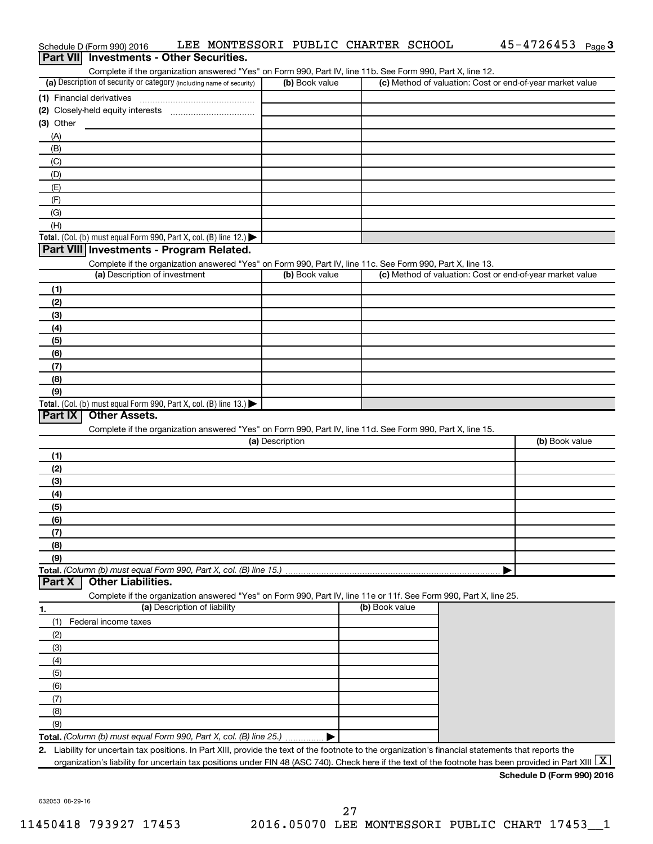|                                                                                                                                                                                                                            | Complete if the organization answered "Yes" on Form 990, Part IV, line 11b. See Form 990, Part X, line 12.<br>(b) Book value |                | (c) Method of valuation: Cost or end-of-year market value |
|----------------------------------------------------------------------------------------------------------------------------------------------------------------------------------------------------------------------------|------------------------------------------------------------------------------------------------------------------------------|----------------|-----------------------------------------------------------|
| (a) Description of security or category (including name of security)                                                                                                                                                       |                                                                                                                              |                |                                                           |
| (1) Financial derivatives                                                                                                                                                                                                  |                                                                                                                              |                |                                                           |
| $(3)$ Other                                                                                                                                                                                                                |                                                                                                                              |                |                                                           |
| (A)                                                                                                                                                                                                                        |                                                                                                                              |                |                                                           |
| (B)                                                                                                                                                                                                                        |                                                                                                                              |                |                                                           |
| (C)                                                                                                                                                                                                                        |                                                                                                                              |                |                                                           |
| (D)                                                                                                                                                                                                                        |                                                                                                                              |                |                                                           |
| (E)                                                                                                                                                                                                                        |                                                                                                                              |                |                                                           |
| (F)                                                                                                                                                                                                                        |                                                                                                                              |                |                                                           |
| (G)                                                                                                                                                                                                                        |                                                                                                                              |                |                                                           |
| (H)                                                                                                                                                                                                                        |                                                                                                                              |                |                                                           |
| Total. (Col. (b) must equal Form 990, Part X, col. (B) line 12.)                                                                                                                                                           |                                                                                                                              |                |                                                           |
| Part VIII Investments - Program Related.                                                                                                                                                                                   |                                                                                                                              |                |                                                           |
| Complete if the organization answered "Yes" on Form 990, Part IV, line 11c. See Form 990, Part X, line 13.                                                                                                                 |                                                                                                                              |                |                                                           |
| (a) Description of investment                                                                                                                                                                                              | (b) Book value                                                                                                               |                | (c) Method of valuation: Cost or end-of-year market value |
| (1)                                                                                                                                                                                                                        |                                                                                                                              |                |                                                           |
| (2)                                                                                                                                                                                                                        |                                                                                                                              |                |                                                           |
| (3)                                                                                                                                                                                                                        |                                                                                                                              |                |                                                           |
| (4)                                                                                                                                                                                                                        |                                                                                                                              |                |                                                           |
| (5)                                                                                                                                                                                                                        |                                                                                                                              |                |                                                           |
| (6)                                                                                                                                                                                                                        |                                                                                                                              |                |                                                           |
| (7)                                                                                                                                                                                                                        |                                                                                                                              |                |                                                           |
| (8)                                                                                                                                                                                                                        |                                                                                                                              |                |                                                           |
| (9)                                                                                                                                                                                                                        |                                                                                                                              |                |                                                           |
| Total. (Col. (b) must equal Form 990, Part X, col. (B) line 13.) $\blacktriangleright$<br>Part IX<br><b>Other Assets.</b>                                                                                                  |                                                                                                                              |                |                                                           |
| Complete if the organization answered "Yes" on Form 990, Part IV, line 11d. See Form 990, Part X, line 15.                                                                                                                 |                                                                                                                              |                |                                                           |
|                                                                                                                                                                                                                            | (a) Description                                                                                                              |                | (b) Book value                                            |
| (1)                                                                                                                                                                                                                        |                                                                                                                              |                |                                                           |
| (2)                                                                                                                                                                                                                        |                                                                                                                              |                |                                                           |
| (3)                                                                                                                                                                                                                        |                                                                                                                              |                |                                                           |
| (4)                                                                                                                                                                                                                        |                                                                                                                              |                |                                                           |
| (5)                                                                                                                                                                                                                        |                                                                                                                              |                |                                                           |
|                                                                                                                                                                                                                            |                                                                                                                              |                |                                                           |
|                                                                                                                                                                                                                            |                                                                                                                              |                |                                                           |
| (6)                                                                                                                                                                                                                        |                                                                                                                              |                |                                                           |
| (7)<br>(8)                                                                                                                                                                                                                 |                                                                                                                              |                |                                                           |
| (9)                                                                                                                                                                                                                        |                                                                                                                              |                |                                                           |
|                                                                                                                                                                                                                            |                                                                                                                              |                |                                                           |
| <b>Other Liabilities.</b>                                                                                                                                                                                                  |                                                                                                                              |                |                                                           |
| Complete if the organization answered "Yes" on Form 990, Part IV, line 11e or 11f. See Form 990, Part X, line 25.                                                                                                          |                                                                                                                              |                |                                                           |
| (a) Description of liability                                                                                                                                                                                               |                                                                                                                              | (b) Book value |                                                           |
| (1)<br>Federal income taxes                                                                                                                                                                                                |                                                                                                                              |                |                                                           |
| (2)                                                                                                                                                                                                                        |                                                                                                                              |                |                                                           |
| (3)                                                                                                                                                                                                                        |                                                                                                                              |                |                                                           |
| (4)                                                                                                                                                                                                                        |                                                                                                                              |                |                                                           |
| (5)                                                                                                                                                                                                                        |                                                                                                                              |                |                                                           |
| (6)                                                                                                                                                                                                                        |                                                                                                                              |                |                                                           |
| (7)                                                                                                                                                                                                                        |                                                                                                                              |                |                                                           |
| (8)                                                                                                                                                                                                                        |                                                                                                                              |                |                                                           |
| Total. (Column (b) must equal Form 990, Part X, col. (B) line 15.)<br>Part X<br>1.<br>(9)                                                                                                                                  |                                                                                                                              |                |                                                           |
| Total. (Column (b) must equal Form 990, Part X, col. (B) line 25.)<br>2. Liability for uncertain tax positions. In Part XIII, provide the text of the footnote to the organization's financial statements that reports the |                                                                                                                              |                |                                                           |

Schedule D (Form 990) 2016 LEE MONTESSORI PUBLIC CHARTER SCHOOL 45-4726453 Page

45-4726453 Page 3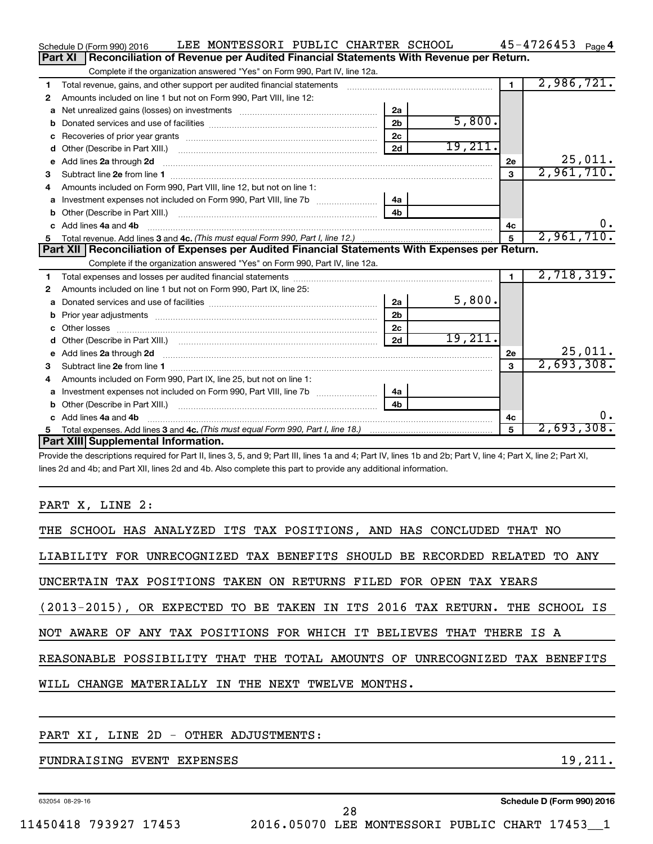|    | LEE MONTESSORI PUBLIC CHARTER SCHOOL<br>Schedule D (Form 990) 2016                                                                                                                                                                   |                |         |              | $45 - 4726453$ Page 4 |
|----|--------------------------------------------------------------------------------------------------------------------------------------------------------------------------------------------------------------------------------------|----------------|---------|--------------|-----------------------|
|    | Part XI<br>Reconciliation of Revenue per Audited Financial Statements With Revenue per Return.                                                                                                                                       |                |         |              |                       |
|    | Complete if the organization answered "Yes" on Form 990, Part IV, line 12a.                                                                                                                                                          |                |         |              |                       |
| 1  | Total revenue, gains, and other support per audited financial statements                                                                                                                                                             |                |         | $\mathbf 1$  | 2,986,721.            |
| 2  | Amounts included on line 1 but not on Form 990, Part VIII, line 12:                                                                                                                                                                  |                |         |              |                       |
| a  |                                                                                                                                                                                                                                      | 2a             |         |              |                       |
|    |                                                                                                                                                                                                                                      | 2 <sub>b</sub> | 5,800.  |              |                       |
| c  |                                                                                                                                                                                                                                      | 2 <sub>c</sub> |         |              |                       |
| d  |                                                                                                                                                                                                                                      | 2d             | 19,211. |              |                       |
| е  | Add lines 2a through 2d                                                                                                                                                                                                              |                |         | 2е           | 25,011.               |
| З  |                                                                                                                                                                                                                                      |                |         | 3            | 2,961,710.            |
| 4  | Amounts included on Form 990, Part VIII, line 12, but not on line 1:                                                                                                                                                                 |                |         |              |                       |
| a  |                                                                                                                                                                                                                                      | 4a             |         |              |                       |
|    |                                                                                                                                                                                                                                      | 4 <sub>b</sub> |         |              |                       |
| c. | Add lines 4a and 4b                                                                                                                                                                                                                  |                |         | 4c           | О.                    |
|    |                                                                                                                                                                                                                                      |                |         | 5            | 2,961,710.            |
|    |                                                                                                                                                                                                                                      |                |         |              |                       |
|    | Part XII   Reconciliation of Expenses per Audited Financial Statements With Expenses per Return.                                                                                                                                     |                |         |              |                       |
|    | Complete if the organization answered "Yes" on Form 990, Part IV, line 12a.                                                                                                                                                          |                |         |              |                       |
| 1  |                                                                                                                                                                                                                                      |                |         | 1.           | 2,718,319.            |
| 2  | Amounts included on line 1 but not on Form 990, Part IX, line 25:                                                                                                                                                                    |                |         |              |                       |
| a  |                                                                                                                                                                                                                                      | 2a             | 5,800.  |              |                       |
| b  |                                                                                                                                                                                                                                      | 2 <sub>b</sub> |         |              |                       |
|    |                                                                                                                                                                                                                                      | 2 <sub>c</sub> |         |              |                       |
| d  |                                                                                                                                                                                                                                      | 2d             | 19,211. |              |                       |
| e  | Add lines 2a through 2d <b>continuum continuum contract and continuum contract and continuum contract and continuum contract and continuum contract and continuum contract and continuum contract and continuum contract and con</b> |                |         | 2e           | 25,011.               |
| з  |                                                                                                                                                                                                                                      |                |         | $\mathbf{a}$ | 2,693,308.            |
| 4  | Amounts included on Form 990, Part IX, line 25, but not on line 1:                                                                                                                                                                   |                |         |              |                       |
| a  |                                                                                                                                                                                                                                      | 4a             |         |              |                       |
| b  |                                                                                                                                                                                                                                      | 4 <sub>h</sub> |         |              |                       |
| c  | Add lines 4a and 4b                                                                                                                                                                                                                  |                |         | 4с           | υ.                    |
|    | Part XIII Supplemental Information.                                                                                                                                                                                                  |                |         |              | 2,693,308.            |

Provide the descriptions required for Part II, lines 3, 5, and 9; Part III, lines 1a and 4; Part IV, lines 1b and 2b; Part V, line 4; Part X, line 2; Part XI, lines 2d and 4b; and Part XII, lines 2d and 4b. Also complete this part to provide any additional information.

PART X, LINE 2:

| THE SCHOOL HAS ANALYZED ITS TAX POSITIONS, AND HAS CONCLUDED THAT NO       |
|----------------------------------------------------------------------------|
| LIABILITY FOR UNRECOGNIZED TAX BENEFITS SHOULD BE RECORDED RELATED TO ANY  |
| UNCERTAIN TAX POSITIONS TAKEN ON RETURNS FILED FOR OPEN TAX YEARS          |
| (2013-2015), OR EXPECTED TO BE TAKEN IN ITS 2016 TAX RETURN. THE SCHOOL IS |
| NOT AWARE OF ANY TAX POSITIONS FOR WHICH IT BELIEVES THAT THERE IS A       |
| REASONABLE POSSIBILITY THAT THE TOTAL AMOUNTS OF UNRECOGNIZED TAX BENEFITS |
| WILL CHANGE MATERIALLY IN THE NEXT TWELVE MONTHS.                          |
|                                                                            |

### PART XI, LINE 2D - OTHER ADJUSTMENTS:

FUNDRAISING EVENT EXPENSES 19, 211.

632054 08-29-16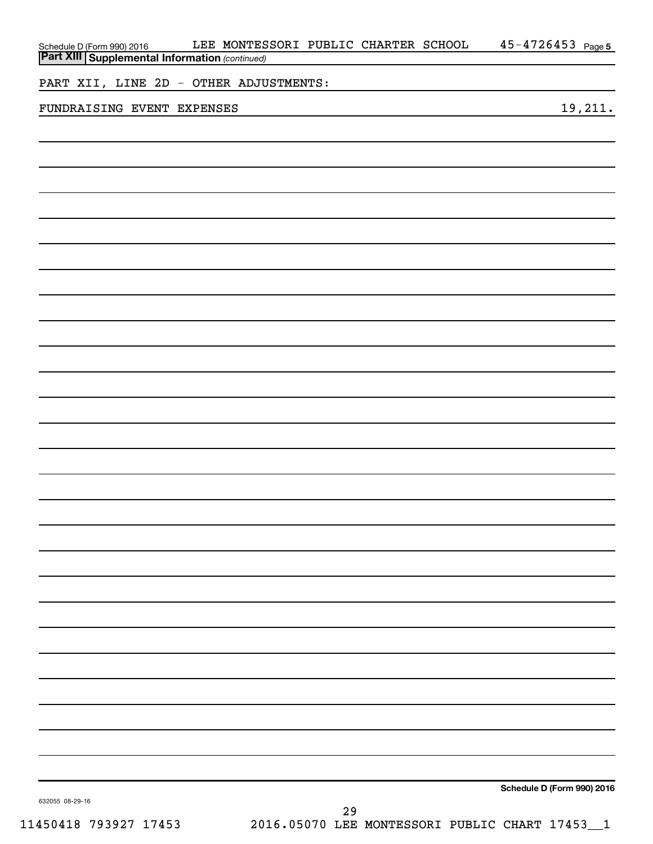| Schedule D (Form 990) 2016 LEE MONTES<br>Part XIII Supplemental Information (continued) | LEE MONTESSORI PUBLIC CHARTER SCHOOL |    |  | $45 - 4726453$ Page 5      |
|-----------------------------------------------------------------------------------------|--------------------------------------|----|--|----------------------------|
|                                                                                         |                                      |    |  |                            |
| PART XII, LINE 2D - OTHER ADJUSTMENTS:                                                  |                                      |    |  |                            |
| FUNDRAISING EVENT EXPENSES                                                              |                                      |    |  | 19,211.                    |
|                                                                                         |                                      |    |  |                            |
|                                                                                         |                                      |    |  |                            |
|                                                                                         |                                      |    |  |                            |
|                                                                                         |                                      |    |  |                            |
|                                                                                         |                                      |    |  |                            |
|                                                                                         |                                      |    |  |                            |
|                                                                                         |                                      |    |  |                            |
|                                                                                         |                                      |    |  |                            |
|                                                                                         |                                      |    |  |                            |
|                                                                                         |                                      |    |  |                            |
|                                                                                         |                                      |    |  |                            |
|                                                                                         |                                      |    |  |                            |
|                                                                                         |                                      |    |  |                            |
|                                                                                         |                                      |    |  |                            |
|                                                                                         |                                      |    |  |                            |
|                                                                                         |                                      |    |  |                            |
|                                                                                         |                                      |    |  |                            |
|                                                                                         |                                      |    |  |                            |
|                                                                                         |                                      |    |  |                            |
|                                                                                         |                                      |    |  |                            |
|                                                                                         |                                      |    |  |                            |
|                                                                                         |                                      |    |  |                            |
|                                                                                         |                                      |    |  |                            |
|                                                                                         |                                      |    |  |                            |
|                                                                                         |                                      |    |  |                            |
|                                                                                         |                                      |    |  |                            |
|                                                                                         |                                      |    |  |                            |
|                                                                                         |                                      |    |  |                            |
|                                                                                         |                                      |    |  |                            |
|                                                                                         |                                      |    |  |                            |
|                                                                                         |                                      |    |  |                            |
|                                                                                         |                                      |    |  |                            |
|                                                                                         |                                      |    |  | Schedule D (Form 990) 2016 |
| 632055 08-29-16                                                                         |                                      | 20 |  |                            |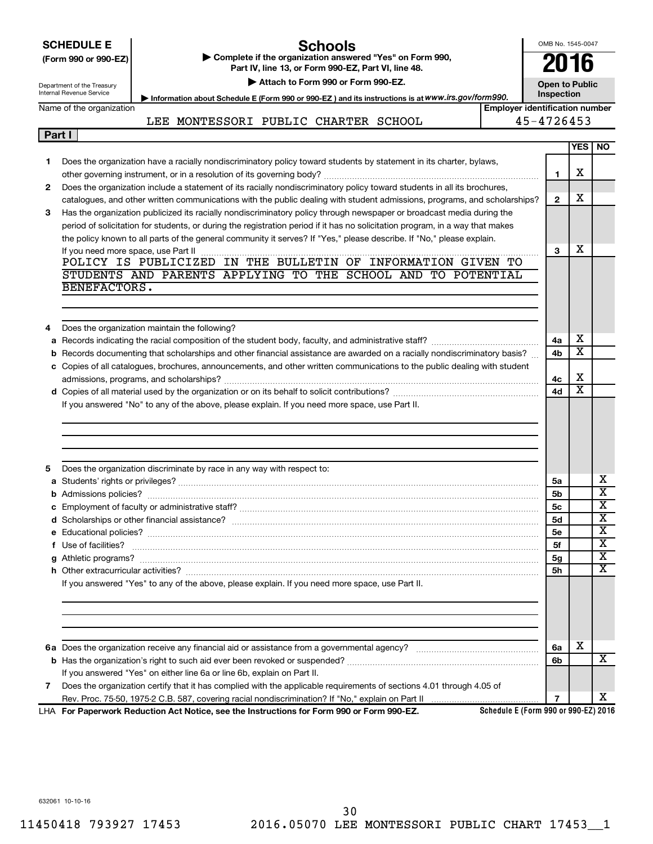|        | <b>Schools</b><br><b>SCHEDULE E</b>                                                                                                                                                                                                | OMB No. 1545-0047                   |                         |                                                    |
|--------|------------------------------------------------------------------------------------------------------------------------------------------------------------------------------------------------------------------------------------|-------------------------------------|-------------------------|----------------------------------------------------|
|        | Complete if the organization answered "Yes" on Form 990,<br>(Form 990 or 990-EZ)<br>Part IV, line 13, or Form 990-EZ, Part VI, line 48.                                                                                            | 2016                                |                         |                                                    |
|        | Attach to Form 990 or Form 990-EZ.                                                                                                                                                                                                 |                                     |                         |                                                    |
|        | Department of the Treasury<br>Internal Revenue Service                                                                                                                                                                             | <b>Open to Public</b><br>Inspection |                         |                                                    |
|        | Information about Schedule E (Form 990 or 990-EZ) and its instructions is at WWW.irs.gov/form990.<br>Name of the organization<br><b>Emplover identification number</b>                                                             |                                     |                         |                                                    |
|        | LEE MONTESSORI PUBLIC CHARTER SCHOOL                                                                                                                                                                                               | 45-4726453                          |                         |                                                    |
| Part I |                                                                                                                                                                                                                                    |                                     |                         |                                                    |
|        |                                                                                                                                                                                                                                    |                                     | <b>YES</b>              | <b>NO</b>                                          |
| 1.     | Does the organization have a racially nondiscriminatory policy toward students by statement in its charter, bylaws,                                                                                                                |                                     |                         |                                                    |
|        |                                                                                                                                                                                                                                    | 1                                   | X                       |                                                    |
| 2      | Does the organization include a statement of its racially nondiscriminatory policy toward students in all its brochures,                                                                                                           |                                     |                         |                                                    |
|        | catalogues, and other written communications with the public dealing with student admissions, programs, and scholarships?                                                                                                          | $\mathbf{2}$                        | X                       |                                                    |
| 3      | Has the organization publicized its racially nondiscriminatory policy through newspaper or broadcast media during the                                                                                                              |                                     |                         |                                                    |
|        | period of solicitation for students, or during the registration period if it has no solicitation program, in a way that makes                                                                                                      |                                     |                         |                                                    |
|        | the policy known to all parts of the general community it serves? If "Yes," please describe. If "No," please explain.                                                                                                              |                                     |                         |                                                    |
|        |                                                                                                                                                                                                                                    | 3                                   | X                       |                                                    |
|        | POLICY IS PUBLICIZED IN THE BULLETIN OF INFORMATION GIVEN TO                                                                                                                                                                       |                                     |                         |                                                    |
|        | STUDENTS AND PARENTS APPLYING TO THE SCHOOL AND TO POTENTIAL<br>BENEFACTORS.                                                                                                                                                       |                                     |                         |                                                    |
|        |                                                                                                                                                                                                                                    |                                     |                         |                                                    |
|        |                                                                                                                                                                                                                                    |                                     |                         |                                                    |
|        |                                                                                                                                                                                                                                    |                                     |                         |                                                    |
| 4      | Does the organization maintain the following?                                                                                                                                                                                      | 4a                                  | х                       |                                                    |
|        | <b>b</b> Records documenting that scholarships and other financial assistance are awarded on a racially nondiscriminatory basis?                                                                                                   | 4b                                  | $\overline{\textbf{x}}$ |                                                    |
|        | c Copies of all catalogues, brochures, announcements, and other written communications to the public dealing with student                                                                                                          |                                     |                         |                                                    |
|        |                                                                                                                                                                                                                                    | 4c                                  | X                       |                                                    |
|        |                                                                                                                                                                                                                                    | 4d                                  | $\overline{\textbf{x}}$ |                                                    |
|        | If you answered "No" to any of the above, please explain. If you need more space, use Part II.                                                                                                                                     |                                     |                         |                                                    |
|        |                                                                                                                                                                                                                                    |                                     |                         |                                                    |
|        |                                                                                                                                                                                                                                    |                                     |                         |                                                    |
|        |                                                                                                                                                                                                                                    |                                     |                         |                                                    |
|        |                                                                                                                                                                                                                                    |                                     |                         |                                                    |
| 5      | Does the organization discriminate by race in any way with respect to:                                                                                                                                                             |                                     |                         |                                                    |
|        |                                                                                                                                                                                                                                    | 5a                                  |                         | х                                                  |
|        |                                                                                                                                                                                                                                    | 5 <sub>b</sub>                      |                         | $\overline{\textbf{x}}$<br>$\overline{\mathbf{X}}$ |
|        |                                                                                                                                                                                                                                    | 5 <sub>c</sub>                      |                         | X                                                  |
|        |                                                                                                                                                                                                                                    | <b>5d</b>                           |                         | X                                                  |
|        |                                                                                                                                                                                                                                    | 5е                                  |                         | $\overline{\textbf{x}}$                            |
|        | f Use of facilities? <b>www.communities.</b> We can be a series of the contract of the contract of the contract of the contract of the contract of the contract of the contract of the contract of the contract of the contract of | 5f                                  |                         | х                                                  |
|        |                                                                                                                                                                                                                                    | 5g<br>5h                            |                         | $\overline{\textbf{x}}$                            |
|        | If you answered "Yes" to any of the above, please explain. If you need more space, use Part II.                                                                                                                                    |                                     |                         |                                                    |
|        |                                                                                                                                                                                                                                    |                                     |                         |                                                    |
|        |                                                                                                                                                                                                                                    |                                     |                         |                                                    |
|        |                                                                                                                                                                                                                                    |                                     |                         |                                                    |
|        |                                                                                                                                                                                                                                    |                                     |                         |                                                    |
|        |                                                                                                                                                                                                                                    | 6a                                  | X                       |                                                    |
|        |                                                                                                                                                                                                                                    | 6b                                  |                         | x                                                  |
|        | If you answered "Yes" on either line 6a or line 6b, explain on Part II.                                                                                                                                                            |                                     |                         |                                                    |
| 7      | Does the organization certify that it has complied with the applicable requirements of sections 4.01 through 4.05 of                                                                                                               |                                     |                         |                                                    |
|        |                                                                                                                                                                                                                                    | $\overline{7}$                      |                         | x                                                  |

**For Paperwork Reduction Act Notice, see the Instructions for Form 990 or Form 990-EZ.** LHA

**Schedule E (Form 990 or 990-EZ) 2016**

632061 10-10-16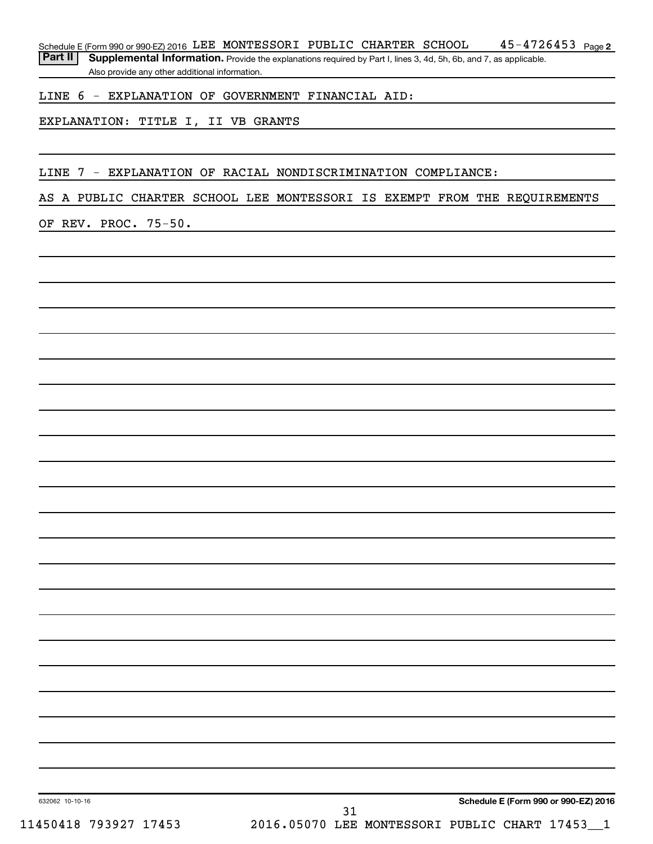$45 - 4726453$  Page 2 Schedule E (Form 990 or 990-EZ) 2016 LEE MONTESSORI PUBLIC CHARTER SCHOOL  $45-4726453$  Page

Part II | Supplemental Information. Provide the explanations required by Part I, lines 3, 4d, 5h, 6b, and 7, as applicable. Also provide any other additional information.

#### LINE 6 - EXPLANATION OF GOVERNMENT FINANCIAL AID:

EXPLANATION: TITLE I, II VB GRANTS

#### LINE 7 - EXPLANATION OF RACIAL NONDISCRIMINATION COMPLIANCE:

#### AS A PUBLIC CHARTER SCHOOL LEE MONTESSORI IS EXEMPT FROM THE REQUIREMENTS

OF REV. PROC. 75-50.

**Schedule E (Form 990 or 990-EZ) 2016**

632062 10-10-16

31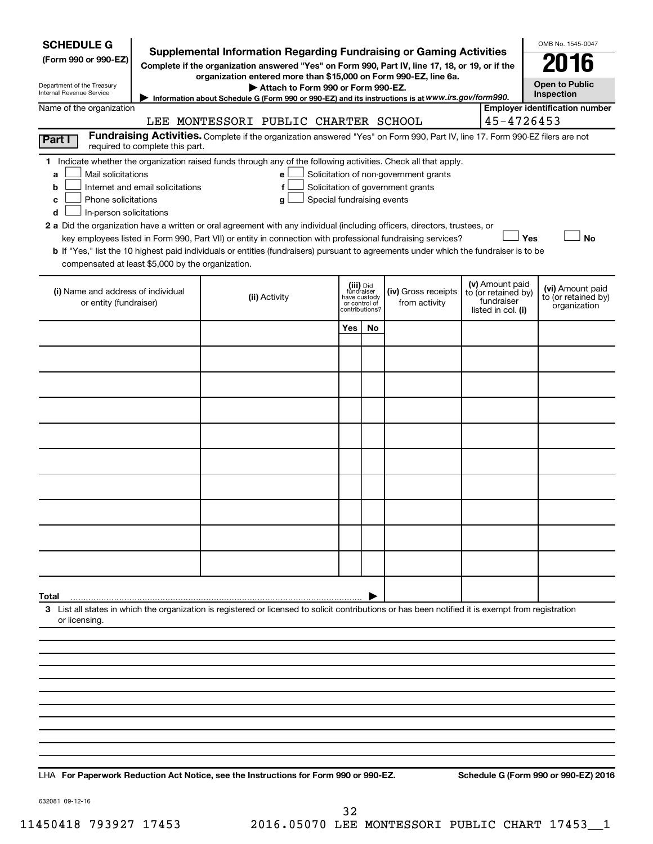| <b>SCHEDULE G</b><br>(Form 990 or 990-EZ)<br>Department of the Treasury<br>Internal Revenue Service |                                  | <b>Supplemental Information Regarding Fundraising or Gaming Activities</b><br>Complete if the organization answered "Yes" on Form 990, Part IV, line 17, 18, or 19, or if the<br>organization entered more than \$15,000 on Form 990-EZ, line 6a.<br>Attach to Form 990 or Form 990-EZ.<br>Information about Schedule G (Form 990 or 990-EZ) and its instructions is at WWW.irs.gov/form990.              |               |                                                           |                                                                            |                                                                            | OMB No. 1545-0047<br>016<br><b>Open to Public</b><br>Inspection |
|-----------------------------------------------------------------------------------------------------|----------------------------------|-----------------------------------------------------------------------------------------------------------------------------------------------------------------------------------------------------------------------------------------------------------------------------------------------------------------------------------------------------------------------------------------------------------|---------------|-----------------------------------------------------------|----------------------------------------------------------------------------|----------------------------------------------------------------------------|-----------------------------------------------------------------|
| Name of the organization                                                                            |                                  |                                                                                                                                                                                                                                                                                                                                                                                                           |               |                                                           |                                                                            |                                                                            | <b>Employer identification number</b>                           |
|                                                                                                     |                                  | LEE MONTESSORI PUBLIC CHARTER SCHOOL                                                                                                                                                                                                                                                                                                                                                                      |               |                                                           |                                                                            | 45-4726453                                                                 |                                                                 |
| Part I                                                                                              | required to complete this part.  | Fundraising Activities. Complete if the organization answered "Yes" on Form 990, Part IV, line 17. Form 990-EZ filers are not                                                                                                                                                                                                                                                                             |               |                                                           |                                                                            |                                                                            |                                                                 |
| Mail solicitations<br>a<br>b<br>Phone solicitations<br>c<br>In-person solicitations<br>d            | Internet and email solicitations | 1 Indicate whether the organization raised funds through any of the following activities. Check all that apply.<br>е<br>f<br>Special fundraising events<br>g<br>2 a Did the organization have a written or oral agreement with any individual (including officers, directors, trustees, or<br>key employees listed in Form 990, Part VII) or entity in connection with professional fundraising services? |               |                                                           | Solicitation of non-government grants<br>Solicitation of government grants | Yes                                                                        | <b>No</b>                                                       |
| compensated at least \$5,000 by the organization.                                                   |                                  | b If "Yes," list the 10 highest paid individuals or entities (fundraisers) pursuant to agreements under which the fundraiser is to be                                                                                                                                                                                                                                                                     |               |                                                           |                                                                            |                                                                            |                                                                 |
| (i) Name and address of individual<br>or entity (fundraiser)                                        |                                  | (ii) Activity                                                                                                                                                                                                                                                                                                                                                                                             | or control of | (iii) Did<br>fundraiser<br>have custody<br>contributions? | (iv) Gross receipts<br>from activity                                       | (v) Amount paid<br>to (or retained by)<br>fundraiser<br>listed in col. (i) | (vi) Amount paid<br>to (or retained by)<br>organization         |
|                                                                                                     |                                  |                                                                                                                                                                                                                                                                                                                                                                                                           | Yes           | No.                                                       |                                                                            |                                                                            |                                                                 |
|                                                                                                     |                                  |                                                                                                                                                                                                                                                                                                                                                                                                           |               |                                                           |                                                                            |                                                                            |                                                                 |
|                                                                                                     |                                  |                                                                                                                                                                                                                                                                                                                                                                                                           |               |                                                           |                                                                            |                                                                            |                                                                 |
|                                                                                                     |                                  |                                                                                                                                                                                                                                                                                                                                                                                                           |               |                                                           |                                                                            |                                                                            |                                                                 |
|                                                                                                     |                                  |                                                                                                                                                                                                                                                                                                                                                                                                           |               |                                                           |                                                                            |                                                                            |                                                                 |
|                                                                                                     |                                  |                                                                                                                                                                                                                                                                                                                                                                                                           |               |                                                           |                                                                            |                                                                            |                                                                 |
|                                                                                                     |                                  |                                                                                                                                                                                                                                                                                                                                                                                                           |               |                                                           |                                                                            |                                                                            |                                                                 |
|                                                                                                     |                                  |                                                                                                                                                                                                                                                                                                                                                                                                           |               |                                                           |                                                                            |                                                                            |                                                                 |
|                                                                                                     |                                  |                                                                                                                                                                                                                                                                                                                                                                                                           |               |                                                           |                                                                            |                                                                            |                                                                 |
|                                                                                                     |                                  |                                                                                                                                                                                                                                                                                                                                                                                                           |               |                                                           |                                                                            |                                                                            |                                                                 |
| Total                                                                                               |                                  |                                                                                                                                                                                                                                                                                                                                                                                                           |               |                                                           |                                                                            |                                                                            |                                                                 |
| or licensing.                                                                                       |                                  | 3 List all states in which the organization is registered or licensed to solicit contributions or has been notified it is exempt from registration                                                                                                                                                                                                                                                        |               |                                                           |                                                                            |                                                                            |                                                                 |
|                                                                                                     |                                  |                                                                                                                                                                                                                                                                                                                                                                                                           |               |                                                           |                                                                            |                                                                            |                                                                 |
|                                                                                                     |                                  |                                                                                                                                                                                                                                                                                                                                                                                                           |               |                                                           |                                                                            |                                                                            |                                                                 |
|                                                                                                     |                                  |                                                                                                                                                                                                                                                                                                                                                                                                           |               |                                                           |                                                                            |                                                                            |                                                                 |
|                                                                                                     |                                  |                                                                                                                                                                                                                                                                                                                                                                                                           |               |                                                           |                                                                            |                                                                            |                                                                 |
|                                                                                                     |                                  |                                                                                                                                                                                                                                                                                                                                                                                                           |               |                                                           |                                                                            |                                                                            |                                                                 |
|                                                                                                     |                                  |                                                                                                                                                                                                                                                                                                                                                                                                           |               |                                                           |                                                                            |                                                                            |                                                                 |
|                                                                                                     |                                  |                                                                                                                                                                                                                                                                                                                                                                                                           |               |                                                           |                                                                            |                                                                            |                                                                 |
|                                                                                                     |                                  |                                                                                                                                                                                                                                                                                                                                                                                                           |               |                                                           |                                                                            |                                                                            |                                                                 |

**For Paperwork Reduction Act Notice, see the Instructions for Form 990 or 990-EZ. Schedule G (Form 990 or 990-EZ) 2016** LHA

632081 09-12-16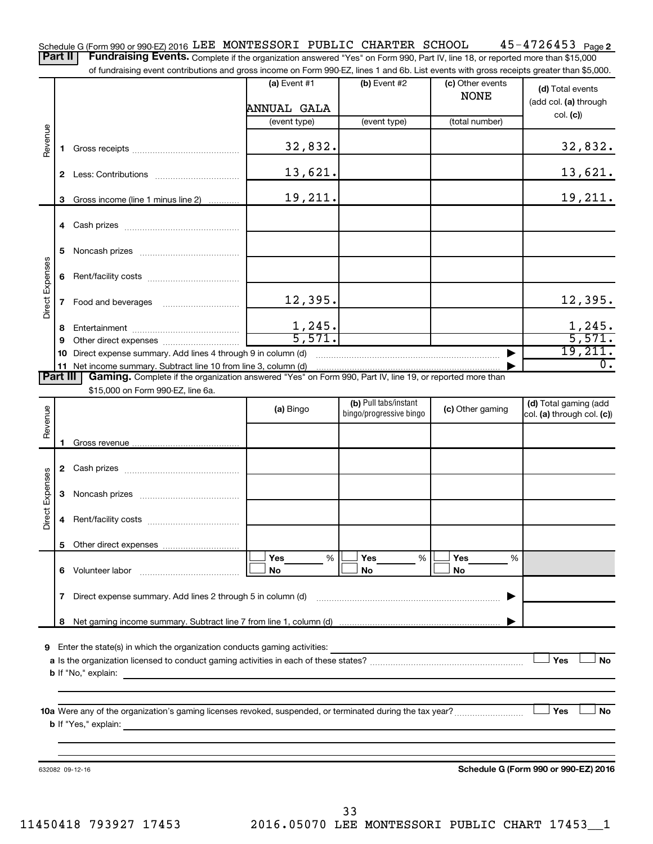45-4726453 Page 2 Schedule G (Form 990 or 990-EZ) 2016 LEE MONTESSORT PUBLIC CHARTER SCHOOL 4 5 – 4 7 Z6 4 5 3 Page Part II | Fundraising Events. Complete if the organization answered "Yes" on Form 990, Part IV, line 18, or reported more than \$15,000 LEE MONTESSORI PUBLIC CHARTER SCHOOL 45-4726453

of fundraising event contributions and gross income on Form 990-FZ. lines 1 and 6b. List events with gross receipts greater than \$5,000.

|                        |              | of fundraising event contributions and gross income on Form 990-EZ, lines T and 6D. List events with gross receipts greater than \$5,000.                                                                                                                                                                               |                       |                                                  |                                 |                                                     |
|------------------------|--------------|-------------------------------------------------------------------------------------------------------------------------------------------------------------------------------------------------------------------------------------------------------------------------------------------------------------------------|-----------------------|--------------------------------------------------|---------------------------------|-----------------------------------------------------|
|                        |              |                                                                                                                                                                                                                                                                                                                         | (a) Event $#1$        | $(b)$ Event #2                                   | (c) Other events<br><b>NONE</b> | (d) Total events<br>(add col. (a) through           |
|                        |              |                                                                                                                                                                                                                                                                                                                         | ANNUAL GALA           |                                                  |                                 | col. (c)                                            |
|                        |              |                                                                                                                                                                                                                                                                                                                         | (event type)          | (event type)                                     | (total number)                  |                                                     |
| Revenue                | 1.           |                                                                                                                                                                                                                                                                                                                         | 32,832.               |                                                  |                                 | 32,832.                                             |
|                        | $\mathbf{2}$ |                                                                                                                                                                                                                                                                                                                         | 13,621.               |                                                  |                                 | 13,621.                                             |
|                        | 3            | Gross income (line 1 minus line 2)                                                                                                                                                                                                                                                                                      | 19,211.               |                                                  |                                 | 19,211.                                             |
|                        |              |                                                                                                                                                                                                                                                                                                                         |                       |                                                  |                                 |                                                     |
|                        | 5            |                                                                                                                                                                                                                                                                                                                         |                       |                                                  |                                 |                                                     |
| Direct Expenses        | 6.           |                                                                                                                                                                                                                                                                                                                         |                       |                                                  |                                 |                                                     |
|                        | $\mathbf{7}$ |                                                                                                                                                                                                                                                                                                                         | 12,395.               |                                                  |                                 | 12,395.                                             |
|                        | 8            |                                                                                                                                                                                                                                                                                                                         | 1,245.                |                                                  |                                 | 1,245.                                              |
|                        | 9            |                                                                                                                                                                                                                                                                                                                         | 5,571.                |                                                  |                                 | 5,571.                                              |
|                        |              | 10 Direct expense summary. Add lines 4 through 9 in column (d)                                                                                                                                                                                                                                                          |                       |                                                  |                                 | 19,211.                                             |
|                        |              | 11 Net income summary. Subtract line 10 from line 3, column (d)                                                                                                                                                                                                                                                         |                       |                                                  |                                 | $\overline{0}$ .                                    |
| <b>Part III</b>        |              | Gaming. Complete if the organization answered "Yes" on Form 990, Part IV, line 19, or reported more than                                                                                                                                                                                                                |                       |                                                  |                                 |                                                     |
|                        |              | \$15,000 on Form 990-EZ, line 6a.                                                                                                                                                                                                                                                                                       |                       |                                                  |                                 |                                                     |
| Revenue                |              |                                                                                                                                                                                                                                                                                                                         | (a) Bingo             | (b) Pull tabs/instant<br>bingo/progressive bingo | (c) Other gaming                | (d) Total gaming (add<br>col. (a) through col. (c)) |
|                        | 1.           |                                                                                                                                                                                                                                                                                                                         |                       |                                                  |                                 |                                                     |
|                        |              |                                                                                                                                                                                                                                                                                                                         |                       |                                                  |                                 |                                                     |
|                        |              |                                                                                                                                                                                                                                                                                                                         |                       |                                                  |                                 |                                                     |
| <b>Direct Expenses</b> | 3            |                                                                                                                                                                                                                                                                                                                         |                       |                                                  |                                 |                                                     |
|                        | 4            |                                                                                                                                                                                                                                                                                                                         |                       |                                                  |                                 |                                                     |
|                        |              |                                                                                                                                                                                                                                                                                                                         |                       |                                                  |                                 |                                                     |
|                        |              |                                                                                                                                                                                                                                                                                                                         | <b>Yes</b><br>%<br>No | %<br>Yes<br>No                                   | Yes<br>%<br>No                  |                                                     |
|                        | 7            | Direct expense summary. Add lines 2 through 5 in column (d)                                                                                                                                                                                                                                                             |                       |                                                  |                                 |                                                     |
|                        | 8            |                                                                                                                                                                                                                                                                                                                         |                       |                                                  |                                 |                                                     |
|                        |              |                                                                                                                                                                                                                                                                                                                         |                       |                                                  |                                 |                                                     |
|                        |              | 9 Enter the state(s) in which the organization conducts gaming activities:<br><b>b</b> If "No," explain: <b>contract and the set of the set of the set of the set of the set of the set of the set of the set of the set of the set of the set of the set of the set of the set of the set of the set of the set of</b> |                       |                                                  |                                 | Yes<br>No                                           |
|                        |              |                                                                                                                                                                                                                                                                                                                         |                       |                                                  |                                 |                                                     |
|                        |              | <b>b</b> If "Yes," explain: <u>All and the set of the set of the set of the set of the set of the set of the set of the set of the set of the set of the set of the set of the set of the set of the set of the set of the set of the</u>                                                                               |                       |                                                  |                                 | <b>」Yes</b><br>No                                   |
|                        |              |                                                                                                                                                                                                                                                                                                                         |                       |                                                  |                                 |                                                     |
|                        |              | 632082 09-12-16                                                                                                                                                                                                                                                                                                         |                       |                                                  |                                 | Schedule G (Form 990 or 990-EZ) 2016                |

11450418 793927 17453 2016.05070 LEE MONTESSORI PUBLIC CHART 17453\_\_1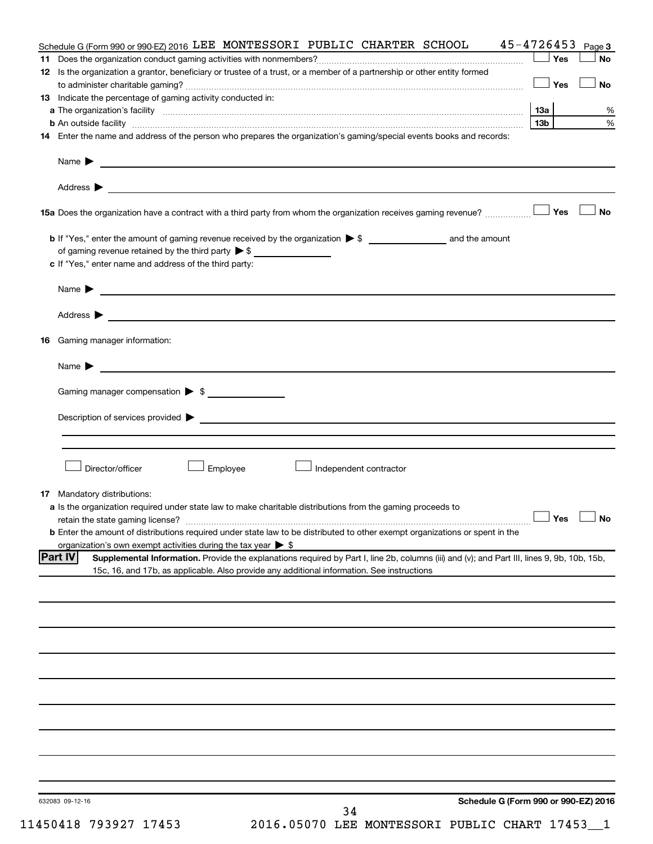|     | Schedule G (Form 990 or 990-EZ) 2016 LEE MONTESSORI PUBLIC CHARTER SCHOOL                                                                                                                                                                                   | $45 - 4726453$ Page 3 |           |
|-----|-------------------------------------------------------------------------------------------------------------------------------------------------------------------------------------------------------------------------------------------------------------|-----------------------|-----------|
| 11. |                                                                                                                                                                                                                                                             | ⊥Yes                  | No        |
|     | 12 Is the organization a grantor, beneficiary or trustee of a trust, or a member of a partnership or other entity formed                                                                                                                                    |                       |           |
|     |                                                                                                                                                                                                                                                             | — SYes                | <b>No</b> |
|     | 13 Indicate the percentage of gaming activity conducted in:                                                                                                                                                                                                 |                       |           |
|     |                                                                                                                                                                                                                                                             |                       | %         |
|     | b An outside facility www.communications.communications.com/internations.com/internations.com/internations.com/                                                                                                                                             | 13b l                 | $\%$      |
|     | 14 Enter the name and address of the person who prepares the organization's gaming/special events books and records:                                                                                                                                        |                       |           |
|     |                                                                                                                                                                                                                                                             |                       |           |
|     |                                                                                                                                                                                                                                                             |                       |           |
|     |                                                                                                                                                                                                                                                             |                       | <b>No</b> |
|     |                                                                                                                                                                                                                                                             |                       |           |
|     | of gaming revenue retained by the third party $\triangleright$ \$                                                                                                                                                                                           |                       |           |
|     | c If "Yes," enter name and address of the third party:                                                                                                                                                                                                      |                       |           |
|     |                                                                                                                                                                                                                                                             |                       |           |
|     | Name $\blacktriangleright$                                                                                                                                                                                                                                  |                       |           |
|     |                                                                                                                                                                                                                                                             |                       |           |
|     |                                                                                                                                                                                                                                                             |                       |           |
| 16  | Gaming manager information:                                                                                                                                                                                                                                 |                       |           |
|     | <u> 1989 - Johann Harry Harry Harry Harry Harry Harry Harry Harry Harry Harry Harry Harry Harry Harry Harry Harry</u><br>Name $\blacktriangleright$                                                                                                         |                       |           |
|     |                                                                                                                                                                                                                                                             |                       |           |
|     | Gaming manager compensation $\triangleright$ \$                                                                                                                                                                                                             |                       |           |
|     | $\blacksquare$ Description of services provided $\blacktriangleright$                                                                                                                                                                                       |                       |           |
|     |                                                                                                                                                                                                                                                             |                       |           |
|     |                                                                                                                                                                                                                                                             |                       |           |
|     | Director/officer<br>Employee<br>Independent contractor                                                                                                                                                                                                      |                       |           |
|     |                                                                                                                                                                                                                                                             |                       |           |
|     | <b>17</b> Mandatory distributions:                                                                                                                                                                                                                          |                       |           |
|     | a Is the organization required under state law to make charitable distributions from the gaming proceeds to                                                                                                                                                 |                       |           |
|     |                                                                                                                                                                                                                                                             | $\Box$ Yes $\Box$ No  |           |
|     | <b>b</b> Enter the amount of distributions required under state law to be distributed to other exempt organizations or spent in the                                                                                                                         |                       |           |
|     | organization's own exempt activities during the tax year $\triangleright$ \$                                                                                                                                                                                |                       |           |
|     | <b>Part IV</b><br>Supplemental Information. Provide the explanations required by Part I, line 2b, columns (iii) and (v); and Part III, lines 9, 9b, 10b, 15b,<br>15c, 16, and 17b, as applicable. Also provide any additional information. See instructions |                       |           |
|     |                                                                                                                                                                                                                                                             |                       |           |
|     |                                                                                                                                                                                                                                                             |                       |           |
|     |                                                                                                                                                                                                                                                             |                       |           |
|     |                                                                                                                                                                                                                                                             |                       |           |
|     |                                                                                                                                                                                                                                                             |                       |           |
|     |                                                                                                                                                                                                                                                             |                       |           |
|     |                                                                                                                                                                                                                                                             |                       |           |
|     |                                                                                                                                                                                                                                                             |                       |           |
|     |                                                                                                                                                                                                                                                             |                       |           |
|     |                                                                                                                                                                                                                                                             |                       |           |
|     |                                                                                                                                                                                                                                                             |                       |           |
|     |                                                                                                                                                                                                                                                             |                       |           |
|     |                                                                                                                                                                                                                                                             |                       |           |
|     |                                                                                                                                                                                                                                                             |                       |           |
|     | Schedule G (Form 990 or 990-EZ) 2016<br>632083 09-12-16<br>34                                                                                                                                                                                               |                       |           |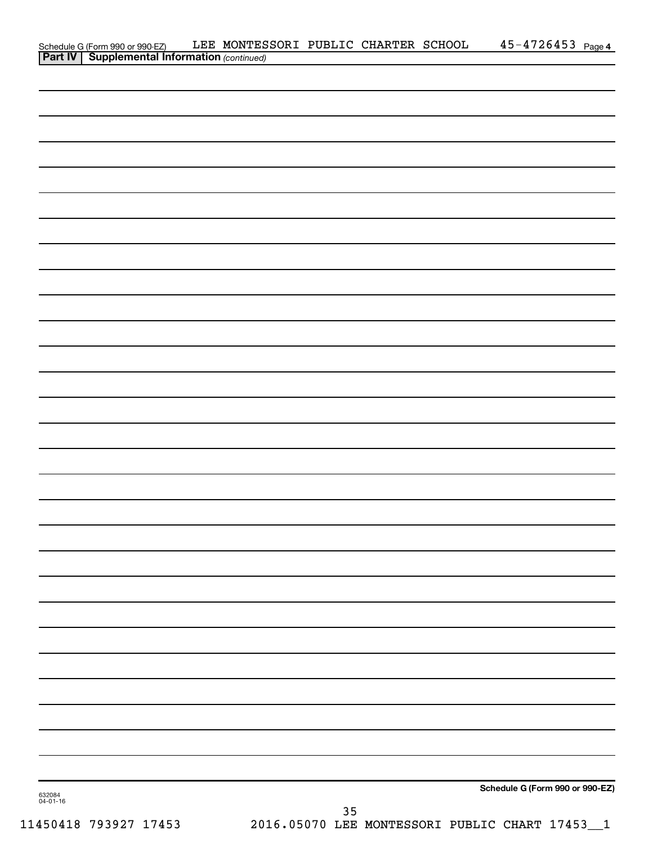|                    | Schedule G (Form 990 or 990-EZ) LEE MONTES<br><b>Part IV   Supplemental Information</b> (continued) | LEE MONTESSORI PUBLIC CHARTER SCHOOL |    | $45 - 4726453$ Page 4           |
|--------------------|-----------------------------------------------------------------------------------------------------|--------------------------------------|----|---------------------------------|
|                    |                                                                                                     |                                      |    |                                 |
|                    |                                                                                                     |                                      |    |                                 |
|                    |                                                                                                     |                                      |    |                                 |
|                    |                                                                                                     |                                      |    |                                 |
|                    |                                                                                                     |                                      |    |                                 |
|                    |                                                                                                     |                                      |    |                                 |
|                    |                                                                                                     |                                      |    |                                 |
|                    |                                                                                                     |                                      |    |                                 |
|                    |                                                                                                     |                                      |    |                                 |
|                    |                                                                                                     |                                      |    |                                 |
|                    |                                                                                                     |                                      |    |                                 |
|                    |                                                                                                     |                                      |    |                                 |
|                    |                                                                                                     |                                      |    |                                 |
|                    |                                                                                                     |                                      |    |                                 |
|                    |                                                                                                     |                                      |    |                                 |
|                    |                                                                                                     |                                      |    |                                 |
|                    |                                                                                                     |                                      |    |                                 |
|                    |                                                                                                     |                                      |    |                                 |
|                    |                                                                                                     |                                      |    |                                 |
|                    |                                                                                                     |                                      |    |                                 |
|                    |                                                                                                     |                                      |    |                                 |
|                    |                                                                                                     |                                      |    |                                 |
|                    |                                                                                                     |                                      |    |                                 |
|                    |                                                                                                     |                                      |    |                                 |
|                    |                                                                                                     |                                      |    |                                 |
|                    |                                                                                                     |                                      |    |                                 |
|                    |                                                                                                     |                                      |    |                                 |
|                    |                                                                                                     |                                      |    |                                 |
|                    |                                                                                                     |                                      |    |                                 |
|                    |                                                                                                     |                                      |    |                                 |
|                    |                                                                                                     |                                      |    |                                 |
|                    |                                                                                                     |                                      |    |                                 |
|                    |                                                                                                     |                                      |    |                                 |
|                    |                                                                                                     |                                      |    |                                 |
|                    |                                                                                                     |                                      |    |                                 |
|                    |                                                                                                     |                                      |    |                                 |
|                    |                                                                                                     |                                      |    |                                 |
| 632084<br>04-01-16 |                                                                                                     |                                      |    | Schedule G (Form 990 or 990-EZ) |
|                    |                                                                                                     |                                      | 35 |                                 |

11450418 793927 17453 2016.05070 LEE MONTESSORI PUBLIC CHART 17453\_\_1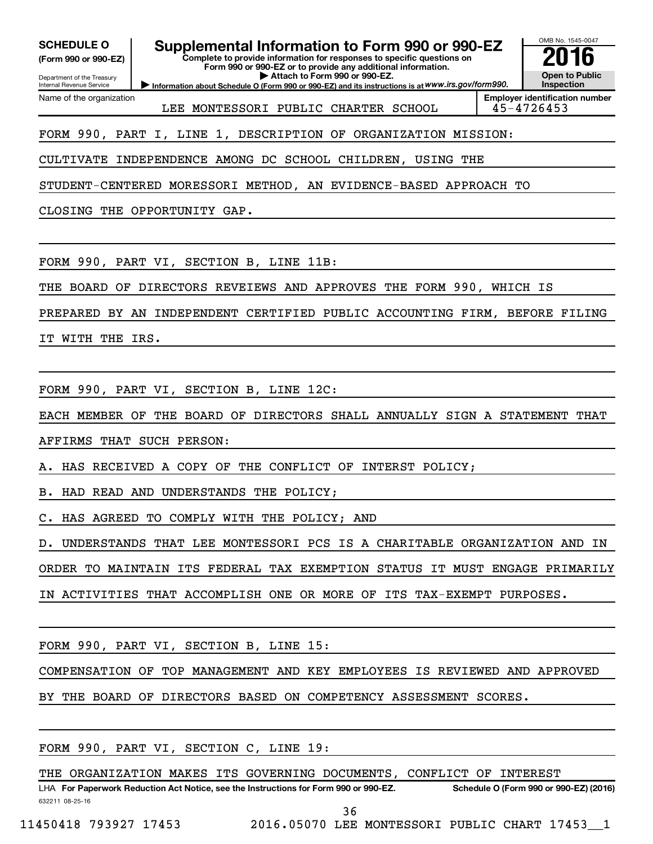Department of the Treasury Internal Revenue Service

Name of the organization

### **(Form 990 or 990-EZ)**

**Complete to provide information for responses to specific questions on Form 990 or 990-EZ or to provide any additional information. | Attach to Form 990 or 990-EZ.** SCHEDULE O **Supplemental Information to Form 990 or 990-EZ 2016**<br>(Form 990 or 990-EZ) Complete to provide information for responses to specific questions on

**Information about Schedule O (Form 990 or 990-EZ) and its instructions is at WWW.irs.gov/form990.** 

OMB No. 1545-0047 **Open to Public Inspection**

LEE MONTESSORI PUBLIC CHARTER SCHOOL 45-4726453

**Employer identification number**

## FORM 990, PART I, LINE 1, DESCRIPTION OF ORGANIZATION MISSION:

CULTIVATE INDEPENDENCE AMONG DC SCHOOL CHILDREN, USING THE

STUDENT-CENTERED MORESSORI METHOD, AN EVIDENCE-BASED APPROACH TO

CLOSING THE OPPORTUNITY GAP.

FORM 990, PART VI, SECTION B, LINE 11B:

THE BOARD OF DIRECTORS REVEIEWS AND APPROVES THE FORM 990, WHICH IS

PREPARED BY AN INDEPENDENT CERTIFIED PUBLIC ACCOUNTING FIRM, BEFORE FILING

IT WITH THE IRS.

FORM 990, PART VI, SECTION B, LINE 12C:

EACH MEMBER OF THE BOARD OF DIRECTORS SHALL ANNUALLY SIGN A STATEMENT THAT

AFFIRMS THAT SUCH PERSON:

A. HAS RECEIVED A COPY OF THE CONFLICT OF INTERST POLICY;

B. HAD READ AND UNDERSTANDS THE POLICY;

C. HAS AGREED TO COMPLY WITH THE POLICY; AND

D. UNDERSTANDS THAT LEE MONTESSORI PCS IS A CHARITABLE ORGANIZATION AND IN

ORDER TO MAINTAIN ITS FEDERAL TAX EXEMPTION STATUS IT MUST ENGAGE PRIMARILY

IN ACTIVITIES THAT ACCOMPLISH ONE OR MORE OF ITS TAX-EXEMPT PURPOSES.

FORM 990, PART VI, SECTION B, LINE 15:

COMPENSATION OF TOP MANAGEMENT AND KEY EMPLOYEES IS REVIEWED AND APPROVED

BY THE BOARD OF DIRECTORS BASED ON COMPETENCY ASSESSMENT SCORES.

FORM 990, PART VI, SECTION C, LINE 19:

THE ORGANIZATION MAKES ITS GOVERNING DOCUMENTS, CONFLICT OF INTEREST

632211 08-25-16 LHA For Paperwork Reduction Act Notice, see the Instructions for Form 990 or 990-EZ. Schedule O (Form 990 or 990-EZ) (2016) 36